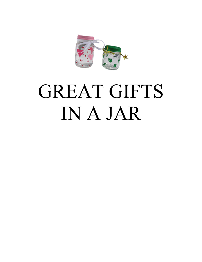

# GREAT GIFTS IN A JAR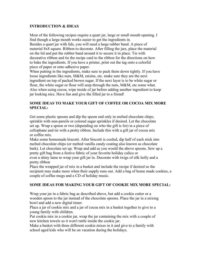## **INTRODUCTION & IDEAS**

Most of the following recipes require a quart jar, large or small mouth opening. I find though a large mouth works easier to get the ingredients in. Besides a quart jar with lids, you will need a large rubber band. A piece of material 8x8 square. Ribbon to decorate. After filling the jars, place the material on the lid and put the rubber band around it to secure it in place. Tie with decorative ribbon and tie the recipe card to the ribbon for the directions on how to bake the ingredients. If you have a printer, print out the tag onto a colorful piece of paper or onto adhesive paper.

When putting in the ingredients, make sure to pack them down tightly. If you have loose ingredients like nuts, M&M, raisins, etc. make sure they are the next ingredient on top of packed brown sugar. If the next layer is to be white sugar or flour, the white sugar or flour will seep through the nuts, M&M, etc some what. Also when using cocoa, wipe inside of jar before adding another ingredient to keep jar looking nice. Have fun and give the filled jar to a friend!

# **SOME IDEAS TO MAKE YOUR GIFT OF COFFEE OR COCOA MIX MORE SPECIAL:**

Get some plastic spoons and dip the spoon end only in melted chocolate chips; sprinkle with non-pareils or colored sugar sprinkles if desired. Let the chocolate set up. Wrap a spoon or two (depending on who the gift is for) in a piece of cellophane and tie with a pretty ribbon. Include this with a gift jar of cocoa mix or coffee mix.

Make some homemade biscotti. After biscotti is cooled, dip half of each stick into melted chocolate chips (or melted vanilla candy coating also known as chocolate bark). Let chocolate set up. Wrap and add as you would the above spoons. Sew up a pretty gift bag from a festive fabric of your favorite holiday calico or

even a shiny lame to wrap your gift jar in. Decorate with twigs of silk holly and a pretty ribbon

Place the wrapped jar of mix in a basket and include the recipe if desired so the recipient may make more when their supply runs out. Add a bag of home made cookies, a couple of coffee mugs and a CD of holiday music.

# **SOME IDEAS FOR MAKING YOUR GIFT OF COOKIE MIX MORE SPECIAL:**

Wrap your jar in a fabric bag as described above, but add a cookie cutter or a wooden spoon to the jar instead of the chocolate spoons. Place the jar in a mixing bowl and add a new digital timer.

Place a jar of cookie mix and a jar of cocoa mix in a basket together to give to a young family with children.

Put cookie mix in a cookie jar, wrap the jar containing the mix with a couple of new kitchen towels so it won't rattle inside the cookie jar.

Make a basket with three different cookie mixes in it and give to a family with school aged kids who will be on vacation during the holidays.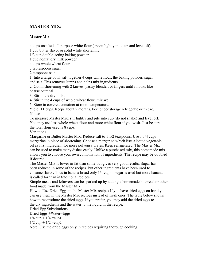# **MASTER MIX:**

# **Master Mix**

4 cups unsifted, all purpose white flour (spoon lightly into cup and level off)

1 cup butter flavor or solid white shortening

1/3 cup double-acting baking powder

1 cup nonfat dry milk powder

4 cups whole wheat flour

3 tablespoons sugar

2 teaspoons salt

1. Into a large bowl, sift together 4 cups white flour, the baking powder, sugar and salt. This removes lumps and helps mix ingredients.

2. Cut in shortening with 2 knives, pastry blender, or fingers until it looks like coarse oatmeal.

3. Stir in the dry milk.

4. Stir in the 4 cups of whole wheat flour; mix well.

5. Store in covered container at room temperature.

Yield: 11 cups. Keeps about 2 months. For longer storage refrigerate or freeze. Notes:

To measure Master Mix: stir lightly and pile into cup (do not shake) and level off. You may use less whole wheat flour and more white flour if you wish. Just be sure the total flour used is 8 cups.

Variations

Margarine or Butter Master Mix. Reduce salt to 1 1/2 teaspoons. Use 1 1/4 cups margarine in place of shortening. Choose a margarine which lists a liquid vegetable oil as first ingredient for more polyunsaturates. Keep refrigerated. The Master Mix can be used to make many dishes easily. Unlike a purchased mix, this homemade mix allows you to choose your own combination of ingredients. The recipe may be doubled if desired.

The Master Mix is lower in fat than some but gives very good results. Sugar has been reduced in some of the recipes, but other ingredients have been used to enhance flavor. Thus in banana bread only 1/4 cup of sugar is used but more banana is called for than in traditional recipes.

Simple meals and leftovers can be sparked up by adding a homemade hotbread or other food made from the Master Mix.

How to Use Dried Eggs in the Master Mix recipes If you have dried eggs on hand you can use them in the Master Mix recipes instead of fresh ones. The table below shows how to reconstitute the dried eggs. If you prefer, you may add the dried eggs to the dry ingredients and the water to the liquid in the recipe.

Dried Egg Substitutions

Dried Eggs +Water=Eggs

 $1/4$  cup +  $1/4$  = cup 1

 $1/2$  cup  $+1/2$  = cup2

Note: Use the dried eggs only in recipes requiring thorough cooking.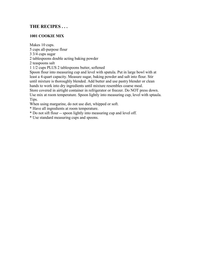# **THE RECIPES . . .**

# **1001 COOKIE MIX**

Makes 10 cups.

5 cups all-purpose flour

3 3/4 cups sugar

2 tablespoons double acting baking powder

2 teaspoons salt

1 1/2 cups PLUS 2 tablespoons butter, softened

Spoon flour into measuring cup and level with spatula. Put in large bowl with at least a 4-quart capacity. Measure sugar, baking powder and salt into flour. Stir until mixture is thoroughly blended. Add butter and use pastry blender or clean hands to work into dry ingredients until mixture resembles coarse meal.

Store covered in airtight container in refrigerator or freezer. Do NOT press down. Use mix at room temperature. Spoon lightly into measuring cup, level with sptaula. Tips.

When using margarine, do not use diet, whipped or soft.

\* Have all ingredients at room temperature.

\* Do not sift flour -- spoon lightly into measuring cup and level off.

\* Use standard measuring cups and spoons.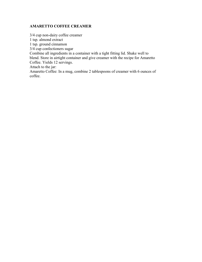# **AMARETTO COFFEE CREAMER**

3/4 cup non-dairy coffee creamer 1 tsp. almond extract 1 tsp. ground cinnamon 3/4 cup confectioners sugar Combine all ingredients in a container with a tight fitting lid. Shake well to blend. Store in airtight container and give creamer with the recipe for Amaretto Coffee. Yields 12 servings. Attach to the jar: Amaretto Coffee: In a mug, combine 2 tablespoons of creamer with 6 ounces of coffee.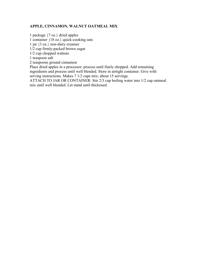#### **APPLE, CINNAMON, WALNUT OATMEAL MIX**

1 package {7 oz.} dried apples

1 container {18 oz.} quick-cooking oats

1 jar {3 oz.} non-dairy creamer

1/2 cup firmly-packed brown sugar

1/2 cup chopped walnuts

1 teaspoon salt

2 teaspoons ground cinnamon

Place dried apples in a processor; process until finely chopped. Add remaining ingredients and process until well blended. Store in airtight container. Give with serving instructions. Makes 7 1/2 cups mix; about 15 servings.

ATTACH TO JAR OR CONTAINER: Stir 2/3 cup boiling water into 1/2 cup oatmeal mix until well blended. Let stand until thickened.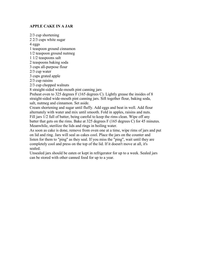#### **APPLE CAKE IN A JAR**

2/3 cup shortening 2 2/3 cups white sugar 4 eggs 1 teaspoon ground cinnamon 1/2 teaspoon ground nutmeg 1 1/2 teaspoons salt 2 teaspoons baking soda 3 cups all-purpose flour 2/3 cup water 3 cups grated apple 2/3 cup raisins 2/3 cup chopped walnuts 8 straight-sided wide-mouth pint canning jars Preheat oven to 325 degrees F (165 degrees C). Lightly grease the insides of 8 straight-sided wide-mouth pint canning jars. Sift together flour, baking soda, salt, nutmeg and cinnamon. Set aside. Cream shortening and sugar until fluffy. Add eggs and beat in well. Add flour alternately with water and mix until smooth. Fold in apples, raisins and nuts. Fill jars 1/2 full of batter, being careful to keep the rims clean. Wipe off any batter that gets on the rims. Bake at 325 degrees F (165 degrees C) for 45 minutes. Meanwhile, sterilize the lids and rings in boiling water. As soon as cake is done, remove from oven one at a time, wipe rims of jars and put

on lid and ring. Jars will seal as cakes cool. Place the jars on the counter and listen for them to "ping" as they seal. If you miss the "ping", wait until they are completely cool and press on the top of the lid. If it doesn't move at all, it's sealed.

Unsealed jars should be eaten or kept in refrigerator for up to a week. Sealed jars can be stored with other canned food for up to a year.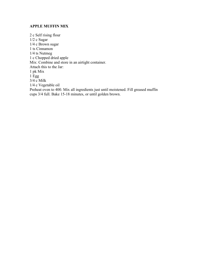#### **APPLE MUFFIN MIX**

2 c Self rising flour 1/2 c Sugar 1/4 c Brown sugar 1 ts Cinnamon 1/4 ts Nutmeg 1 c Chopped dried apple Mix: Combine and store in an airtight container. Attach this to the Jar: 1 pk Mix  $1 \mathrm{Egg}$ 3/4 c Milk 1/4 c Vegetable oil Preheat oven to 400. Mix all ingredients just until moistened. Fill greased muffin cups 3/4 full. Bake 15-18 minutes, or until golden brown.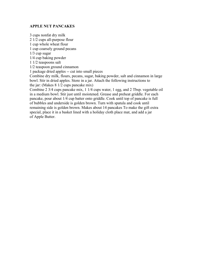#### **APPLE NUT PANCAKES**

3 cups nonfat dry milk 2 1/2 cups all-purpose flour 1 cup whole wheat flour 1 cup coarsely ground pecans 1/3 cup sugar 1/4 cup baking powder 1 1/2 teaspoons salt 1/2 teaspoon ground cinnamon 1 package dried apples -- cut into small pieces Combine dry milk, flours, pecans, sugar, baking powder, salt and cinnamon in large bowl. Stir in dried apples. Store in a jar. Attach the following instructions to the jar: (Makes 8 1/2 cups pancake mix) Combine 2 3/4 cups pancake mix, 1 1/4 cups water, 1 egg, and 2 Tbsp. vegetable oil

in a medium bowl. Stir just until moistened. Grease and preheat griddle. For each pancake, pour about 1/4 cup batter onto griddle. Cook until top of pancake is full of bubbles and underside is golden brown. Turn with spatula and cook until remaining side is golden brown. Makes about 14 pancakes To make the gift extra special, place it in a basket lined with a holiday cloth place mat, and add a jar of Apple Butter.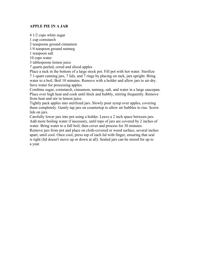#### **APPLE PIE IN A JAR**

4 1/2 cups white sugar

1 cup cornstarch

2 teaspoons ground cinnamon

1/4 teaspoon ground nutmeg

1 teaspoon salt

10 cups water

3 tablespoons lemon juice

7 quarts peeled, cored and sliced apples

Place a rack in the bottom of a large stock pot. Fill pot with hot water. Sterilize 7 1-quart canning jars, 7 lids, and 7 rings by placing on rack, jars upright. Bring water to a boil. Boil 10 minutes. Remove with a holder and allow jars to air-dry. Save water for processing apples.

Combine sugar, cornstarch, cinnamon, nutmeg, salt, and water in a large saucepan. Place over high heat and cook until thick and bubbly, stirring frequently. Remove from heat and stir in lemon juice.

Tightly pack apples into sterilized jars. Slowly pour syrup over apples, covering them completely. Gently tap jars on countertop to allow air bubbles to rise. Screw lids on jars.

Carefully lower jars into pot using a holder. Leave a 2 inch space between jars. Add more boiling water if necessary, until tops of jars are covered by 2 inches of water. Bring water to a full boil, then cover and process for 30 minutes.

Remove jars from pot and place on cloth-covered or wood surface, several inches apart, until cool. Once cool, press top of each lid with finger, ensuring that seal is tight (lid doesn't move up or down at all). Sealed jars can be stored for up to a year.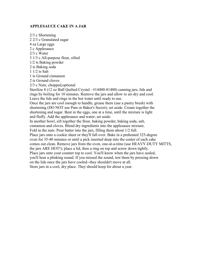#### **APPLESAUCE CAKE IN A JAR**

2/3 c Shortening 2 2/3 c Granulated sugar 4 ea Large eggs 2 c Applesauce 2/3 c Water 3 1/3 c All-purpose flour, sifted 1/2 ts Baking powder 2 ts Baking soda 1 1/2 ts Salt 1 ts Ground cinnamon 2 ts Ground cloves 2/3 c Nuts; chopped,optional Sterilize 8 (12 oz Ball Quilted Crystal - #14400-81400) canning jars, lids and rings by boiling for 10 minutes. Remove the jars and allow to air-dry and cool. Leave the lids and rings in the hot water until ready to use. Once the jars are cool enough to handle, grease them (use a pastry brush) with shortening (DO NOT use Pam or Baker's Secret); set aside. Cream together the shortening and sugar. Beat in the eggs, one at a time, until the mixture is light and fluffy. Add the applesauce and water; set aside. In another bowl, sift together the flour, baking powder, baking soda, salt, cinnamon and cloves. Blend dry ingredients into the applesauce mixture. Fold in the nuts. Pour batter into the jars, filling them about 1/2 full. Place jars onto a cookie sheet or they'll fall over. Bake in a preheated 325-degree oven for 35-40 minutes or until a pick inserted deep into the center of each cake comes out clean. Remove jars from the oven, one-at-a-time (use HEAVY-DUTY MITTS, the jars ARE HOT!); place a lid, then a ring on top and screw down tightly. Place jars onto your counter top to cool. You'll know when the jars have sealed, you'll hear a plinking sound. If you missed the sound, test them by pressing down on the lids once the jars have cooled--they shouldn't move at all. Store jars in a cool, dry place. They should keep for about a year.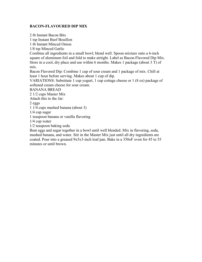#### **BACON-FLAVOURED DIP MIX**

2 tb Instant Bacon Bits 1 tsp Instant Beef Bouillon 1 tb Instant Minced Onion 1/8 tsp Minced Garlic Combine all ingredients in a small bowl; blend well. Spoon mixture onto a 6-inch square of aluminum foil and fold to make airtight. Label as Bacon-Flavored Dip Mix. Store in a cool, dry place and use within 6 months. Makes 1 package (about 3 T) of mix. Bacon Flavored Dip: Combine 1 cup of sour cream and 1 package of mix. Chill at least 1 hour before serving. Makes about 1 cup of dip. VARIATIONS: Substitute 1 cup yogurt, 1 cup cottage cheese or 1 (8 oz) package of softened cream cheese for sour cream. BANANA BREAD 2 1/2 cups Master Mix Attach this to the Jar: 2 eggs 1 1/4 cups mashed banana (about 3) 1/4 cup sugar 1 teaspoon banana or vanilla flavoring 1/4 cup water 1/2 teaspoon baking soda Beat eggs and sugar together in a bowl until well blended. Mix in flavoring, soda,

mashed banana, and water. Stir in the Master Mix just until all dry ingredients are coated. Pour into a greased 9x5x3-inch loaf pan. Bake in a 350oF oven for 45 to 55 minutes or until brown.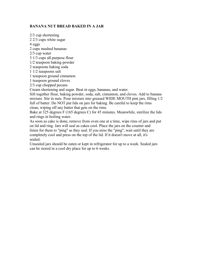# **BANANA NUT BREAD BAKED IN A JAR**

2/3 cup shortening 2 2/3 cups white sugar 4 eggs 2 cups mashed bananas 2/3 cup water 3 1/3 cups all-purpose flour 1/2 teaspoon baking powder 2 teaspoons baking soda 1 1/2 teaspoons salt 1 teaspoon ground cinnamon 1 teaspoon ground cloves 2/3 cup chopped pecans Cream shortening and sugar. Beat in eggs, bananas, and water.

Sift together flour, baking powder, soda, salt, cinnamon, and cloves. Add to banana mixture. Stir in nuts. Pour mixture into greased WIDE MOUTH pint jars, filling 1/2 full of batter. Do NOT put lids on jars for baking. Be careful to keep the rims clean, wiping off any batter that gets on the rims.

Bake at 325 degrees F (165 degrees C) for 45 minutes. Meanwhile, sterilize the lids and rings in boiling water.

As soon as cake is done, remove from oven one at a time, wipe rims of jars and put on lid and ring. Jars will seal as cakes cool. Place the jars on the counter and listen for them to "ping" as they seal. If you miss the "ping", wait until they are completely cool and press on the top of the lid. If it doesn't move at all, it's sealed.

Unsealed jars should be eaten or kept in refrigerator for up to a week. Sealed jars can be stored in a cool dry place for up to 6 weeks.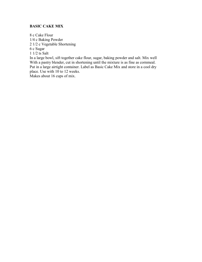# **BASIC CAKE MIX**

8 c Cake Flour 1/4 c Baking Powder 2 1/2 c Vegetable Shortening 6 c Sugar 1 1/2 ts Salt

In a large bowl, sift together cake flour, sugar, baking powder and salt. Mix well With a pastry blender, cut in shortening until the mixture is as fine as cornmeal. Put in a large airtight container. Label as Basic Cake Mix and store in a cool dry place. Use with 10 to 12 weeks.

Makes about 16 cups of mix.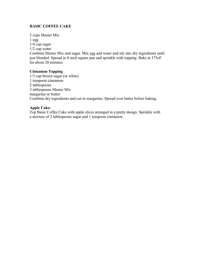# **BASIC COFFEE CAKE**

2 cups Master Mix 1 egg 1/4 cup sugar 1/2 cup water Combine Master Mix and sugar. Mix egg and water and stir into dry ingredients until just blended. Spread in 8-inch square pan and sprinkle with topping. Bake at 375oF for about 20 minutes.

#### **Cinnamon Topping**

1/3 cup brown sugar (or white) 1 teaspoon cinnamon 2 tablespoons 2 tablespoons Master Mix margarine or butter Combine dry ingredients and cut in margarine. Spread over batter before baking.

#### **Apple Cake:**

Top Basic Coffee Cake with apple slices arranged in a pretty design. Sprinkle with a mixture of 2 tablespoons sugar and 1 teaspoon cinnamon.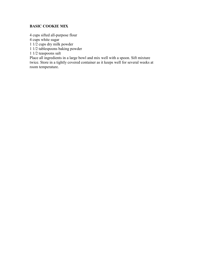# **BASIC COOKIE MIX**

4 cups sifted all-purpose flour

4 cups white sugar

1 1/2 cups dry milk powder

1 1/2 tablespoons baking powder

1 1/2 teaspoons salt

Place all ingredients in a large bowl and mix well with a spoon. Sift mixture twice. Store in a tightly covered container as it keeps well for several weeks at room temperature.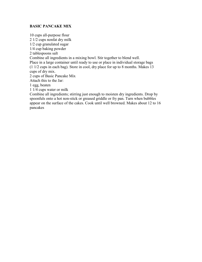#### **BASIC PANCAKE MIX**

10 cups all-purpose flour 2 1/2 cups nonfat dry milk 1/2 cup granulated sugar 1/4 cup baking powder 2 tablespoons salt Combine all ingredients in a mixing bowl. Stir together to blend well. Place in a large container until ready to use or place in individual storage bags (1 1/2 cups in each bag). Store in cool, dry place for up to 8 months. Makes 13 cups of dry mix. 2 cups of Basic Pancake Mix Attach this to the Jar: 1 egg, beaten 1 1/4 cups water or milk Combine all ingredients; stirring just enough to moisten dry ingredients. Drop by

spoonfuls onto a hot non-stick or greased griddle or fry pan. Turn when bubbles appear on the surface of the cakes. Cook until well browned. Makes about 12 to 16 pancakes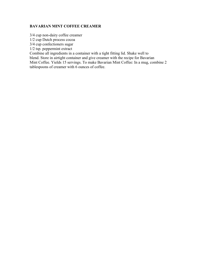# **BAVARIAN MINT COFFEE CREAMER**

3/4 cup non-dairy coffee creamer

1/2 cup Dutch process cocoa

3/4 cup confectioners sugar

1/2 tsp. peppermint extract

Combine all ingredients in a container with a tight fitting lid. Shake well to

blend. Store in airtight container and give creamer with the recipe for Bavarian

Mint Coffee. Yields 15 servings. To make Bavarian Mint Coffee: In a mug, combine 2 tablespoons of creamer with 6 ounces of coffee.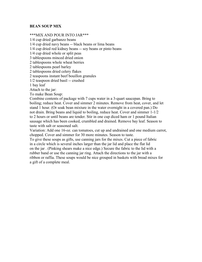#### **BEAN SOUP MIX**

#### \*\*\*MIX AND POUR INTO JAR\*\*\*

1/4 cup dried garbanzo beans

1/4 cup dried navy beans -- black beans or lima beans

1/4 cup dried red kidney beans -- soy beans or pinto beans

1/4 cup dried whole or split peas

3 tablespoons minced dried onion

2 tablespoons whole wheat berries

2 tablespoons pearl barley

2 tablespoons dried celery flakes

2 teaspoons instant beef bouillon granules

1/2 teaspoon dried basil -- crushed

1 bay leaf

Attach to the jar:

To make Bean Soup:

Combine contents of package with 7 cups water in a 3-quart saucepan. Bring to boiling; reduce heat. Cover and simmer 2 minutes. Remove from heat, cover, and let stand 1 hour. (Or soak bean mixture in the water overnight in a covered pan.) Do not drain. Bring beans and liquid to boiling, reduce heat. Cover and simmer 1-1/2 to 2 hours or until beans are tender. Stir in one cup diced ham or 1 pound Italian sausage which has been cooked, crumbled and drained. Remove bay leaf. Season to taste with salt or seasoned salt.

Variation: Add one 16-oz. can tomatoes, cut up and undrained and one medium carrot, chopped. Cover and simmer for 30 more minutes. Season to taste.

To give these soups as gifts, use canning jars for the mixes. Cut a piece of fabric in a circle which is several inches larger than the jar lid and place the flat lid on the jar . (Pinking shears make a nice edge.) Secure the fabric to the lid with a rubber band or use the canning jar ring. Attach the directions to the jar with a ribbon or raffia. These soups would be nice grouped in baskets with bread mixes for a gift of a complete meal.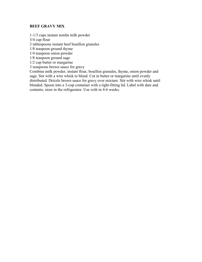#### **BEEF GRAVY MIX**

1-1/3 cups instant nonfat milk powder

3/4 cup flour

3 tablespoons instant beef bouillon granules

1/8 teaspoon ground thyme

1/4 teaspoon onion powder

1/8 teaspoon ground sage

1/2 cup butter or margarine

3 teaspoons brown sauce for gravy

Combine milk powder, instant flour, bouillon granules, thyme, onion powder and sage. Stir with a wire whisk to blend. Cut in butter or margarine until evenly distributed. Drizzle brown sauce for gravy over mixture. Stir with wire whisk until blended. Spoon into a 3-cup container with a tight-fitting lid. Label with date and contents; store in the refrigerator. Use with in 4-6 weeks.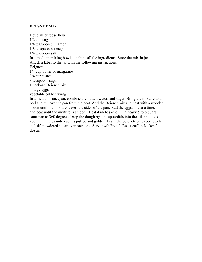#### **BEIGNET MIX**

1 cup all purpose flour 1/2 cup sugar 1/4 teaspoon cinnamon 1/8 teaspoon nutmeg 1/4 teaspoon salt In a medium mixing bowl, combine all the ingredients. Store the mix in jar. Attach a label to the jar with the following instructions: Beignets 1/4 cup butter or margarine 3/4 cup water 3 teaspoons sugar 1 package Beignet mix 4 large eggs vegetable oil for frying In a medium saucepan, combine the butter, water, and sugar. Bring the mixture to a boil and remove the pan from the heat. Add the Beignet mix and beat with a wooden spoon until the mixture leaves the sides of the pan. Add the eggs, one at a time, and beat until the mixture is smooth. Heat 4 inches of oil in a heavy 5 to 6 quart

saucepan to 360 degrees. Drop the dough by tablespoonfuls into the oil, and cook about 3 minutes until each is puffed and golden. Drain the beignets on paper towels and sift powdered sugar over each one. Serve iwth French Roast coffee. Makes 2 dozen.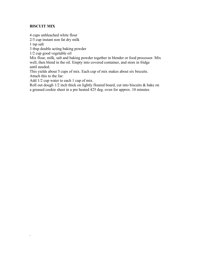#### **BISCUIT MIX**

.

4 cups unbleached white flour 2/3 cup instant non fat dry milk 1 tsp salt 3 tbsp double acting baking powder 1/2 cup good vegetable oil Mix flour, milk, salt and baking powder together in blender or food processor. Mix well, then blend in the oil. Empty into covered container, and store in fridge until needed. This yields about 5 cups of mix. Each cup of mix makes about six biscuits. Attach this to the Jar: Add 1/2 cup water to each 1 cup of mix.

Roll out dough 1/2 inch thick on lightly floured board, cut into biscuits & bake on a greased cookie sheet in a pre heated 425 deg. oven for approx. 10 minutes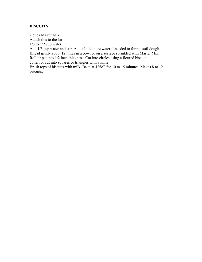# **BISCUITS**

2 cups Master Mix Attach this to the Jar:  $1/3$  to  $1/2$  cup water Add 1/3 cup water and stir. Add a little more water if needed to form a soft dough. Knead gently about 12 times in a bowl or on a surface sprinkled with Master Mix. Roll or pat into 1/2 inch thickness. Cut into circles using a floured biscuit cutter, or cut into squares or triangles with a knife.

Brush tops of biscuits with milk. Bake at 425oF for 10 to 15 minutes. Makes 8 to 12 biscuits**.**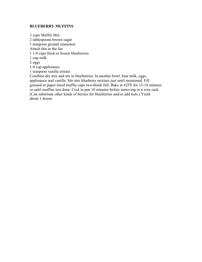#### **BLUEBERRY MUFFINS**

3 cups Muffin Mix 2 tablespoons brown sugar 1 teaspoon ground cinnamon Attach this to the Jar: 1 1/4 cups fresh or frozen blueberries 1 cup milk 2 eggs 1/4 cup applesauce 1 teaspoon vanilla extract Combine dry mix and stir in blueberries. In another bowl, beat milk, eggs, applesauce and vanilla. Stir into blueberry mixture just until moistened. Fill greased or paper-lined muffin cups two-thirds full. Bake at 425'F for 15-18 minutes or until muffins test done. Cool in pan 10 minutes before removing to a wire rack. (Can substitute other kinds of berries for blueberries and/or add nuts.) Yield: about 1 dozen.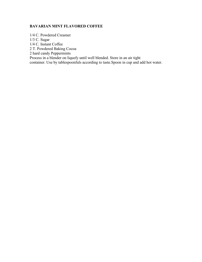# **BAVARIAN MINT FLAVORED COFFEE**

1/4 C. Powdered Creamer 1/3 C. Sugar 1/4 C. Instant Coffee 2 T. Powdered Baking Cocoa 2 hard candy Peppermints Process in a blender on liquefy until well blended. Store in an air tight container. Use by tablespoonfuls according to taste.Spoon in cup and add hot water.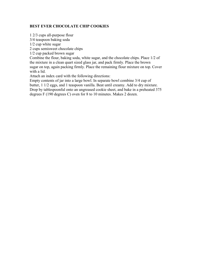# **BEST EVER CHOCOLATE CHIP COOKIES**

1 2/3 cups all-purpose flour 3/4 teaspoon baking soda 1/2 cup white sugar 2 cups semisweet chocolate chips 1/2 cup packed brown sugar Combine the flour, baking soda, white sugar, and the chocolate chips. Place 1/2 of the mixture in a clean quart sized glass jar, and pack firmly. Place the brown sugar on top, again packing firmly. Place the remaining flour mixture on top. Cover with a lid. Attach an index card with the following directions: Empty contents of jar into a large bowl. In separate bowl combine 3/4 cup of butter, 1 1/2 eggs, and 1 teaspoon vanilla. Beat until creamy. Add to dry mixture.

Drop by tablespoonful onto an ungreased cookie sheet, and bake in a preheated 375 degrees F (190 degrees C) oven for 8 to 10 minutes. Makes 2 dozen.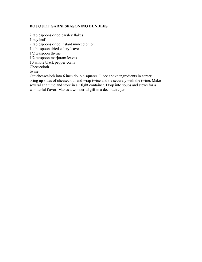#### **BOUQUET GARNI SEASONING BUNDLES**

2 tablespoons dried parsley flakes 1 bay leaf 2 tablespoons dried instant minced onion 1 tablespoon dried celery leaves 1/2 teaspoon thyme 1/2 teaspoon marjoram leaves 10 whole black pepper corns Cheesecloth twine Cut cheesecloth into 6 inch double squares. Place above ingredients in center, bring up sides of cheesecloth and wrap twice and tie securely with the twine. Make

several at a time and store in air tight container. Drop into soups and stews for a wonderful flavor. Makes a wonderful gift in a decorative jar.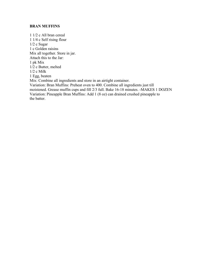#### **BRAN MUFFINS**

1 1/2 c All bran cereal 1 1/4 c Self rising flour 1/2 c Sugar 1 c Golden raisins Mix all together. Store in jar. Attach this to the Jar: 1 pk Mix 1/2 c Butter, melted 1/2 c Milk 1 Egg, beaten Mix: Combine all ingredients and store in an airtight container. Variation: Bran Muffins: Preheat oven to 400. Combine all ingredients just till moistened. Grease muffin cups and fill 2/3 full. Bake 16-18 minutes. -MAKES 1 DOZEN Variation: Pineapple Bran Muffins: Add 1 (8 oz) can drained crushed pineapple to the batter.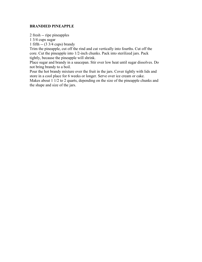#### **BRANDIED PINEAPPLE**

2 fresh -- ripe pineapples

1 3/4 cups sugar

1 fifth -- (3 3/4 cups) brandy

Trim the pineapple, cut off the rind and cut vertically into fourths. Cut off the core. Cut the pineapple into 1/2-inch chunks. Pack into sterilized jars. Pack tightly, because the pineapple will shrink.

Place sugar and brandy in a saucepan. Stir over low heat until sugar dissolves. Do not bring brandy to a boil.

Pour the hot brandy mixture over the fruit in the jars. Cover tightly with lids and store in a cool place for 6 weeks or longer. Serve over ice cream or cake.

Makes about  $1 \overline{1/2}$  to 2 quarts, depending on the size of the pineapple chunks and the shape and size of the jars.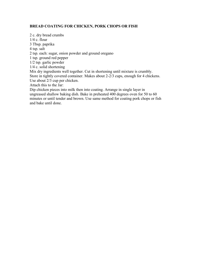## **BREAD COATING FOR CHICKEN, PORK CHOPS OR FISH**

2 c. dry bread crumbs 1/4 c. flour 3 Tbsp. paprika 4 tsp. salt 2 tsp. each: sugar, onion powder and ground oregano 1 tsp. ground red pepper 1/2 tsp. garlic powder 1/4 c. solid shortening Mix dry ingredients well together. Cut in shortening until mixture is crumbly. Store in tightly covered container. Makes about 2-2/3 cups, enough for 4 chickens. Use about 2/3 cup per chicken. Attach this to the Jar: Dip chicken pieces into milk then into coating. Arrange in single layer in ungreased shallow baking dish. Bake in preheated 400 degrees oven for 50 to 60 minutes or until tender and brown. Use same method for coating pork chops or fish

and bake until done.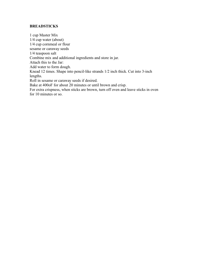#### **BREADSTICKS**

1 cup Master Mix 1/4 cup water (about) 1/4 cup cornmeal or flour sesame or caraway seeds 1/4 teaspoon salt Combine mix and additional ingredients and store in jar. Attach this to the Jar: Add water to form dough. Knead 12 times. Shape into pencil-like strands 1/2 inch thick. Cut into 3-inch lengths. Roll in sesame or caraway seeds if desired. Bake at 400oF for about 20 minutes or until brown and crisp. For extra crispness, when sticks are brown, turn off oven and leave sticks in oven for 10 minutes or so.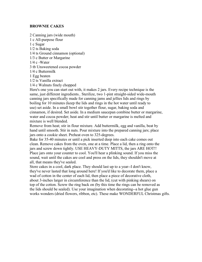#### **BROWNIE CAKES**

2 Canning jars (wide mouth) 1 c All-purpose flour 1 c Sugar 1/2 ts Baking soda 1/4 ts Ground cinnamon (optional) 1/3 c Butter or Margarine  $1/4$  c -Water 3 tb Unsweetened cocoa powder 1/4 c Buttermilk 1 Egg beaten 1/2 ts Vanilla extract 1/4 c Walnuts finely chopped Here's one you can start out with, it makes 2 jars. Every recipe technique is the

same, just different ingredients.. Sterilize, two 1-pint straight-sided wide-mouth canning jars specifically made for canning jams and jellies lids and rings by boiling for 10 minutes (keep the lids and rings in the hot water until ready to use) set aside. In a small bowl stir together flour, sugar, baking soda and cinnamon, if desired. Set aside. In a medium saucepan combine butter or margarine, water and cocoa powder; heat and stir until butter or margarine is melted and mixture is well blended.

Remove from heat; stir in flour mixture. Add buttermilk, egg and vanilla, beat by hand until smooth. Stir in nuts. Pour mixture into the prepared canning jars; place jars onto a cookie sheet. Preheat oven to 325-degrees.

Bake for 35-40 minutes or until a pick inserted deep into each cake comes out clean. Remove cakes from the oven, one at a time. Place a lid, then a ring onto the jars and screw down tightly. USE HEAVY-DUTY MITTS, the jars ARE HOT!! Place jars onto your counter to cool. You'll hear a plinking sound. If you miss the sound, wait until the cakes are cool and press on the lids, they shouldn't move at all, that means they've sealed.

Store cakes in a cool, dark place. They should last up to a year--I don't know, they've never lasted that long around here! If you'd like to decorate them, place a wad of cotton in the center of each lid, then place a piece of decorative cloth, about 3-inches larger in circumference than the lid, (cut with pinking shears) on top of the cotton. Screw the ring back on (by this time the rings can be removed as the lids should be sealed). Use your imagination when decorating--a hot glue gun works wonders (dried flowers, ribbon, etc). These make WONDERFUL Christmas gifts.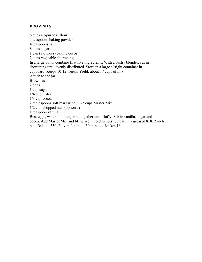#### **BROWNIES**

6 cups all-purpose flour 4 teaspoons baking powder 4 teaspoons salt 8 cups sugar 1 can (8 ounces) baking cocoa 2 cups vegetable shortening In a large bowl, combine first five ingredients. With a pastry blender, cut in shortening until evenly distributed. Store in a large airtight container in cupboard. Keeps 10-12 weeks. Yield: about 17 cups of mix. Attach to the jar: Brownies 2 eggs 1 cup sugar 1/4 cup water 1/3 cup cocoa 2 tablespoons soft margarine 1 1/3 cups Master Mix 1/2 cup chopped nuts (optional) 1 teaspoon vanilla Beat eggs, water and margarine together until fluffy. Stir in vanilla, sugar and cocoa. Add Master Mix and blend well. Fold in nuts. Spread in a greased 8x8x2 inch

pan. Bake in 350oF oven for about 30 minutes. Makes 16.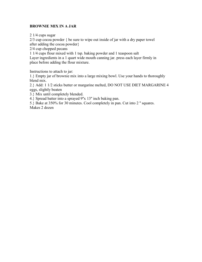# **BROWNIE MIX IN A JAR**

2 1/4 cups sugar

2/3 cup cocoa powder { be sure to wipe out inside of jar with a dry paper towel after adding the cocoa powder}

2/4 cup chopped pecans

1 1/4 cups flour mixed with 1 tsp. baking powder and 1 teaspoon salt Layer ingredients in a 1 quart wide mouth canning jar. press each layer firmly in place before adding the flour mixture.

Instructions to attach to jar:

1.} Empty jar of brownie mix into a large mixing bowl. Use your hands to thoroughly blend mix.

2.} Add: 1 1/2 sticks butter or margarine melted, DO NOT USE DIET MARGARINE 4 eggs, slightly beaten

3.} Mix until completely blended.

4.} Spread batter into a sprayed 9''x 13'' inch baking pan.

5.} Bake at 350% for 30 minutes. Cool completely in pan. Cut into 2 '' squares. Makes 2 dozen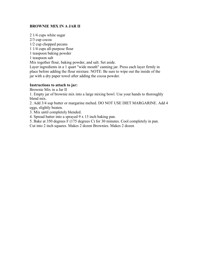# **BROWNIE MIX IN A JAR II**

2 1/4 cups white sugar

2/3 cup cocoa

1/2 cup chopped pecans

1 1/4 cups all-purpose flour

1 teaspoon baking powder

1 teaspoon salt

Mix together flour, baking powder, and salt. Set aside.

Layer ingredients in a 1 quart "wide mouth" canning jar. Press each layer firmly in place before adding the flour mixture. NOTE: Be sure to wipe out the inside of the jar with a dry paper towel after adding the cocoa powder.

#### **Instructions to attach to jar:**

Brownie Mix in a Jar II

1. Empty jar of brownie mix into a large mixing bowl. Use your hands to thoroughly blend mix.

2. Add 3/4 sup butter or margarine melted. DO NOT USE DIET MARGARINE. Add 4 eggs, slightly beaten.

3. Mix until completely blended.

4. Spread batter into a sprayed 9 x 13 inch baking pan.

5. Bake at 350 degrees F (175 degrees C) for 30 minutes. Cool completely in pan.

Cut into 2 inch squares. Makes 2 dozen Brownies. Makes 2 dozen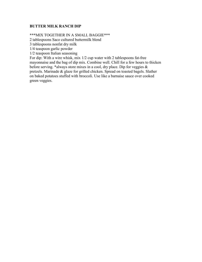#### **BUTTER MILK RANCH DIP**

\*\*\*MIX TOGETHER IN A SMALL BAGGIE\*\*\*

2 tablespoons Saco cultured buttermilk blend

3 tablespoons nonfat dry milk

1/4 teaspoon garlic powder

1/2 teaspoon Italian seasoning

For dip: With a wire whisk, mix 1/2 cup water with 2 tablespoons fat-free mayonnaise and the bag of dip mix. Combine well. Chill for a few hours to thicken before serving. \*always store mixes in a cool, dry place. Dip for veggies & pretzels. Marinade & glaze for grilled chicken. Spread on toasted bagels. Slather on baked potatoes stuffed with broccoli. Use like a barnaise sauce over cooked green veggies.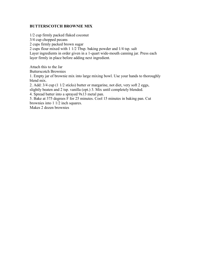#### **BUTTERSCOTCH BROWNIE MIX**

1/2 cup firmly packed flaked coconut 3/4 cup chopped pecans 2 cups firmly packed brown sugar 2 cups flour mixed with 1 1/2 Tbsp. baking powder and 1/4 tsp. salt Layer ingredients in order given in a 1-quart wide-mouth canning jar. Press each layer firmly in place before adding next ingredient. Attach this to the Jar Butterscotch Brownies

1. Empty jar of brownie mix into large mixing bowl. Use your hands to thoroughly blend mix.

2. Add: 3/4 cup (1 1/2 sticks) butter or margarine, not diet, very soft 2 eggs,

slightly beaten and 2 tsp. vanilla (opt.) 3. Mix until completely blended.

4. Spread batter into a sprayed 9x13 metal pan.

5. Bake at 375 degrees F for 25 minutes. Cool 15 minutes in baking pan. Cut brownies into 1 1/2 inch squares.

Makes 2 dozen brownies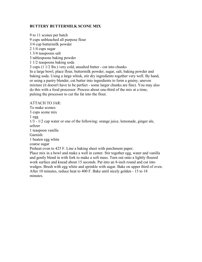# **BUTTERY BUTTERMILK SCONE MIX**

9 to 11 scones per batch 9 cups unbleached all purpose flour 3/4 cup buttermilk powder 2 1/4 cups sugar 1 3/4 teaspoons salt 3 tablespoons baking powder 1 1/2 teaspoons baking soda 3 cups (1 1/2 lbs.) very cold, unsalted butter - cut into chunks In a large bowl, place flour, buttermilk powder, sugar, salt, baking powder and baking soda. Using a large whisk, stir dry ingredients together very well. By hand, or using a pastry blender, cut butter into ingredients to form a grainy, uneven mixture (it doesn't have to be perfect - some larger chunks are fine). You may also do this with a food processor. Process about one-third of the mix at a time, pulsing the processor to cut the fat into the flour.

#### ATTACH TO JAR:

To make scones:

3 cups scone mix

 $1$  egg

1/3 - 1/2 cup water or one of the following: orange juice, lemonade, ginger ale, seltzer

1 teaspoon vanilla

Garnish:

1 beaten egg white

coarse sugar

Preheat oven to 425 F. Line a baking sheet with parchment paper.

Place mix in a bowl and make a well in center. Stir together egg, water and vanilla and gently blend in with fork to make a soft mass. Turn out onto a lightly floured work surface and knead about 15 seconds. Pat into an 8-inch round and cut into wedges. Brush with egg white and sprinkle with sugar. Bake on upper third of oven. After 10 minutes, reduce heat to 400 F. Bake until nicely golden - 15 to 18 minutes.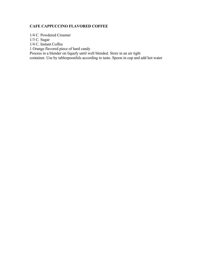### **CAFE CAPPUCCINO FLAVORED COFFEE**

1/4 C. Powdered Creamer 1/3 C. Sugar 1/4 C. Instant Coffee 1 Orange flavored piece of hard candy Process in a blender on liquefy until well blended. Store in an air tight container. Use by tablespoonfuls according to taste. Spoon in cup and add hot water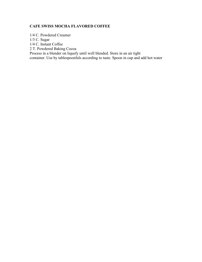## **CAFE SWISS MOCHA FLAVORED COFFEE**

1/4 C. Powdered Creamer 1/3 C. Sugar 1/4 C. Instant Coffee 2 T. Powdered Baking Cocoa Process in a blender on liquefy until well blended. Store in an air tight container. Use by tablespoonfuls according to taste. Spoon in cup and add hot water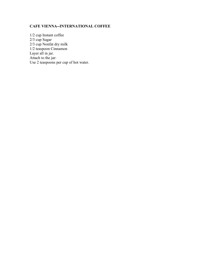# **CAFE VIENNA--INTERNATIONAL COFFEE**

1/2 cup Instant coffee 2/3 cup Sugar 2/3 cup Nonfat dry milk 1/2 teaspoon Cinnamon Layer all in jar. Attach to the jar: Use 2 teaspoons per cup of hot water.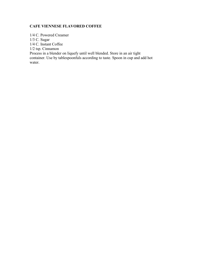# **CAFE VIENNESE FLAVORED COFFEE**

1/4 C. Powered Creamer 1/3 C. Sugar 1/4 C. Instant Coffee 1/2 tsp. Cinnamon Process in a blender on liquefy until well blended. Store in an air tight container. Use by tablespoonfuls according to taste. Spoon in cup and add hot water.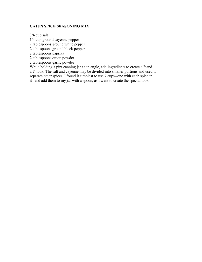# **CAJUN SPICE SEASONING MIX**

3/4 cup salt

1/4 cup ground cayenne pepper

2 tablespoons ground white pepper

2 tablespoons ground black pepper

2 tablespoons paprika

2 tablespoons onion powder

2 tablespoons garlic powder

While holding a pint canning jar at an angle, add ingredients to create a "sand art" look. The salt and cayenne may be divided into smaller portions and used to separate other spices. I found it simplest to use 7 cups--one with each spice in it--and add them to my jar with a spoon, as I want to create the special look.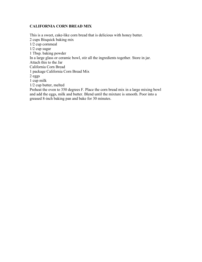## **CALIFORNIA CORN BREAD MIX**

This is a sweet, cake-like corn bread that is delicious with honey butter. 2 cups Bisquick baking mix 1/2 cup cornmeal 1/2 cup sugar 1 Tbsp. baking powder In a large glass or ceramic bowl, stir all the ingredients together. Store in jar. Attach this to the Jar California Corn Bread 1 package California Corn Bread Mix 2 eggs 1 cup milk 1/2 cup butter, melted Preheat the oven to 350 degrees F. Place the corn bread mix in a large mixing bowl and add the eggs, milk and butter. Blend until the mixture is smooth. Poor into a greased 8-inch baking pan and bake for 30 minutes.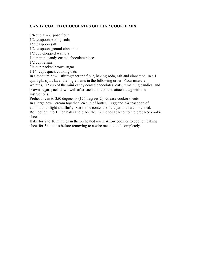# **CANDY COATED CHOCOLATES GIFT JAR COOKIE MIX**

3/4 cup all-purpose flour 1/2 teaspoon baking soda 1/2 teaspoon salt 1/2 teaspoon ground cinnamon 1/2 cup chopped walnuts 1 cup mini candy-coated chocolate pieces 1/2 cup raisins 3/4 cup packed brown sugar 1 1/4 cups quick cooking oats In a medium bowl, stir together the flour, baking soda, salt and cinnamon. In a 1 quart glass jar, layer the ingredients in the following order: Flour mixture, walnuts, 1/2 cup of the mini candy coated chocolates, oats, remaining candies, and brown sugar. pack down well after each addition and attach a tag with the instructions.

Preheat oven to 350 degrees F (175 degrees C). Grease cookie sheets. In a large bowl, cream together 3/4 cup of butter, 1 egg and 3/4 teaspoon of vanilla until light and fluffy. Stir int he contents of the jar until well blended. Roll dough into 1 inch balls and place them 2 inches apart onto the prepared cookie sheets.

Bake for 8 to 10 minutes in the preheated oven. Allow cookies to cool on baking sheet for 5 minutes before removing to a wire rack to cool completely.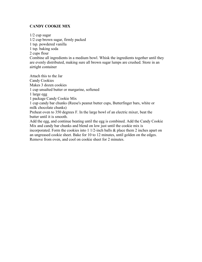# **CANDY COOKIE MIX**

1/2 cup sugar 1/2 cup brown sugar, firmly packed 1 tsp. powdered vanilla 1 tsp. baking soda 2 cups flour Combine all ingredients in a medium bowl. Whisk the ingredients together until they are evenly distributed, making sure all brown sugar lumps are crushed. Store in an airtight container Attach this to the Jar

Candy Cookies Makes 3 dozen cookies 1 cup unsalted butter or margarine, softened 1 large egg 1 package Candy Cookie Mix 1 cup candy bar chunks (Reese's peanut butter cups, Butterfinger bars, white or milk chocolate chunks) Preheat oven to 350 degrees F. In the large bowl of an electric mixer, beat the butter until it is smooth. Add the egg, and continue beating until the egg is combined. Add the Candy Cookie Mix and candy bar chunks and blend on low just until the cookie mix is incorporated. Form the cookies into 1 1/2-inch balls & place them 2 inches apart on an ungreased cookie sheet. Bake for 10 to 12 minutes, until golden on the edges. Remove from oven, and cool on cookie sheet for 2 minutes.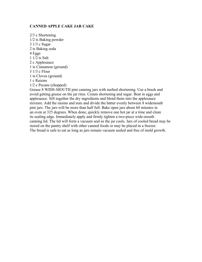#### **CANNED APPLE CAKE JAR CAKE**

2/3 c Shortening 1/2 ts Baking powder 3 1/3 c Sugar 2 ts Baking soda 4 Eggs 1 1/2 ts Salt 2 c Applesauce 1 ts Cinnamon (ground) 3 1/3 c Flour 1 ts Cloves (ground) 1 c Raisins 1/2 c Pecans (chopped)

Grease 8 WIDE-MOUTH pint canning jars with melted shortening. Use a brush and avoid getting grease on the jar rims. Cream shortening and sugar. Beat in eggs and applesauce. Sift together the dry ingredients and blend them into the applesauce mixture. Add the raisins and nuts and divide the batter evenly between 8 widemouth pint jars. The jars will be more than half full. Bake open jars about 60 minutes in an oven at 325 degrees. When done, quickly remove one hot jar at a time and clean its sealing edge. Immediately apply and firmly tighten a two-piece wide-mouth canning lid. The lid will form a vacuum seal as the jar cools. Jars of cooled bread may be stored on the pantry shelf with other canned foods or may be placed in a freezer. The bread is safe to eat as long as jars remain vacuum sealed and free of mold growth.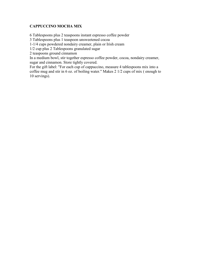# **CAPPUCCINO MOCHA MIX**

6 Tablespoons plus 2 teaspoons instant espresso coffee powder

3 Tablespoons plus 1 teaspoon unsweetened cocoa

1-1/4 cups powdered nondairy creamer, plain or Irish cream

1/2 cup plus 2 Tablespoons granulated sugar

2 teaspoons ground cinnamon

In a medium bowl, stir together espresso coffee powder, cocoa, nondairy creamer, sugar and cinnamon. Store tightly covered.

For the gift label: "For each cup of cappuccino, measure 4 tablespoons mix into a coffee mug and stir in 6 oz. of boiling water." Makes 2 1/2 cups of mix ( enough to 10 servings).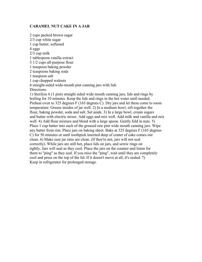#### **CARAMEL NUT CAKE IN A JAR**

2 cups packed brown sugar 2/3 cup white sugar 1 cup butter, softened 4 eggs 2/3 cup milk 1 tablespoon vanilla extract 3 1/2 cups all-purpose flour 1 teaspoon baking powder 2 teaspoons baking soda 1 teaspoon salt 1 cup chopped walnuts 6 straight-sided wide-mouth pint canning jars with lids **Directions** 1) Sterilize 6 (1 pint) straight sided wide mouth canning jars, lids and rings by boiling for 10 minutes. Keep the lids and rings in the hot water until needed. Preheat oven to 325 degrees F (165 degrees C). Dry jars and let them come to room temperature. Grease insides of jar well. 2) In a medium bowl, sift together the flour, baking powder, soda and salt. Set aside. 3) In a large bowl, cream sugars and butter with electric mixer. Add eggs and mix well. Add milk and vanilla and mix well. 4) Add flour mixture and blend with a large spoon. Gently fold in nuts. 5) Place 1 cup batter into each of the greased one pint wide mouth canning jars. Wipe any batter from rim. Place jars on baking sheet. Bake at 325 degrees F (165 degrees C) for 50 minutes or until toothpick inserted deep of center of cake comes out clean. 6) Make sure jar rims are clean. (If they're not, jars will not seal correctly). While jars are still hot, place lids on jars, and screw rings on tightly. Jars will seal as they cool. Place the jars on the counter and listen for them to "ping" as they seal. If you miss the "ping", wait until they are completely cool and press on the top of the lid. If it doesn't move at all, it's sealed. 7) Keep in refrigerator for prolonged storage.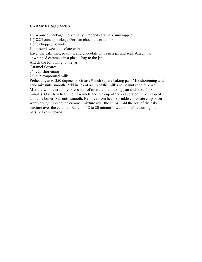#### **CARAMEL SQUARES**

1 (14 ounce) package individually wrapped caramels, unwrapped 1 (18.25 ounce) package German chocolate cake mix 1 cup chopped peanuts 1 cup semisweet chocolate chips Layer the cake mix, peanuts, and chocolate chips in a jar and seal. Attach the unwrapped caramels in a plastic bag to the jar. Attach the following to the jar: Caramel Squares 3/4 cup shortening 2/3 cup evaporated milk Preheat oven to 350 degrees F. Grease 9 inch square baking pan. Mix shortening and cake mix until smooth. Add in 1/3 of a cup of the milk and peanuts and mix well. Mixture will be crumbly. Press half of mixture into baking pan and bake for 8 minutes. Over low heat, melt caramels and 1/3 cup of the evaporated milk in top of a double boiler. Stir until smooth. Remove from heat. Sprinkle chocolate chips over warm dough. Spread the caramel mixture over the chips. Add the rest of the cake mixture over the caramel. Bake for 18 to 20 minutes. Let cool before cutting into bars. Makes 2 dozen.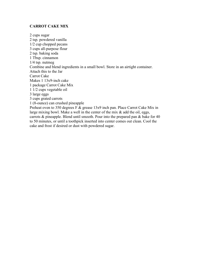#### **CARROT CAKE MIX**

2 cups sugar 2 tsp. powdered vanilla 1/2 cup chopped pecans 3 cups all-purpose flour 2 tsp. baking soda 1 Tbsp. cinnamon 1/4 tsp. nutmeg Combine and blend ingredients in a small bowl. Store in an airtight container. Attach this to the Jar Carrot Cake Makes 1 13x9-inch cake 1 package Carrot Cake Mix 1 1/2 cups vegetable oil 3 large eggs 3 cups grated carrots 1 (8-ounce) can crushed pineapple Preheat oven to 350 degrees F & grease 13x9 inch pan. Place Carrot Cake Mix in large mixing bowl. Make a well in the center of the mix  $\&$  add the oil, eggs, carrots  $\&$  pineapple. Blend until smooth. Pour into the prepared pan  $\&$  bake for 40 to 50 minutes, or until a toothpick inserted into center comes out clean. Cool the

cake and frost if desired or dust with powdered sugar.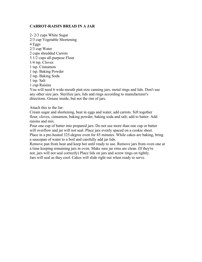#### **CARROT-RAISIN BREAD IN A JAR**

2- 2/3 cups White Sugar 2/3 cup Vegetable Shortening 4 Eggs 2/3 cup Water 2 cups shredded Carrots 3 1/2 cups all-purpose Flour 1/4 tsp. Cloves 1 tsp. Cinnamon 1 tsp. Baking Powder 2 tsp. Baking Soda 1 tsp. Salt 1 cup Raisins

You will need 6 wide-mouth pint-size canning jars, metal rings and lids. Don't use any other size jars. Sterilize jars, lids and rings according to manufacturer's directions. Grease inside, but not the rim of jars.

Attach this to the Jar:

Cream sugar and shortening, beat in eggs and water, add carrots. Sift together flour, cloves, cinnamon, baking powder, baking soda and salt; add to batter. Add raisins and mix.

Pour one cup of batter into prepared jars. Do not use more than one cup or batter will overflow and jar will not seal. Place jars evenly spaced on a cookie sheet. Place in a pre-heated 325-degree oven for 45 minutes. While cakes are baking, bring a saucepan of water to a boil and carefully add jar lids.

Remove pan from heat and keep hot until ready to use. Remove jars from oven one at a time keeping remaining jars in oven. Make sure jar rims are clean. (If they're not, jars will not seal correctly) Place lids on jars and screw rings on tightly. Jars will seal as they cool. Cakes will slide right out when ready to serve.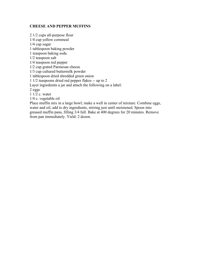#### **CHEESE AND PEPPER MUFFINS**

2 1/2 cups all-purpose flour 1/4 cup yellow cornmeal 1/4 cup sugar 1 tablespoon baking powder 1 teaspoon baking soda 1/2 teaspoon salt 1/4 teaspoon red pepper 1/2 cup grated Parmesan cheese 1/3 cup cultured buttermilk powder 1 tablespoon dried shredded green onion 1 1/2 teaspoons dried red pepper flakes -- up to 2 Layer ingredients a jar and attach the following on a label: 2 eggs 1 1/2 c. water 1/4 c. vegetable oil

Place muffin mix in a large bowl; make a well in center of mixture. Combine eggs, water and oil, add to dry ingredients, stirring just until moistened. Spoon into greased muffin pans, filling 3/4 full. Bake at 400 degrees for 20 minutes. Remove from pan immediately. Yield: 2 dozen.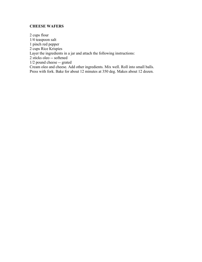# **CHEESE WAFERS**

2 cups flour 1/4 teaspoon salt 1 pinch red pepper 2 cups Rice Krispies Layer the ingredients in a jar and attach the following instructions: 2 sticks oleo -- softened 1/2 pound cheese -- grated Cream oleo and cheese. Add other ingredients. Mix well. Roll into small balls. Press with fork. Bake for about 12 minutes at 350 deg. Makes about 12 dozen.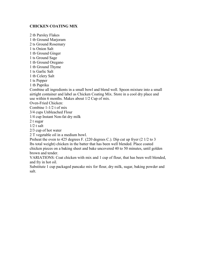# **CHICKEN COATING MIX**

2 tb Parsley Flakes 1 tb Ground Marjoram 2 ts Ground Rosemary 1 ts Onion Salt 1 tb Ground Ginger 1 ts Ground Sage 1 tb Ground Oregano 1 tb Ground Thyme 1 ts Garlic Salt 1 tb Celery Salt 1 ts Pepper 1 tb Paprika Combine all ingredients in a small bowl and blend well. Spoon mixture into a small airtight container and label as Chicken Coating Mix. Store in a cool dry place and use within 6 months. Makes about 1/2 Cup of mix. Oven-Fried Chicken: Combine 1-1/2 t of mix 3/4 cups Unbleached Flour 1/4 cup Instant Non-fat dry milk 2 t sugar  $1/2$  t salt

2/3 cup of hot water

2 T vegetable oil in a medium bowl.

Preheat the oven to 425 degrees F. (220 degrees C.). Dip cut up fryer (2 1/2 to 3 lbs total weight) chicken in the batter that has been well blended. Place coated chicken pieces on a baking sheet and bake uncovered 40 to 50 minutes, until golden brown and tender.

VARIATIONS: Coat chicken with mix and 1 cup of flour, that has been well blended, and fry in hot oil.

Substitute 1 cup packaged pancake mix for flour, dry milk, sugar, baking powder and salt.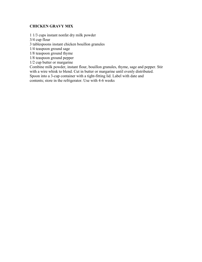# **CHICKEN GRAVY MIX**

1 1/3 cups instant nonfat dry milk powder

3/4 cup flour

3 tablespoons instant chicken bouillon granules

1/4 teaspoon ground sage

1/8 teaspoon ground thyme

1/8 teaspoon ground pepper

1/2 cup butter or margarine

Combine milk powder, instant flour, bouillon granules, thyme, sage and pepper. Stir with a wire whisk to blend. Cut in butter or margarine until evenly distributed. Spoon into a 3-cup container with a tight-fitting lid. Label with date and contents; store in the refrigerator. Use with 4-6 weeks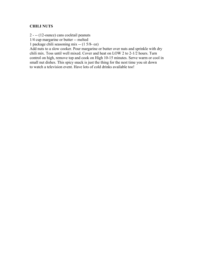### **CHILI NUTS**

2 - -- (12-ounce) cans cocktail peanuts

1/4 cup margarine or butter -- melted

1 package chili seasoning mix -- (1 5/8- oz)

Add nuts to a slow cooker. Pour margarine or butter over nuts and sprinkle with dry chili mix. Toss until well mixed. Cover and heat on LOW 2 to 2-1/2 hours. Turn control on high, remove top and cook on High 10-15 minutes. Serve warm or cool in small nut dishes. This spicy snack is just the thing for the nest time you sit down to watch a television event. Have lots of cold drinks available too!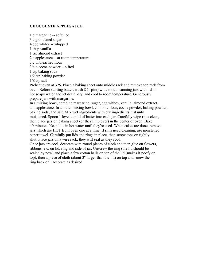#### **CHOCOLATE APPLESAUCE**

1 c margarine -- softened 3 c granulated sugar 4 egg whites -- whipped 1 tbsp vanilla 1 tsp almond extract 2 c applesauce -- at room temperature 3 c unbleached flour 3/4 c cocoa powder -- sifted 1 tsp baking soda 1/2 tsp baking powder 1/8 tsp salt

Preheat oven at 325. Place a baking sheet onto middle rack and remove top rack from oven. Before starting batter, wash 8 (1 pint) wide mouth canning jars with lids in hot soapy water and let drain, dry, and cool to room temperature. Generously prepare jars with margarine.

In a mixing bowl, combine margarine, sugar, egg whites, vanilla, almond extract, and applesauce. In another mixing bowl, combine flour, cocoa powder, baking powder, baking soda, and salt. Mix wet ingredients with dry ingredients just until moistened. Spoon 1 level cupful of batter into each jar. Carefully wipe rims clean, then place jars on baking sheet (or they'll tip over) in the center of oven. Bake 40 minutes. Keep lids in hot water until they're used. When cakes are done, remove jars which are HOT from oven one at a time. If rims need cleaning, use moistened paper towel. Carefully put lids and rings in place, then screw tops on tightly shut. Place jars on a wire rack; they will seal as they cool.

Once jars are cool, decorate with round pieces of cloth and then glue on flowers, ribbons, etc. on lid, ring and side of jar. Unscrew the ring (the lid should be sealed by now) and place a few cotton balls on top of the lid (makes it poofy on top), then a piece of cloth (about 3" larger than the lid) on top and screw the ring back on. Decorate as desired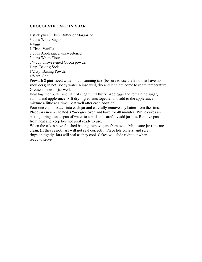### **CHOCOLATE CAKE IN A JAR**

1 stick plus 3 Tbsp. Butter or Margarine

3 cups White Sugar

4 Eggs

1 Tbsp. Vanilla

2 cups Applesauce, unsweetened

3 cups White Flour

3/4 cup unsweetened Cocoa powder

1 tsp. Baking Soda

1/2 tsp. Baking Powder

1/8 tsp. Salt

Prewash 8 pint-sized wide mouth canning jars (be sure to use the kind that have no shoulders) in hot, soapy water. Rinse well, dry and let them come to room temperature. Grease insides of jar well.

Beat together butter and half of sugar until fluffy. Add eggs and remaining sugar, vanilla and applesauce. Sift dry ingredients together and add to the applesauce mixture a little at a time: beat well after each addition .

Pour one cup of batter into each jar and carefully remove any batter from the rims. Place jars in a preheated 325-degree oven and bake for 40 minutes. While cakes are baking, bring a saucepan of water to a boil and carefully add jar lids. Remove pan from heat and keep lids hot until ready to use.

When the cakes have finished baking, remove jars from oven. Make sure jar rims are clean. (If they're not, jars will not seal correctly) Place lids on jars, and screw rings on tightly. Jars will seal as they cool. Cakes will slide right out when ready to serve.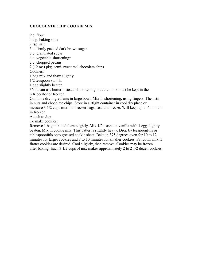# **CHOCOLATE CHIP COOKIE MIX**

9 c. flour

4 tsp. baking soda

2 tsp. salt

3 c. firmly packed dark brown sugar

3 c. granulated sugar

4 c. vegetable shortening\*

2 c. chopped pecans

2 (12 oz.) pkg. semi-sweet real chocolate chips

Cookies:

1 bag mix and thaw slightly.

1/2 teaspoon vanilla

1 egg slightly beaten

\*You can use butter instead of shortening, but then mix must be kept in the refrigerator or freezer.

Combine dry ingredients in large bowl. Mix in shortening, using fingers. Then stir in nuts and chocolate chips. Store in airtight container in cool dry place or measure 3 1/2 cups mix into freezer bags, seal and freeze. Will keep up to 6 months in freezer.

Attach to Jar:

To make cookies:

Remove 1 bag mix and thaw slightly. Mix 1/2 teaspoon vanilla with 1 egg slightly beaten. Mix in cookie mix. This batter is slightly heavy. Drop by teaspoonfuls or tablespoonfuls onto greased cookie sheet. Bake in 375 degrees oven for 10 to 12 minutes for larger cookies and 8 to 10 minutes for smaller cookies. Pat down mix if flatter cookies are desired. Cool slightly, then remove. Cookies may be frozen after baking. Each 3 1/2 cups of mix makes approximately 2 to 2 1/2 dozen cookies.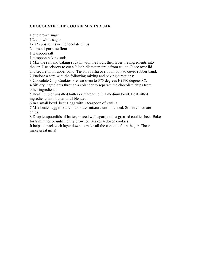# **CHOCOLATE CHIP COOKIE MIX IN A JAR**

1 cup brown sugar 1/2 cup white sugar 1-1/2 cups semisweet chocolate chips 2 cups all-purpose flour 1 teaspoon salt 1 teaspoon baking soda 1 Mix the salt and baking soda in with the flour, then layer the ingredients into the jar. Use scissors to cut a 9 inch-diameter circle from calico. Place over lid and secure with rubber band. Tie on a raffia or ribbon bow to cover rubber band. 2 Enclose a card with the following mixing and baking directions: 3 Chocolate Chip Cookies Preheat oven to 375 degrees F (190 degrees C).

4 Sift dry ingredients through a colander to separate the chocolate chips from other ingredients.

5 Beat 1 cup of unsalted butter or margarine in a medium bowl. Beat sifted ingredients into butter until blended.

6 In a small bowl, beat 1 egg with 1 teaspoon of vanilla.

7 Mix beaten egg mixture into butter mixture until blended. Stir in chocolate chips.

8 Drop teaspoonfuls of batter, spaced well apart, onto a greased cookie sheet. Bake for 8 minutes or until lightly browned. Makes 4 dozen cookies.

It helps to pack each layer down to make all the contents fit in the jar. These make great gifts!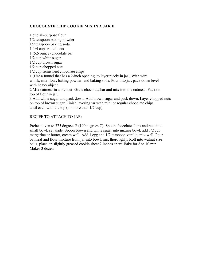# **CHOCOLATE CHIP COOKIE MIX IN A JAR II**

1 cup all-purpose flour 1/2 teaspoon baking powder 1/2 teaspoon baking soda 1-1/4 cups rolled oats 1 (5.5 ounce) chocolate bar 1/2 cup white sugar 1/2 cup brown sugar 1/2 cup chopped nuts 1/2 cup semisweet chocolate chips 1 (Use a funnel that has a 2-inch opening, to layer nicely in jar.) With wire whisk, mix flour, baking powder, and baking soda. Pour into jar, pack down level with heavy object.

2 Mix oatmeal in a blender. Grate chocolate bar and mix into the oatmeal. Pack on top of flour in jar.

3 Add white sugar and pack down. Add brown sugar and pack down. Layer chopped nuts on top of brown sugar. Finish layering jar with mini or regular chocolate chips until even with the top (no more than 1/2 cup).

#### RECIPE TO ATTACH TO JAR:

Preheat oven to 375 degrees F (190 degrees C). Spoon chocolate chips and nuts into small bowl, set aside. Spoon brown and white sugar into mixing bowl, add 1/2 cup margarine or butter, cream well. Add 1 egg and 1/2 teaspoon vanilla, mix well. Pour oatmeal and flour mixture from jar into bowl, mix thoroughly. Roll into walnut size balls, place on slightly greased cookie sheet 2 inches apart. Bake for 8 to 10 min. Makes 3 dozen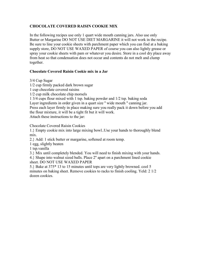# **CHOCOLATE COVERED RAISIN COOKIE MIX**

In the following recipes use only 1 quart wide mouth canning jars. Also use only Butter or Margarine DO NOT USE DIET MARGARINE it will not work in the recipe. Be sure to line your cookie sheets with parchment paper which you can find at a baking supply store, DO NOT USE WAXED PAPER of course you can also lightly grease or spray your cookie sheets with pam or whatever you desire. Store in a cool dry place away from heat so that condensation does not occur and contents do not melt and clump together.

# **Chocolate Covered Raisin Cookie mix in a Jar**

3/4 Cup Sugar

1/2 cup firmly packed dark brown sugar

1 cup chocolate covered raisins

1/2 cup milk chocolate chip morsels

1 3/4 cups flour mixed with 1 tsp. baking powder and 1/2 tsp. baking soda

Layer ingredients in order given in a quart size " wide mouth " canning jar.

Press each layer firmly in place making sure you really pack it down before you add the flour mixture, it will be a tight fit but it will work.

Attach these instructions to the jar:

Chocolate Covered Raisin Cookies

1.} Empty cookie mix into large mixing bowl..Use your hands to thoroughly blend mix.

2.} Add: 1 stick butter or margarine, softened at room temp.

1 egg, slightly beaten

1 tsp.vanilla

3.} Mix until completely blended. You will need to finish mixing with your hands.

4.} Shape into walnut sized balls. Place 2'' apart on a parchment lined cookie sheet. DO NOT USE WAXED PAPER

5.} Bake at 375\* 13 to 15 minutes until tops are very lightly browned. cool 5 minutes on baking sheet. Remove cookies to racks to finish cooling. Yeld: 2 1/2 dozen cookies.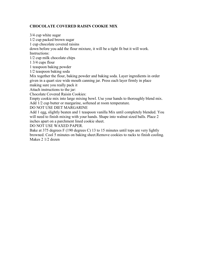# **CHOCOLATE COVERED RAISIN COOKIE MIX**

3/4 cup white sugar 1/2 cup packed brown sugar 1 cup chocolate covered raisins down before you add the flour mixture, it will be a tight fit but it will work. Instructions: 1/2 cup milk chocolate chips 1 3/4 cups flour 1 teaspoon baking powder 1/2 teaspoon baking soda Mix together the flour, baking powder and baking soda. Layer ingredients in order given in a quart size wide mouth canning jar. Press each layer firmly in place making sure you really pack it Attach instructions to the jar: Chocolate Covered Raisin Cookies: Empty cookie mix into large mixing bowl. Use your hands to thoroughly blend mix. Add 1/2 cup butter or margarine, softened at room temperature. DO NOT USE DIET MARGARINE Add 1 egg, slightly beaten and 1 teaspoon vanilla Mix until completely blended. You will need to finish mixing with your hands. Shape into walnut sized balls. Place 2 inches apart on a parchment lined cookie sheet.

DO NOT USE WAXED PAPER.

Bake at 375 degrees F (190 degrees C) 13 to 15 minutes until tops are very lightly browned. Cool 5 minutes on baking sheet.Remove cookies to racks to finish cooling. Makes 2 1/2 dozen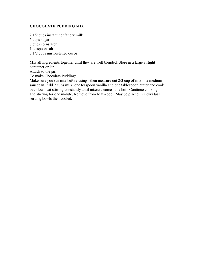## **CHOCOLATE PUDDING MIX**

2 1/2 cups instant nonfat dry milk

5 cups sugar

3 cups cornstarch

1 teaspoon salt

2 1/2 cups unsweetened cocoa

Mix all ingredients together until they are well blended. Store in a large airtight container or jar.

Attach to the jar:

To make Chocolate Pudding:

Make sure you stir mix before using - then measure out 2/3 cup of mix in a medium saucepan. Add 2 cups milk, one teaspoon vanilla and one tablespoon butter and cook over low heat stirring constantly until mixture comes to a boil. Continue cooking and stirring for one minute. Remove from heat - cool. May be placed in individual serving bowls then cooled.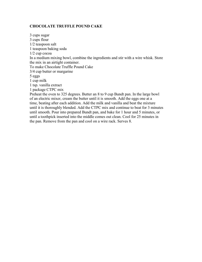### **CHOCOLATE TRUFFLE POUND CAKE**

3 cups sugar 3 cups flour 1/2 teaspoon salt 1 teaspoon baking soda 1/2 cup cocoa In a medium mixing bowl, combine the ingredients and stir with a wire whisk. Store the mix in an airtight container. To make Chocolate Truffle Pound Cake 3/4 cup butter or margarine 5 eggs 1 cup milk 1 tsp. vanilla extract 1 package CTPC mix Preheat the oven to 325 degrees. Butter an 8 to 9 cup Bundt pan. In the large bowl of an electric mixer, cream the butter until it is smooth. Add the eggs one at a time, beating after each addition. Add the milk and vanilla and beat the mixture until it is thoroughly blended. Add the CTPC mix and continue to beat for 3 minutes until smooth. Pour into prepared Bundt pan, and bake for 1 hour and 5 minutes, or until a toothpick inserted into the middle comes out clean. Cool for 25 minutes in the pan. Remove from the pan and cool on a wire rack. Serves 8.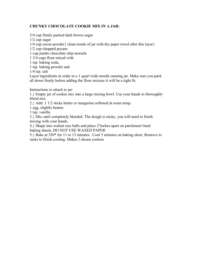# **CHUNKY CHOCOLATE COOKIE MIX IN A JAR:**

3/4 cup firmly packed dark brown sugar

1/2 cup sugar

 $1/4$  cup cocoa powder { clean inside of jar with dry paper towel after this layer }

1/2 cup chopped pecans

1 cup jumbo chocolate chip morsels

1 3/4 cups flour mixed with

1 tsp. baking soda,

1 tsp. baking powder and

1/4 tsp. salt

Layer ingredients in order in a 1 quart wide mouth canning jar. Make sure you pack all down firmly before adding the flour mixture it will be a tight fit.

Instructions to attach to jar:

1.} Empty jar of cookie mix into a large mixing bowl. Use your hands to thoroughly blend mix.

2.} Add: 1 1/2 sticks butter or margarine softened at room temp.

1 egg, slightly beaten

1 tsp. vanilla

3.} Mix until completely blended. The dough is sticky. you will need to finish mixing with your hands.

4.} Shape into walnut size balls and place 2''inches apart on parchment lined baking sheets, DO NOT USE WAXED PAPER

5.} Bake at 350\* for 11 to 13 minutes . Cool 5 minutes on baking sheet. Remove to racks to finish cooling. Makes 3 dozen cookies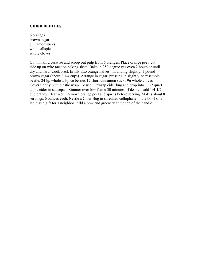#### **CIDER BEETLES**

6 oranges brown sugar cinnamon sticks whole allspice whole cloves

Cut in half crosswise and scoop out pulp from 6 oranges. Place orange peel, cut side up on wire rack on baking sheet. Bake in 250 degree gas oven 2 hours or until dry and hard. Cool. Pack firmly into orange halves, mounding slightly, 1 pound brown sugar (about 2 1/4 cups). Arrange in sugar, pressing in slightly, to resemble beetle: 24 lg. whole allspice berries 12 short cinnamon sticks 96 whole cloves Cover tightly with plastic wrap. To use: Unwrap cider bug and drop into 1 1/2 quart apple cider in saucepan. Simmer over low flame 30 minutes. If desired, add 1/4-1/2 cup brandy. Heat well. Remove orange peel and spices before serving. Makes about 8 servings, 6 ounces each. Nestle a Cider Bug in shredded cellophane in the bowl of a ladle as a gift for a neighbor. Add a bow and greenery at the top of the handle.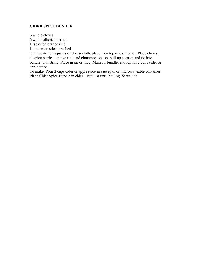#### **CIDER SPICE BUNDLE**

6 whole cloves

6 whole allspice berries

1 tsp dried orange rind

1 cinnamon stick, crushed

Cut two 4-inch squares of cheesecloth, place 1 on top of each other. Place cloves, allspice berries, orange rind and cinnamon on top, pull up corners and tie into bundle with string. Place in jar or mug. Makes 1 bundle, enough for 2 cups cider or apple juice.

To make: Pour 2 cups cider or apple juice in saucepan or microwaveable container. Place Cider Spice Bundle in cider. Heat just until boiling. Serve hot.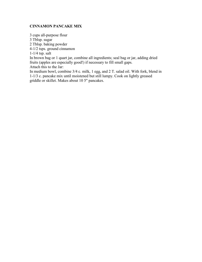#### **CINNAMON PANCAKE MIX**

3 cups all-purpose flour

3 Tblsp. sugar

2 Tblsp. baking powder

4-1/2 tsps. ground cinnamon

 $1-1/4$  tsp. salt

In brown bag or 1 quart jar, combine all ingredients; seal bag or jar, adding dried fruits (apples are especially good!) if necessary to fill small gaps.

Attach this to the Jar:

In medium bowl, combine 3/4 c. milk, 1 egg, and 2 T. salad oil. With fork, blend in 1-1/3 c. pancake mix until moistened but still lumpy. Cook on lightly greased griddle or skillet. Makes about 10 5" pancakes.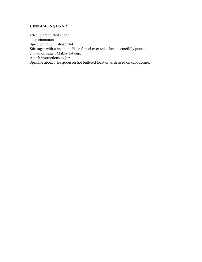# **CINNAMON SUGAR**

1/4 cup granulated sugar 4 tsp cinnamon Spice bottle with shaker lid Stir sugar with cinnamon. Place funnel over spice bottle; carefully pour in cinnamon sugar. Makes 1/4 cup. Attach instructions to jar: Sprinkle about 1 teaspoon on hot buttered toast or as desired on cappuccino.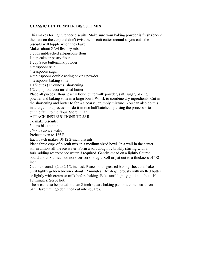# **CLASSIC BUTTERMILK BISCUIT MIX**

This makes for light, tender biscuits. Make sure your baking powder is fresh (check the date on the can) and don't twist the biscuit cutter around as you cut - the biscuits will topple when they bake.

Makes about 2 3/4 lbs. dry mix

7 cups unbleached all-purpose flour

1 cup cake or pastry flour

1 cup Saco buttermilk powder

4 teaspoons salt

4 teaspoons sugar

4 tablespoons double acting baking powder

4 teaspoons baking soda

1 1/2 cups (12 ounces) shortening

1/2 cup (4 ounces) unsalted butter

Place all purpose flour, pastry flour, buttermilk powder, salt, sugar, baking powder and baking soda in a large bowl. Whisk to combine dry ingredients. Cut in the shortening and butter to form a coarse, crumbly mixture. You can also do this in a large food processor - do it in two half batches - pulsing the processor to cut the fat into the flour. Store in jar.

ATTACH INSTRUCTIONS TO JAR:

To make biscuits:

3 cups biscuit mix

3/4 - 1 cup ice water

Preheat oven to 425 F.

Each batch makes 10-12 2-inch biscuits

Place three cups of biscuit mix in a medium sized bowl. In a well in the center, stir in almost all the ice water. Form a soft dough by briskly stirring with a fork, adding reserved ice water if required. Gently knead on a lightly floured board about 8 times - do not overwork dough. Roll or pat out to a thickness of 1/2 inch.

Cut into rounds (2 to 2 1/2 inches). Place on un-greased baking sheet and bake until lightly golden brown - about 12 minutes. Brush generously with melted butter or lightly with cream or milk before baking. Bake until lightly golden - about 10- 12 minutes. Serve hot.

These can also be patted into an 8 inch square baking pan or a 9 inch cast iron pan. Bake until golden, then cut into squares.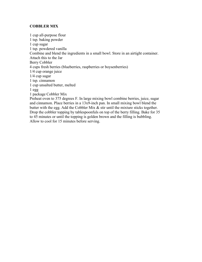# **COBBLER MIX**

1 cup all-purpose flour 1 tsp. baking powder 1 cup sugar 1 tsp. powdered vanilla Combine and blend the ingredients in a small bowl. Store in an airtight container. Attach this to the Jar Berry Cobbler 4 cups fresh berries (blueberries, raspberries or boysenberries) 1/4 cup orange juice 1/4 cup sugar 1 tsp. cinnamon 1 cup unsalted butter, melted 1 egg 1 package Cobbler Mix Preheat oven to 375 degrees F. In large mixing bowl combine berries, juice, sugar and cinnamon. Place berries in a 13x9-inch pan. In small mixing bowl blend the butter with the egg. Add the Cobbler Mix  $\&$  stir until the mixture sticks together. Drop the cobbler topping by tablespoonfuls on top of the berry filling. Bake for 35

to 45 minutes or until the topping is golden brown and the filling is bubbling. Allow to cool for 15 minutes before serving.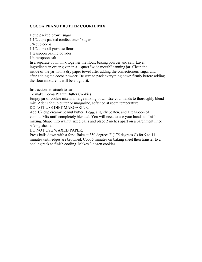# **COCOA PEANUT BUTTER COOKIE MIX**

1 cup packed brown sugar

1 1/2 cups packed confectioners' sugar

3/4 cup cocoa

1 1/2 cups all-purpose flour

1 teaspoon baking powder

1/4 teaspoon salt

In a separate bowl, mix together the flour, baking powder and salt. Layer ingredients in order given in a 1 quart ''wide mouth'' canning jar. Clean the inside of the jar with a dry paper towel after adding the confectioners' sugar and after adding the cocoa powder. Be sure to pack everything down firmly before adding the flour mixture, it will be a tight fit.

Instructions to attach to Jar:

To make Cocoa Peanut Butter Cookies:

Empty jar of cookie mix into large mixing bowl. Use your hands to thoroughly blend mix. Add: 1/2 cup butter or margarine, softened at room temperature.

DO NOT USE DIET MARGARINE.

Add 1/2 cup creamy peanut butter, 1 egg, slightly beaten, and 1 teaspoon of vanilla. Mix until completely blended. You will need to use your hands to finish mixing. Shape into walnut sized balls and place 2 inches apart on a parchment lined baking sheets.

DO NOT USE WAXED PAPER.

Press balls down with a fork. Bake at 350 degrees F (175 degrees C) for 9 to 11 minutes until edges are browned. Cool 5 minutes on baking sheet then transfer to a cooling rack to finish cooling. Makes 3 dozen cookies.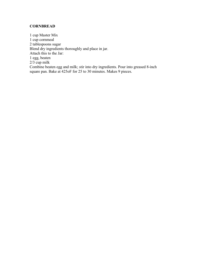# **CORNBREAD**

1 cup Master Mix 1 cup cornmeal 2 tablespoons sugar Blend dry ingredients thoroughly and place in jar. Attach this to the Jar: 1 egg, beaten 2/3 cup milk Combine beaten egg and milk; stir into dry ingredients. Pour into greased 8-inch square pan. Bake at 425oF for 25 to 30 minutes. Makes 9 pieces.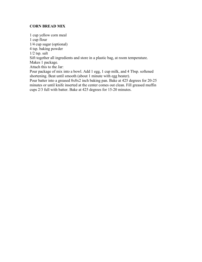### **CORN BREAD MIX**

1 cup yellow corn meal 1 cup flour 1/4 cup sugar (optional) 4 tsp. baking powder  $1/2$  tsp. salt Sift together all ingredients and store in a plastic bag, at room temperature. Makes 1 package. Attach this to the Jar: Pour package of mix into a bowl. Add 1 egg, 1 cup milk, and 4 Tbsp. softened shortening. Beat until smooth (about 1 minute with egg beater). Pour batter into a greased 8x8x2 inch baking pan. Bake at 425 degrees for 20-25 minutes or until knife inserted at the center comes out clean. Fill greased muffin cups 2/3 full with batter. Bake at 425 degrees for 15-20 minutes.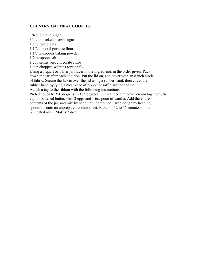# **COUNTRY OATMEAL COOKIES**

3/4 cup white sugar 3/4 cup packed brown sugar 1 cup rolled oats 1 1/2 cups all-purpose flour 1 1/2 teaspoons baking powder 1/2 teaspoon salt 1 cup semisweet chocolate chips 1 cup chopped walnuts (optional) Using a 1 quart or 1 liter jar, layer in the ingredients in the order given. Pack down the jar after each addition. Put the lid on, and cover with an 8 inch circle of fabric. Secure the fabric over the lid using a rubber band, then cover the rubber band by tying a nice piece of ribbon or raffia around the lid. Attach a tag to the ribbon with the following instructions: Preheat oven to 350 degrees F (175 degrees C). In a medium bowl, cream together 3/4 cup of softened butter, with 2 eggs and 1 teaspoon of vanilla. Add the entire

contents of the jar, and mix by hand until combined. Drop dough by heaping spoonfuls onto an unprepared cookie sheet. Bake for 12 to 15 minutes in the preheated oven. Makes 2 dozen.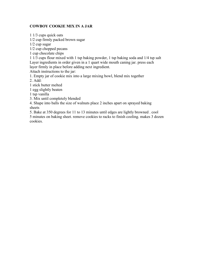# **COWBOY COOKIE MIX IN A JAR**

1/2 cup firmly packed brown sugar 1/2 cup sugar 1/2 cup chopped pecans 1 cup chocolate chips 1 1/3 cups flour mixed with 1 tsp baking powder, 1 tsp baking soda and 1/4 tsp salt Layer ingredients in order given in a 1 quart wide mouth caning jar. press each layer firmly in place before adding next ingredient. Attach instructions to the jar: 1. Empty jar of cookie mix into a large mixing bowl, blend mix together

2. Add:

1 stick butter melted

1 1/3 cups quick oats

1 egg slightly beaten

1 tsp vanilla

3. Mix until completely blended

4. Shape into balls the size of walnuts place 2 inches apart on sprayed baking sheets

5. Bake at 350 degrees for 11 to 13 minutes until edges are lightly browned . cool 5 minutes on baking sheet. remove cookies to racks to finish cooling. makes 3 dozen cookies.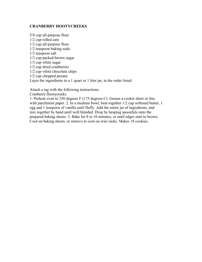### **CRANBERRY HOOTYCREEKS**

5/8 cup all-purpose flour 1/2 cup rolled oats 1/2 cup all-purpose flour 1/2 teaspoon baking soda 1/2 teaspoon salt 1/3 cup packed brown sugar 1/3 cup white sugar 1/2 cup dried cranberries 1/2 cup white chocolate chips 1/2 cup chopped pecans Layer the ingredients in a 1 quart or 1 liter jar, in the order listed.

Attach a tag with the following instructions:

Cranberry Hootycreeks

1. Preheat oven to 350 degrees F (175 degrees C). Grease a cookie sheet or line with parchment paper. 2. In a medium bowl, beat together 1/2 cup softened butter, 1 egg and 1 teaspoon of vanilla until fluffy. Add the entire jar of ingredients, and mix together by hand until well blended. Drop by heaping spoonfuls onto the prepared baking sheets. 3. Bake for 8 to 10 minutes, or until edges start to brown. Cool on baking sheets, or remove to cool on wire racks. Makes 18 cookies.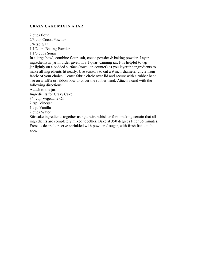### **CRAZY CAKE MIX IN A JAR**

2 cups flour 2/3 cup Cocoa Powder 3/4 tsp. Salt 1 1/2 tsp. Baking Powder 1 1/3 cups Sugar In a large bowl, combine flour, salt, cocoa powder & baking powder. Layer ingredients in jar in order given in a 1 quart canning jar. It is helpful to tap jar lightly on a padded surface (towel on counter) as you layer the ingredients to make all ingredients fit neatly. Use scissors to cut a 9 inch-diameter circle from fabric of your choice. Center fabric circle over lid and secure with a rubber band. Tie on a raffia or ribbon bow to cover the rubber band. Attach a card with the following directions: Attach to the jar: Ingredients for Crazy Cake: 3/4 cup Vegetable Oil 2 tsp. Vinegar 1 tsp. Vanilla 2 cups Water Stir cake ingredients together using a wire whisk or fork, making certain that all ingredients are completely mixed together. Bake at 350 degrees F for 35 minutes. Frost as desired or serve sprinkled with powdered sugar, with fresh fruit on the side.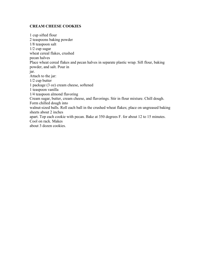## **CREAM CHEESE COOKIES**

1 cup sifted flour 2 teaspoons baking powder 1/8 teaspoon salt 1/2 cup sugar wheat cereal flakes, crushed pecan halves Place wheat cereal flakes and pecan halves in separate plastic wrap. Sift flour, baking powder, and salt. Pour in jar. Attach to the jar: 1/2 cup butter 1 package (3 oz) cream cheese, softened 1 teaspoon vanilla 1/4 teaspoon almond flavoring Cream sugar, butter, cream cheese, and flavorings. Stir in flour mixture. Chill dough. Form chilled dough into walnut-sized balls. Roll each ball in the crushed wheat flakes; place on ungreased baking sheets about 2 inches apart. Top each cookie with pecan. Bake at 350 degrees F. for about 12 to 15 minutes. Cool on rack. Makes about 3 dozen cookies.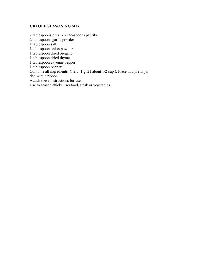# **CREOLE SEASONING MIX**

2 tablespoons plus 1-1/2 teaspoons paprika 2 tablespoons garlic powder 1 tablespoon salt 1 tablespoon onion powder 1 tablespoon dried oregano 1 tablespoon dried thyme 1 tablespoon cayenne pepper 1 tablespoon pepper Combine all ingredients. Yield: 1 gift ( about 1/2 cup ). Place in a pretty jar tied with a ribbon. Attach these instructions for use: Use to season chicken seafood, steak or vegetables.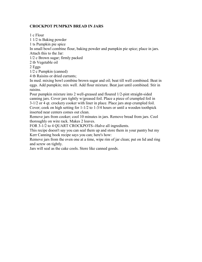# **CROCKPOT PUMPKIN BREAD IN JARS**

1 c Flour

1 1/2 ts Baking powder

1 ts Pumpkin pie spice

In small bowl combine flour, baking powder and pumpkin pie spice; place in jars. Attach this to the Jar:

1/2 c Brown sugar; firmly packed

2 tb Vegetable oil

2 Eggs

1/2 c Pumpkin (canned)

4 tb Raisins or dried currants;

In med. mixing bowl combine brown sugar and oil; beat till well combined. Beat in eggs. Add pumpkin; mix well. Add flour mixture. Beat just until combined. Stir in raisins.

Pour pumpkin mixture into 2 well-greased and floured 1/2-pint straight-sided canning jars. Cover jars tightly w/greased foil. Place a piece of crumpled foil in 3-1/2 or 4 qt. crockery cooker with liner in place. Place jars atop crumpled foil. Cover; cook on high setting for 1-1/2 to 1-3/4 hours or until a wooden toothpick

inserted near centers comes out clean.

Remove jars from cooker; cool 10 minutes in jars. Remove bread from jars. Cool thoroughly on wire rack. Makes 2 loaves.

FOR 3-1/2 to 4 QUART CROCKPOTS--Halve all ingredients.

This recipe doesn't say you can seal them up and store them in your pantry but my Kerr Canning book recipe says you can; here's how:

Remove jars from the oven one at a time, wipe rim of jar clean; put on lid and ring and screw on tightly.

Jars will seal as the cake cools. Store like canned goods.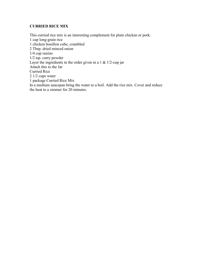# **CURRIED RICE MIX**

This curried rice mix is an interesting complement for plain chicken or pork. 1 cup long-grain rice 1 chicken bouillon cube, crumbled 2 Tbsp. dried minced onion 1/4 cup raisins 1/2 tsp. curry powder Layer the ingredients in the order given in a  $1 \& 1/2$ -cup jar Attach this to the Jar Curried Rice 2 1/2 cups water 1 package Curried Rice Mix In a medium saucepan bring the water to a boil. Add the rice mix. Cover and reduce the heat to a simmer for 20 minutes.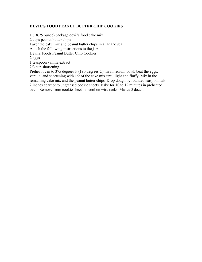# **DEVIL'S FOOD PEANUT BUTTER CHIP COOKIES**

1 (18.25 ounce) package devil's food cake mix 2 cups peanut butter chips Layer the cake mix and peanut butter chips in a jar and seal. Attach the following instructions to the jar: Devil's Foods Peanut Butter Chip Cookies 2 eggs 1 teaspoon vanilla extract 2/3 cup shortening Preheat oven to 375 degrees F (190 degrees C). In a medium bowl, beat the eggs, vanilla, and shortening with 1/2 of the cake mix until light and fluffy. Mix in the remaining cake mix and the peanut butter chips. Drop dough by rounded teaspoonfuls 2 inches apart onto ungreased cookie sheets. Bake for 10 to 12 minutes in preheated oven. Remove from cookie sheets to cool on wire racks. Makes 5 dozen.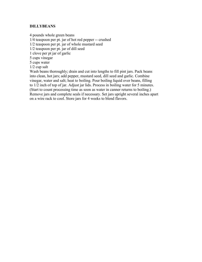# **DILLYBEANS**

4 pounds whole green beans 1/4 teaspoon per pt. jar of hot red pepper -- crushed 1/2 teaspoon per pt. jar of whole mustard seed 1/2 teaspoon per pt. jar of dill seed 1 clove per pt jar of garlic 5 cups vinegar 5 cups water 1/2 cup salt Wash beans thoroughly; drain and cut into lengths to fill pint jars. Pack beans into clean, hot jars; add pepper, mustard seed, dill seed and garlic. Combine vinegar, water and salt; heat to boiling. Pour boiling liquid over beans, filling to 1/2 inch of top of jar. Adjust jar lids. Process in boiling water for 5 minutes. (Start to count processing time as soon as water in canner returns to boiling.) Remove jars and complete seals if necessary. Set jars upright several inches apart

on a wire rack to cool. Store jars for 4 weeks to blend flavors.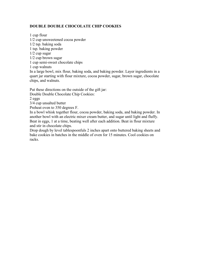# **DOUBLE DOUBLE CHOCOLATE CHIP COOKIES**

1 cup flour 1/2 cup unsweetened cocoa powder 1/2 tsp. baking soda 1 tsp. baking powder 1/2 cup sugar 1/2 cup brown sugar 1 cup semi-sweet chocolate chips 1 cup walnuts In a large bowl, mix flour, baking soda, and baking powder. Layer ingredients in a quart jar starting with flour mixture, cocoa powder, sugar, brown sugar, chocolate chips, and walnuts.

Put these directions on the outside of the gift jar:

Double Double Chocolate Chip Cookies:

2 eggs

3/4 cup unsalted butter

Preheat oven to 350 degrees F.

In a bowl whisk together flour, cocoa powder, baking soda, and baking powder. In another bowl with an electric mixer cream butter, and sugar until light and fluffy. Beat in eggs, 1 at a time, beating well after each addition. Beat in flour mixture and stir in chocolate chips.

Drop dough by level tablespoonfuls 2 inches apart onto buttered baking sheets and bake cookies in batches in the middle of oven for 15 minutes. Cool cookies on racks.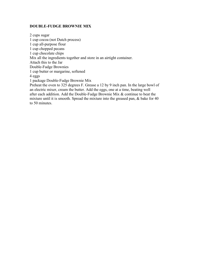## **DOUBLE-FUDGE BROWNIE MIX**

2 cups sugar 1 cup cocoa (not Dutch process) 1 cup all-purpose flour 1 cup chopped pecans 1 cup chocolate chips Mix all the ingredients together and store in an airtight container. Attach this to the Jar Double-Fudge Brownies 1 cup butter or margarine, softened 4 eggs 1 package Double-Fudge Brownie Mix Preheat the oven to 325 degrees F. Grease a 12 by 9 inch pan. In the large bowl of an electric mixer, cream the butter. Add the eggs, one at a time, beating well after each addition. Add the Double-Fudge Brownie Mix & continue to beat the mixture until it is smooth. Spread the mixture into the greased pan, & bake for 40 to 50 minutes.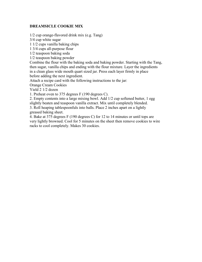# **DREAMSICLE COOKIE MIX**

1/2 cup orange-flavored drink mix (e.g. Tang)

3/4 cup white sugar

1 1/2 cups vanilla baking chips

1 3/4 cups all-purpose flour

1/2 teaspoon baking soda

1/2 teaspoon baking powder

Combine the flour with the baking soda and baking powder. Starting with the Tang, then sugar, vanilla chips and ending with the flour mixture. Layer the ingredients in a clean glass wide mouth quart sized jar. Press each layer firmly in place before adding the next ingredient.

Attach a recipe card with the following instructions to the jar:

Orange Cream Cookies

Yield 2 1/2 dozen

1. Preheat oven to 375 degrees F (190 degrees C).

2. Empty contents into a large mixing bowl. Add 1/2 cup softened butter, 1 egg slightly beaten and teaspoon vanilla extract. Mix until completely blended.

3. Roll heaping tablespoonfuls into balls. Place 2 inches apart on a lightly greased baking sheet.

4. Bake at 375 degrees F (190 degrees C) for 12 to 14 minutes or until tops are very lightly browned. Cool for 5 minutes on the sheet then remove cookies to wire racks to cool completely. Makes 30 cookies.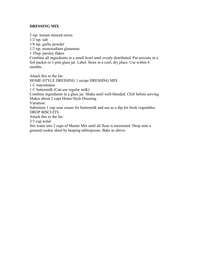# **DRESSING MIX**

2 tsp. instant minced onion 1/2 tsp. salt 1/8 tsp. garlic powder 1/2 tsp. monosodium glutamate 1 Tbsp. parsley flakes Combine all ingredients in a small bowl until evenly distributed. Put mixture in a foil packet or 1-pint glass jar. Label. Store in a cool, dry place. Use within 6 months.

Attach this to the Jar: HOME-STYLE DRESSING 1 recipe DRESSING MIX 1 C mayonnaise 1 C buttermilk (Can use regular milk) Combine ingredients in a glass jar. Shake until well-blended. Chill before serving. Makes about 2 cups Home-Style Dressing. Variation: Substitute 1 cup sour cream for buttermilk and use as a dip for fresh vegetables. DROP BISCUITS Attach this to the Jar: 2/3 cup water Stir water into 2 cups of Master Mix until all flour is moistened. Drop onto a greased cookie sheet by heaping tablespoons. Bake as above.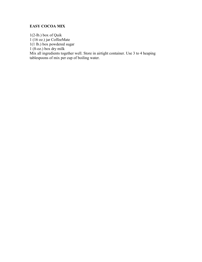# **EASY COCOA MIX**

1(2-lb.) box of Quik 1 (16 oz.) jar CoffeeMate 1(1 lb.) box powdered sugar  $1(8-\alpha z)$  box dry milk Mix all ingredients together well. Store in airtight container. Use 3 to 4 heaping tablespoons of mix per cup of boiling water.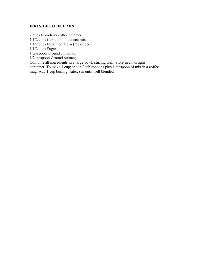# **FIRESIDE COFFEE MIX**

2 cups Non-dairy coffee creamer

1 1/2 cups Carnation hot cocoa mix

1 1/2 cups Instant coffee -- (reg or dec)

1 1/2 cups Sugar

1 teaspoon Ground cinnamon

1/2 teaspoon Ground nutmeg

Combine all ingredients in a large bowl, stirring well. Store in an airtight

container. To make 1 cup; spoon 2 tablespoons plus 1 teaspoon of mix in a coffee mug. Add 1 cup boiling water, stir until well blended.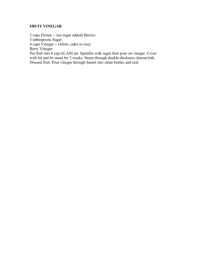# **FRUIT VINEGAR**

2 cups Frozen -- (no sugar added) Berries 3 tablespoons Sugar

4 cups Vinegar -- (white, cider or rice)

Berry Vinegar:

Put fruit into 6 cup GLASS jar. Sprinkle with sugar then pour on vinegar. Cover with lid and let stand for 2 weeks. Strain through double-thickness cheesecloth. Discard fruit. Pour vinegar through funnel into clean bottles and seal.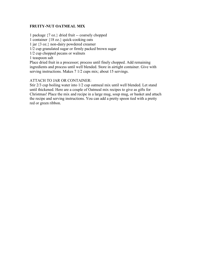# **FRUITY-NUT OATMEAL MIX**

1 package {7 oz.} dried fruit -- coarsely chopped 1 container {18 oz.} quick-cooking oats 1 jar {3 oz.} non-dairy powdered creamer 1/2 cup granulated sugar or firmly packed brown sugar 1/2 cup chopped pecans or walnuts 1 teaspoon salt Place dried fruit in a processor; process until finely chopped. Add remaining ingredients and process until well blended. Store in airtight container. Give with serving instructions. Makes 7 1/2 cups mix; about 15 servings.

# ATTACH TO JAR OR CONTAINER:

Stir 2/3 cup boiling water into 1/2 cup oatmeal mix until well blended. Let stand until thickened. Here are a couple of Oatmeal mix recipes to give as gifts for Christmas! Place the mix and recipe in a large mug, soup mug, or basket and attach the recipe and serving instructions. You can add a pretty spoon tied with a pretty red or green ribbon.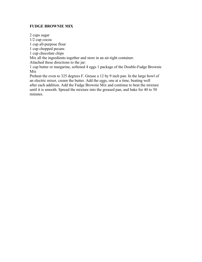# **FUDGE BROWNIE MIX**

2 cups sugar 1/2 cup cocoa 1 cup all-purpose flour 1 cup chopped pecans 1 cup chocolate chips Mix all the ingredients together and store in an air-tight container. Attached these directions to the jar: 1 cup butter or margarine, softened 4 eggs 1 package of the Double-Fudge Brownie Mix Preheat the oven to 325 degrees F. Grease a 12 by 9 inch pan. In the large bowl of an electric mixer, cream the butter. Add the eggs, one at a time, beating well after each addition. Add the Fudge Brownie Mix and continue to beat the mixture until it is smooth. Spread the mixture into the greased pan, and bake for 40 to 50 minutes.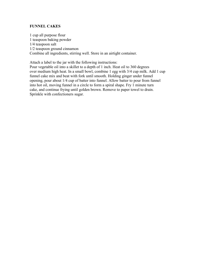### **FUNNEL CAKES**

1 cup all purpose flour 1 teaspoon baking powder 1/4 teaspoon salt 1/2 teaspoon ground cinnamon Combine all ingredients, stirring well. Store in an airtight container.

Attach a label to the jar with the following instructions:

Pour vegetable oil into a skillet to a depth of 1 inch. Heat oil to 360 degrees over medium high heat. In a small bowl, combine 1 egg with 3/4 cup milk. Add 1 cup funnel cake mix and beat with fork until smooth. Holding ginger under funnel opening, pour about 1/4 cup of batter into funnel. Allow batter to pour from funnel into hot oil, moving funnel in a circle to form a spiral shape. Fry 1 minute turn cake, and continue frying until golden brown. Remove to paper towel to drain. Sprinkle with confectioners sugar.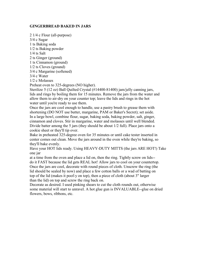# **GINGERBREAD BAKED IN JARS**

2 1/4 c Flour (all-purpose) 3/4 c Sugar 1 ts Baking soda 1/2 ts Baking powder

1/4 ts Salt

2 ts Ginger (ground)

1 ts Cinnamon (ground) 1/2 ts Cloves (ground)

3/4 c Margarine (softened)

3/4 c Water

1/2 c Molasses

Preheat oven to 325-degrees (NO higher).

Sterilize 5 (12 oz) Ball Quilted Crystal (#14400-81400) jam/jelly canning jars, lids and rings by boiling them for 15 minutes. Remove the jars from the water and allow them to air-dry on your counter top; leave the lids and rings in the hot water until you're ready to use them.

Once the jars are cool enough to handle, use a pastry brush to grease them with shortening (DO NOT use butter, margarine, PAM or Baker's Secret); set aside. In a large bowl, combine flour, sugar, baking soda, baking powder, salt, ginger, cinnamon and cloves. Stir in margarine, water and molasses until well blended. Divide batter among the 5 jars (they should be about 1/2 full). Place jars onto a cookie sheet or they'll tip over.

Bake in preheated 325-degree oven for 35 minutes or until cake tester inserted in center comes out clean. Move the jars around in the oven while they're baking, so they'll bake evenly.

Have your HOT lids ready. Using HEAVY-DUTY MITTS (the jars ARE HOT!) Take one jar

at a time from the oven and place a lid on, then the ring. Tightly screw on lids- do it FAST because the lid gets REAL hot! Allow jars to cool on your countertop. Once the jars are cool, decorate with round pieces of cloth. Unscrew the ring (the lid should be sealed by now) and place a few cotton balls or a wad of batting on top of the lid (makes it poof-y on top), then a piece of cloth (about 3" larger than the lid) on top and screw the ring back on.

Decorate as desired. I used pinking shears to cut the cloth rounds out, otherwise some material will start to unravel. A hot glue gun is INVALUABLE--glue on dried flowers, bows, ribbons, etc.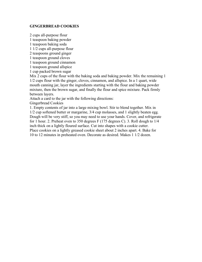### **GINGERBREAD COOKIES**

2 cups all-purpose flour 1 teaspoon baking powder

1 teaspoon baking soda

1 1/2 cups all-purpose flour

2 teaspoons ground ginger

1 teaspoon ground cloves

1 teaspoon ground cinnamon

1 teaspoon ground allspice

1 cup packed brown sugar

Mix 2 cups of the flour with the baking soda and baking powder. Mix the remaining 1 1/2 cups flour with the ginger, cloves, cinnamon, and allspice. In a 1 quart, wide mouth canning jar, layer the ingredients starting with the flour and baking powder mixture, then the brown sugar, and finally the flour and spice mixture. Pack firmly between layers.

Attach a card to the jar with the following directions:

Gingerbread Cookies

1. Empty contents of jar into a large mixing bowl. Stir to blend together. Mix in 1/2 cup softened butter or margarine, 3/4 cup molasses, and 1 slightly beaten egg. Dough will be very stiff, so you may need to use your hands. Cover, and refrigerate for 1 hour. 2. Preheat oven to 350 degrees F (175 degrees C). 3. Roll dough to 1/4 inch thick on a lightly floured surface. Cut into shapes with a cookie cutter. Place cookies on a lightly greased cookie sheet about 2 inches apart. 4. Bake for 10 to 12 minutes in preheated oven. Decorate as desired. Makes 1 1/2 dozen.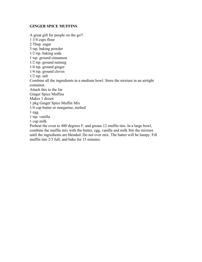#### **GINGER SPICE MUFFINS**

A great gift for people on the go!! 1 3/4 cups flour 2 Tbsp. sugar 3 tsp. baking powder 1/2 tsp. baking soda 1 tsp. ground cinnamon 1/2 tsp. ground nutmeg 1/4 tsp. ground ginger 1/4 tsp. ground cloves 1/2 tsp. salt Combine all the ingredients in a medium bowl. Store the mixture in an airtight container. Attach this to the Jar Ginger Spice Muffins Makes 1 dozen 1 pkg Ginger Spice Muffin Mix 1/4 cup butter or margarine, melted  $1$  egg 1 tsp. vanilla 1 cup milk Preheat the oven to 400 degrees F, and grease 12 muffin tins. In a large bowl, combine the muffin mix with the butter, egg, vanilla and milk Stir the mixture until the ingredients are blended. Do not over mix. The batter will be lumpy. Fill muffin tins 2/3 full, and bake for 15 minutes.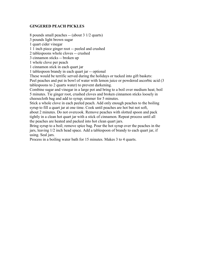# **GINGERED PEACH PICKLES**

8 pounds small peaches -- (about 3 1/2 quarts) 3 pounds light brown sugar 1 quart cider vinegar 1 1 inch piece ginger root -- peeled and crushed 2 tablespoons whole cloves -- crushed 3 cinnamon sticks -- broken up 1 whole clove per peach 1 cinnamon stick in each quart jar 1 tablespoon brandy in each quart jar -- optional These would be terrific served during the holidays or tucked into gift baskets: Peel peaches and put in bowl of water with lemon juice or powdered ascorbic acid (3 tablespoons to 2 quarts water) to prevent darkening. Combine sugar and vinegar in a large pot and bring to a boil over medium heat; boil 5 minutes. Tie ginger root, crushed cloves and broken cinnamon sticks loosely in cheesecloth bag and add to syrup; simmer for 5 minutes.

Stick a whole clove in each peeled peach. Add only enough peaches to the boiling syrup to fill a quart jar at one time. Cook until peaches are hot but not soft, about 2 minutes. Do not overcook. Remove peaches with slotted spoon and pack tightly in a clean hot quart jar with a stick of cinnamon. Repeat process until all the peaches are heated and packed into hot clean quart jars.

Bring syrup to a boil; remove spice bag. Pour the hot syrup over the peaches in the jars, leaving 1/2 inch head space. Add a tablespoon of brandy to each quart jar, if using. Seal jars.

Process in a boiling water bath for 15 minutes. Makes 3 to 4 quarts.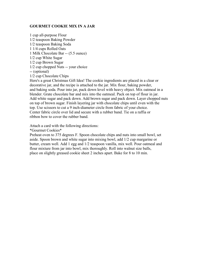# **GOURMET COOKIE MIX IN A JAR**

1 cup all-purpose Flour 1/2 teaspoon Baking Powder 1/2 teaspoon Baking Soda 1 1/4 cups Rolled Oats 1 Milk Chocolate Bar -- (5.5 ounce) 1/2 cup White Sugar 1/2 cup Brown Sugar 1/2 cup chopped Nuts -- your choice -- (optional) 1/2 cup Chocolate Chips

Here's a great Christmas Gift Idea! The cookie ingredients are placed in a clear or decorative jar, and the recipe is attached to the jar. Mix flour, baking powder, and baking soda. Pour into jar, pack down level with heavy object. Mix oatmeal in a blender. Grate chocolate bar and mix into the oatmeal. Pack on top of flour in jar. Add white sugar and pack down. Add brown sugar and pack down. Layer chopped nuts on top of brown sugar. Finish layering jar with chocolate chips until even with the top. Use scissors to cut a 9 inch-diameter circle from fabric of your choice. Center fabric circle over lid and secure with a rubber band. Tie on a raffia or ribbon bow to cover the rubber band.

Attach a card with the following directions:

\*Gourmet Cookies\*

Preheat oven to 375 degrees F. Spoon chocolate chips and nuts into small bowl, set aside. Spoon brown and white sugar into mixing bowl, add 1/2 cup margarine or butter, cream well. Add 1 egg and 1/2 teaspoon vanilla, mix well. Pour oatmeal and flour mixture from jar into bowl, mix thoroughly. Roll into walnut size balls, place on slightly greased cookie sheet 2 inches apart. Bake for 8 to 10 min.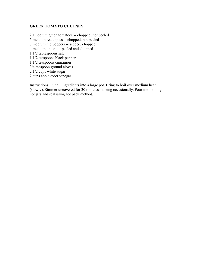# **GREEN TOMATO CHUTNEY**

20 medium green tomatoes -- chopped, not peeled 5 medium red apples -- chopped, not peeled 3 medium red peppers -- seeded, chopped 4 medium onions -- peeled and chopped 1 1/2 tablespoons salt 1 1/2 teaspoons black pepper 1 1/2 teaspoons cinnamon 3/4 teaspoon ground cloves 2 1/2 cups white sugar 2 cups apple cider vinegar

Instructions: Put all ingredients into a large pot. Bring to boil over medium heat (slowly). Simmer uncovered for 30 minutes, stirring occasionally. Pour into boiling hot jars and seal using hot pack method.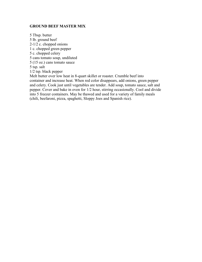## **GROUND BEEF MASTER MIX**

5 Tbsp. butter 5 lb. ground beef 2-1/2 c. chopped onions 1 c. chopped green pepper 5 c. chopped celery 5 cans tomato soup, undiluted 5 (15 oz.) cans tomato sauce 5 tsp. salt 1/2 tsp. black pepper Melt butter over low heat in 8-quart skillet or roaster. Crumble beef into container and increase heat. When red color disappears, add onions, green pepper and celery. Cook just until vegetables are tender. Add soup, tomato sauce, salt and pepper. Cover and bake in oven for 1/2 hour, stirring occasionally. Cool and divide into 5 freezer containers. May be thawed and used for a variety of family meals (chili, beefaroni, pizza, spaghetti, Sloppy Joes and Spanish rice).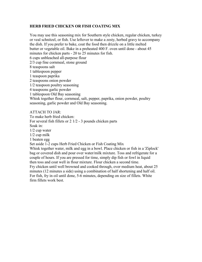# **HERB FRIED CHICKEN OR FISH COATING MIX**

You may use this seasoning mix for Southern style chicken, regular chicken, turkey or veal schnitzel, or fish. Use leftover to make a zesty, herbed gravy to accompany the dish. If you prefer to bake, coat the food then drizzle on a little melted butter or vegetable oil. Bake in a preheated 400 F. oven until done - about 45 minutes for chicken parts - 20 to 25 minutes for fish. 6 cups unbleached all-purpose flour 2/3 cup fine cornmeal, stone ground 8 teaspoons salt 1 tablespoon pepper 1 teaspoon paprika 2 teaspoons onion powder 1/2 teaspoon poultry seasoning 4 teaspoons garlic powder 1 tablespoon Old Bay seasoning Whisk together flour, cornmeal, salt, pepper, paprika, onion powder, poultry seasoning, garlic powder and Old Bay seasoning. ATTACH TO JAR: To make herb fried chicken: For several fish fillets or 2 1/2 - 3 pounds chicken parts Soak in: 1/2 cup water 1/2 cup milk

1 beaten egg Set aside 1-2 cups Herb Fried Chicken or Fish Coating Mix Whisk together water, milk and egg in a bowl. Place chicken or fish in a 'Ziplock' bag or covered dish and pour over water/milk mixture. Toss and refrigerate for a couple of hours. If you are pressed for time, simply dip fish or fowl in liquid then toss and coat well in flour mixture. Flour chicken a second time. Fry chicken until well browned and cooked through, over medium heat, about 25 minutes (12 minutes a side) using a combination of half shortening and half oil. For fish, fry in oil until done, 5-6 minutes, depending on size of fillets. White firm fillets work best.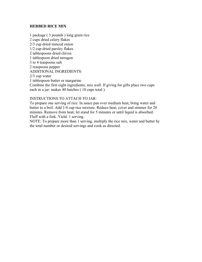### **HERBED RICE MIX**

1 package ( 3 pounds ) long grain rice 2 cups dried celery flakes 2/3 cup dried minced onion 1/2 cup dried parsley flakes 2 tablespoons dried chives 1 tablespoon dried tarragon 3 to 4 teaspoons salt 2 teaspoons pepper ADDITIONAL INGREDIENTS: 2/3 cup water 1 tablespoon butter or margarine Combine the first eight ingredients; mix well. If giving for gifts place two cups each in a jar: makes 40 batches ( 10 cups total ).

#### INSTRUCTIONS TO ATTACH TO JAR:

To prepare one serving of rice: In sauce pan over medium heat, bring water and butter to a boil. Add 1/4 cup rice mixture. Reduce heat; cover and simmer for 20 minutes. Remove from heat; let stand for 5 minutes or until liquid is absorbed. Fluff with a fork. Yield: 1 serving.

NOTE: To prepare more than 1 serving, multiply the rice mix, water and butter by the total number or desired servings and cook as directed.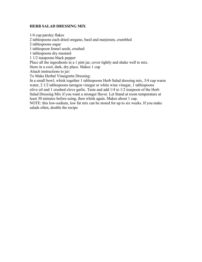# **HERB SALAD DRESSING MIX**

1/4 cup parsley flakes 2 tablespoons each dried oregano, basil and marjoram, crumbled 2 tablespoons sugar 1 tablespoon fennel seeds, crushed 1 tablespoons dry mustard 1 1/2 teaspoons black pepper Place all the ingredients in a 1 pint jar, cover tightly and shake well to mix. Store in a cool, dark, dry place. Makes 1 cup Attach instructions to jar: To Make Herbal Vinaigrette Dressing: In a small bowl, whisk together 1 tablespoons Herb Salad dressing mix, 3/4 cup warm water, 2 1/2 tablespoons tarragon vinegar or white wine vinegar, 1 tablespoons olive oil and 1 crushed clove garlic. Taste and add 1/4 to 1/2 teaspoon of the Herb Salad Dressing Mix if you want a stronger flavor. Let Stand at room temperature at least 30 minutes before using, then whisk again. Makes about 1 cup. NOTE: this low-sodium, low fat mix can be stored for up to six weeks. If you make salads often, double the recipe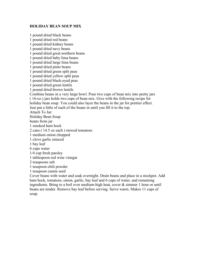#### **HOLIDAY BEAN SOUP MIX**

1 pound dried black beans 1 pound dried red beans 1 pound dried kidney beans 1 pound dried navy beans 1 pound dried great northern beans 1 pound dried baby lima beans 1 pound dried large lima beans 1 pound dried pinto beans 1 pound dried green split peas 1 pound dried yellow split peas 1 pound dried black-eyed peas 1 pound dried green lentils 1 pound dried brown lentils Combine beans in a very large bowl. Pour two cups of bean mix into pretty jars ( 16-oz.) jars holds two cups of bean mix. Give with the following recipe for holiday bean soup. You could also layer the beans in the jar for prettier effect. Just put a little of each of the beans in until you fill it to the top. Attach To Jar: Holiday Bean Soup beans from jar 1 smoked ham hock 2 cans ( 14.5 oz each ) stewed tomatoes 1 medium onion chopped 1 clove garlic minced 1 bay leaf 6 cups water 1/4 cup fresh parsley 1 tablespoon red wine vinegar 2 teaspoons salt 1 teaspoon chili powder 1 teaspoon cumin seed Cover beans with water and soak overnight. Drain beans and place in a stockpot. Add ham hock, tomatoes, onion, garlic, bay leaf and 6 cups of water, and remaining ingredients. Bring to a boil over medium-high heat, cover & simmer 1 hour or until beans are tender. Remove bay leaf before serving. Serve warm. Makes 11 cups of

soup.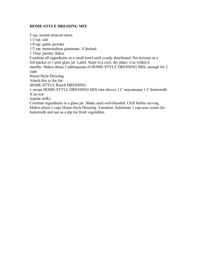### **HOME-STYLE DRESSING MIX**

2 tsp. instant minced onion 1/2 tsp. salt 1/8 tsp. garlic powder 1/2 tsp. monosodium glutamate, if desired 1 Tbsp. parsley flakes Combine all ingredients in a small bowl until evenly distributed. Put mixture in a foil packet or 1-pint glass jar. Label. Store in a cool, dry place. Use within 6 months. Makes about 2 tablespoons of HOME-STYLE DRESSING MIX, enough for 2 cups Home-Style Dressing. Attach this to the Jar: HOME-STYLE Ranch DRESSING 1 recipe HOME-STYLE DRESSING MIX (see above) 1 C mayonnaise 1 C buttermilk (Can use regular milk) Combine ingredients in a glass jar. Shake until well-blended. Chill before serving. Makes about 2 cups Home-Style Dressing. Variation: Substitute 1 cup sour cream for

buttermilk and use as a dip for fresh vegetables.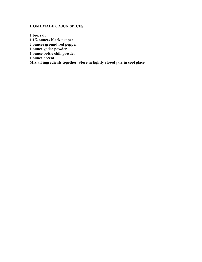# **HOMEMADE CAJUN SPICES**

**1 box salt 1 1/2 ounces black pepper 2 ounces ground red pepper 1 ounce garlic powder 1 ounce bottle chili powder 1 ounce accent Mix all ingredients together. Store in tightly closed jars in cool place.**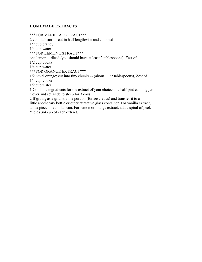## **HOMEMADE EXTRACTS**

\*\*\*FOR VANILLA EXTRACT\*\*\* 2 vanilla beans -- cut in half lengthwise and chopped 1/2 cup brandy 1/4 cup water \*\*\*FOR LEMON EXTRACT\*\*\* one lemon -- diced (you should have at least 2 tablespoons), Zest of 1/2 cup vodka 1/4 cup water \*\*\*FOR ORANGE EXTRACT\*\*\* 1/2 navel orange; cut into tiny chunks -- (about 1 1/2 tablespoons), Zest of 1/4 cup vodka 1/2 cup water 1.Combine ingredients for the extract of your choice in a half-pint canning jar. Cover and set aside to steep for 3 days. 2.If giving as a gift, strain a portion (for aesthetics) and transfer it to a little apothecary bottle or other attractive glass container. For vanilla extract,

add a piece of vanilla bean. For lemon or orange extract, add a spiral of peel. Yields 3/4 cup of each extract.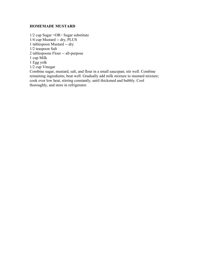#### **HOMEMADE MUSTARD**

1/2 cup Sugar =OR= Sugar substitute 1/4 cup Mustard -- dry, PLUS 1 tablespoon Mustard -- dry 1/2 teaspoon Salt 2 tablespoons Flour -- all-purpose 1 cup Milk 1 Egg yolk 1/2 cup Vinegar Combine sugar, mustard, salt, and flour in a small saucepan; stir well. Combine remaining ingredients; beat well. Gradually add milk mixture to mustard mixture; cook over low heat, stirring constantly, until thickened and bubbly. Cool thoroughly, and store in refrigerator.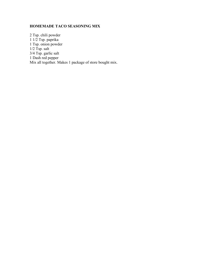# **HOMEMADE TACO SEASONING MIX**

2 Tsp. chili powder 1 1/2 Tsp. paprika 1 Tsp. onion powder  $1/2$  Tsp. salt 3/4 Tsp. garlic salt 1 Dash red pepper Mix all together. Makes 1 package of store bought mix.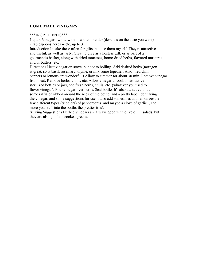## **HOME MADE VINEGARS**

#### \*\*\*INGREDIENTS\*\*\*

1 quart Vinegar - white wine -- white, or cider (depends on the taste you want) 2 tablespoons herbs -- etc, up to 3

Introduction I make these often for gifts, but use them myself. They're attractive and useful, as well as tasty. Great to give as a hostess gift, or as part of a gourmand's basket, along with dried tomatoes, home-dried herbs, flavored mustards and/or butters, etc.

Directions Heat vinegar on stove, but not to boiling. Add desired herbs (tarragon is great, so is basil, rosemary, thyme, or mix some together. Also - red chili peppers or lemons are wonderful.) Allow to simmer for about 30 min. Remove vinegar from heat. Remove herbs, chilis, etc. Allow vinegar to cool. In attractive sterilized bottles or jars, add fresh herbs, chilis, etc. (whatever you used to flavor vinegar). Pour vinegar over herbs. Seal bottle. It's also attractive to tie some raffia or ribbon around the neck of the bottle, and a pretty label identifying the vinegar, and some suggestions for use. I also add sometimes add lemon zest, a few different types (& colors) of peppercorns, and maybe a clove of garlic. (The more you stuff into the bottle, the prettier it is).

Serving Suggestions Herbed vinegars are always good with olive oil in salads, but they are also good on cooked greens.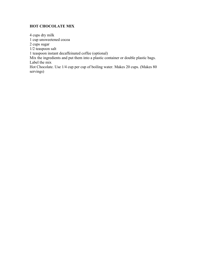# **HOT CHOCOLATE MIX**

4 cups dry milk 1 cup unsweetened cocoa 2 cups sugar 1/2 teaspoon salt 1 teaspoon instant decaffeinated coffee (optional) Mix the ingredients and put them into a plastic container or double plastic bags. Label the mix Hot Chocolate. Use 1/4 cup per cup of boiling water. Makes 20 cups. (Makes 80 servings)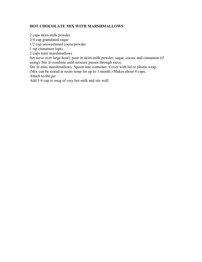# **HOT CHOCOLATE MIX WITH MARSHMALLOWS**

2 cups skim-milk powder 3/4 cup granulated sugar 1/2 cup unsweetened cocoa powder 1 tsp cinnamon (opt) 2 cups mini marshmallows Set sieve over large bowl; pour in skim-milk powder, sugar, cocoa, and cinnamon (if using). Stir to combine until mixture passes through sieve. Stir in mini marshmallows. Spoon into container. Cover with lid or plastic wrap. (Mix can be stored at room temp for up to 1 month.) Makes about 4 cups. Attach to the jar:

Add 1/4 cup to mug of very hot milk and stir well.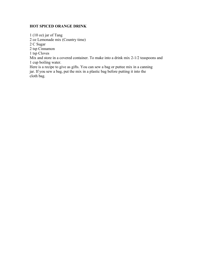# **HOT SPICED ORANGE DRINK**

1 (10 oz) jar of Tang

2 oz Lemonade mix (Country time)

2 C Sugar

2 tsp Cinnamon

1 tsp Cloves

Mix and store in a covered container. To make into a drink mix 2-1/2 teaspoons and 1 cup boiling water.

Here is a recipe to give as gifts. You can sew a bag or puttee mix in a canning jar. If you sew a bag, put the mix in a plastic bag before putting it into the cloth bag.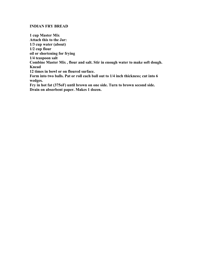#### **INDIAN FRY BREAD**

**1 cup Master Mix Attach this to the Jar: 1/3 cup water (about) 1/2 cup flour oil or shortening for frying 1/4 teaspoon salt Combine Master Mix , flour and salt. Stir in enough water to make soft dough. Knead 12 times in bowl or on floured surface. Form into two balls. Pat or roll each ball out to 1/4 inch thickness; cut into 6 wedges. Fry in hot fat (375oF) until brown on one side. Turn to brown second side. Drain on absorbent paper. Makes 1 dozen.**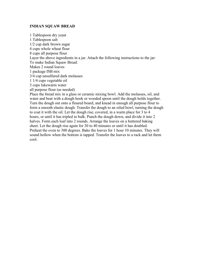#### **INDIAN SQUAW BREAD**

1 Tablespoon dry yeast 1 Tablespoon salt 1/2 cup dark brown sugar 4 cups whole wheat flour 8 cups all purpose flour Layer the above ingredients in a jar. Attach the following instructions to the jar: To make Indian Squaw Bread: Makes 2 round loaves 1 package ISB mix 3/4 cup unsulfured dark molasses 1 1/4 cups vegetable oil 3 cups lukewarm water all purpose flour (as needed) Place the bread mix in a glass or ceramic mixing bowl. Add the molasses, oil, and water and beat with a dough hook or wooded spoon until the dough holds together. Turn the dough out onto a floured board, and knead in enough all purpose flour to form a smooth elastic dough. Transfer the dough to an oiled bowl, turning the dough to coat it with the oil. Let the dough rise, covered, in a warm place for 3 to 4 hours, or until it has tripled in bulk. Punch the dough down, and divide it into 2 halves. Form each loaf into 2 rounds. Arrange the loaves on a buttered baking sheet. Let the dough rise again for 30 to 40 minutes or until it has doubled. Preheat the oven to 300 degrees. Bake the loaves for 1 hour 10 minutes. They will sound hollow when the bottom is tapped. Transfer the loaves to a rack and let them cool.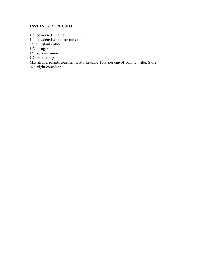# **INSTANT CAPPUCINO**

1 c. powdered creamer 1 c. powdered chocolate milk mix 2/3 c. instant coffee 1/2 c. sugar 1/2 tsp. cinnamon 1/2 tsp. nutmeg Mix all ingredients together. Use 1 heaping Tbls. per cup of boiling water. Store in airtight container.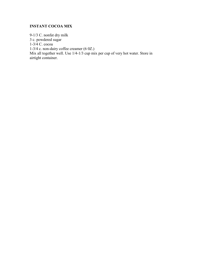# **INSTANT COCOA MIX**

9-1/3 C. nonfat dry milk 3 c. powdered sugar 1-3/4 C. cocoa 1-3/4 c. non-dairy coffee creamer (6 0Z.) Mix all together well. Use 1/4-1/3 cup mix per cup of very hot water. Store in airtight container.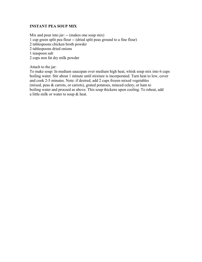## **INSTANT PEA SOUP MIX**

Mix and pour into jar: -- (makes one soup mix) 1 cup green split pea flour -- (dried split peas ground to a fine flour) 2 tablespoons chicken broth powder 2 tablespoons dried onions 1 teaspoon salt 2 cups non fat dry milk powder

Attach to the jar:

To make soup: In medium saucepan over medium high heat, whisk soup mix into 6 cups boiling water. Stir about 1 minute until mixture is incorporated. Turn heat to low, cover and cook 2-5 minutes. Note: if desired, add 2 cups frozen mixed vegetables (mixed, peas & carrots, or carrots), grated potatoes, minced celery, or ham to boiling water and proceed as above. This soup thickens upon cooling. To reheat, add a little milk or water to soup & heat.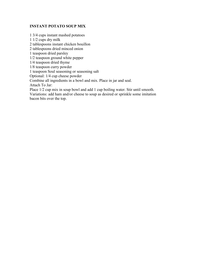## **INSTANT POTATO SOUP MIX**

1 3/4 cups instant mashed potatoes 1 1/2 cups dry milk 2 tablespoons instant chicken bouillon 2 tablespoons dried minced onion 1 teaspoon dried parsley 1/2 teaspoon ground white pepper 1/4 teaspoon dried thyme 1/8 teaspoon curry powder 1 teaspoon Soul seasoning or seasoning salt Optional: 1/4 cup cheese powder Combine all ingredients in a bowl and mix. Place in jar and seal. Attach To Jar: Place 1/2 cup mix in soup bowl and add 1 cup boiling water. Stir until smooth. Variations: add ham and/or cheese to soup as desired or sprinkle some imitation bacon bits over the top.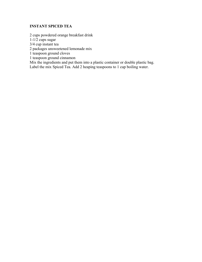# **INSTANT SPICED TEA**

2 cups powdered orange breakfast drink

 $1-1/2$  cups sugar

3/4 cup instant tea

2 packages unsweetened lemonade mix

1 teaspoon ground cloves

1 teaspoon ground cinnamon

Mix the ingredients and put them into a plastic container or double plastic bag. Label the mix Spiced Tea. Add 2 heaping teaspoons to 1 cup boiling water.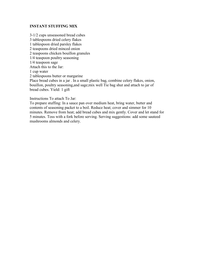## **INSTANT STUFFING MIX**

3-1/2 cups unseasoned bread cubes 3 tablespoons dried celery flakes 1 tablespoon dried parsley flakes 2 teaspoons dried minced onion 2 teaspoons chicken bouillon granules 1/4 teaspoon poultry seasoning 1/4 teaspoon sage Attach this to the Jar: 1 cup water 2 tablespoons butter or margarine Place bread cubes in a jar . In a small plastic bag, combine celery flakes, onion, bouillon, poultry seasoning,and sage;mix well Tie bag shut and attach to jar of bread cubes. Yield: 1 gift

Instructions To attach To Jar:

To prepare stuffing: In a sauce pan over medium heat, bring water, butter and contents of seasoning packet to a boil. Reduce heat; cover and simmer for 10 minutes. Remove from heat; add bread cubes and mix gently. Cover and let stand for 5 minutes. Toss with a fork before serving. Serving suggestions: add some sauteed mushrooms almonds and celery.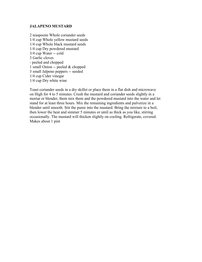#### **JALAPENO MUSTARD**

2 teaspoons Whole coriander seeds 1/4 cup Whole yellow mustard seeds 1/4 cup Whole black mustard seeds 1/4 cup Dry powdered mustard 3/4 cup Water -- cold 3 Garlic cloves - peeled and chopped 1 small Onion -- peeled & chopped 3 small Jalpeno peppers -- seeded 1/4 cup Cider vinegar 1/4 cup Dry white wine

Toast coriander seeds in a dry skillet or place them in a flat dish and microwave on High for 4 to 5 minutes. Crush the mustard and coriander seeds slightly in a mortar or blender, them mix them and the powdered mustard into the water and let stand for at least three hours. Mix the remaining ingredients and pulverize in a blender until smooth. Stir the puree into the mustard. Bring the mixture to a boil, then lower the heat and simmer 5 minutes or until as thick as you like, stirring occasionally. The mustard will thicken slightly on cooling. Refrigerate, covered. Makes about 1 pint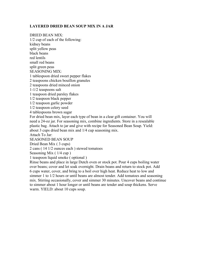## **LAYERED DRIED BEAN SOUP MIX IN A JAR**

DRIED BEAN MIX: 1/2 cup of each of the following: kidney beans split yellow peas black beans red lentils small red beans split green peas SEASONING MIX: 1 tablespoon dried sweet pepper flakes 2 teaspoons chicken bouillon granules 2 teaspoons dried minced onion 1-1/2 teaspoons salt 1 teaspoon dried parsley flakes 1/2 teaspoon black pepper 1/2 teaspoon garlic powder 1/2 teaspoon celery seed 4 tablespoons brown sugar For dried bean mix, layer each type of bean in a clear gift container. You will need a 24-oz jar. For seasoning mix, combine ingredients. Store in a resealable plastic bag. Attach to jar and give with recipe for Seasoned Bean Soup. Yield: about 3 cups dried bean mix and 1/4 cup seasoning mix. Attach To Jar: SEASONED BEAN SOUP Dried Bean Mix ( 3 cups) 2 cans ( 14 1/2 ounces each ) stewed tomatoes Seasoning Mix ( 1/4 cup ) 1 teaspoon liquid smoke ( optional ) Rinse beans and place in large Dutch oven or stock pot. Pour 4 cups boiling water over beans; cover and let soak overnight. Drain beans and return to stock pot. Add 6 cups water, cover, and bring to a boil over high heat. Reduce heat to low and

simmer 1 to 1/2 hours or until beans are almost tender. Add tomatoes and seasoning mix. Stirring occasionally, cover and simmer 30 minutes. Uncover beans and continue to simmer about 1 hour longer or until beans are tender and soup thickens. Serve warm. YIELD: about 10 cups soup.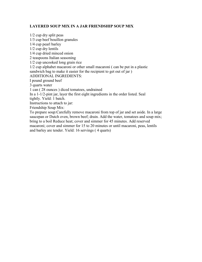# **LAYERED SOUP MIX IN A JAR FRIENDSHIP SOUP MIX**

1/2 cup dry split peas 1/3 cup beef bouillon granules 1/4 cup pearl barley 1/2 cup dry lentils 1/4 cup dried minced onion 2 teaspoons Italian seasoning 1/2 cup uncooked long grain rice 1/2 cup alphabet macaroni or other small macaroni ( can be put in a plastic sandwich bag to make it easier for the recipient to get out of jar ) ADDITIONAL INGREDIENTS: I pound ground beef 3 quarts water 1 can ( 28 ounces ) diced tomatoes, undrained In a 1-1/2-pint jar, layer the first eight ingredients in the order listed. Seal tightly. Yield: 1 batch. Instructions to attach to jar: Friendship Soup Mix: To prepare soup:Carefully remove macaroni from top of jar and set aside. In a large saucepan or Dutch oven, brown beef; drain. Add the water, tomatoes and soup mix; bring to a boil Reduce heat; cover and simmer for 45 minutes. Add reserved macaroni; cover and simmer for 15 to 20 minutes or until macaroni, peas, lentils and barley are tender. Yield: 16 servings ( 4 quarts)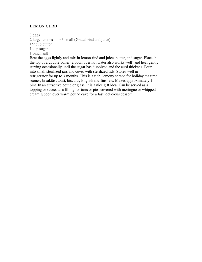## **LEMON CURD**

3 eggs

2 large lemons -- or 3 small (Grated rind and juice)

1/2 cup butter

1 cup sugar

1 pinch salt

Beat the eggs lightly and mix in lemon rind and juice, butter, and sugar. Place in the top of a double boiler (a bowl over hot water also works well) and heat gently, stirring occasionally until the sugar has dissolved and the curd thickens. Pour into small sterilized jars and cover with sterilized lids. Stores well in refrigerator for up to 3 months. This is a rich, lemony spread for holiday tea time scones, breakfast toast, biscuits, English muffins, etc. Makes approximately 1 pint. In an attractive bottle or glass, it is a nice gift idea. Can be served as a topping or sauce, as a filling for tarts or pies covered with meringue or whipped cream. Spoon over warm pound cake for a fast, delicious dessert.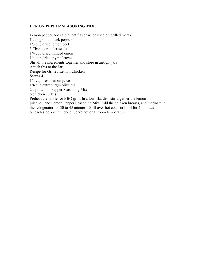#### **LEMON PEPPER SEASONING MIX**

Lemon pepper adds a piquant flavor when used on grilled meats. 1 cup ground black pepper 1/3 cup dried lemon peel 3 Tbsp. coriander seeds 1/4 cup dried minced onion 1/4 cup dried thyme leaves Stir all the ingredients together and store in airtight jars Attach this to the Jar Recipe for Grilled Lemon Chicken Serves 4 1/4 cup fresh lemon juice 1/4 cup extra virgin olive oil 2 tsp. Lemon Pepper Seasoning Mix 6 chicken cutlets Preheat the broiler or BBQ grill. In a low, flat dish stir together the lemon juice, oil and Lemon Pepper Seasoning Mix. Add the chicken breasts, and marinate in the refrigerator for 30 to 45 minutes. Grill over hot coals or broil for 4 minutes on each side, or until done. Serve hot or at room temperature.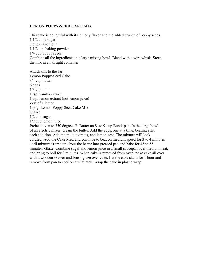#### **LEMON POPPY-SEED CAKE MIX**

This cake is delightful with its lemony flavor and the added crunch of poppy seeds. 1 1/2 cups sugar 3 cups cake flour 1 1/2 tsp. baking powder 1/4 cup poppy seeds Combine all the ingredients in a large mixing bowl. Blend with a wire whisk. Store the mix in an airtight container.

Attach this to the Jar Lemon Poppy-Seed Cake 3/4 cup butter 6 eggs 1/3 cup milk 1 tsp. vanilla extract 1 tsp. lemon extract (not lemon juice) Zest of 1 lemon 1 pkg. Lemon Poppy-Seed Cake Mix Glaze: 1/2 cup sugar 1/2 cup lemon juice Preheat oven to 350 degrees F. Butter an 8- to 9-cup Bundt pan. In the large bowl of an electric mixer, cream the butter. Add the eggs, one at a time, beating after each addition. Add the milk, extracts, and lemon zest. The mixture will look curdled. Add the Cake Mix, and continue to beat on medium speed for 3 to 4 minutes until mixture is smooth. Pour the batter into greased pan and bake for 45 to 55 minutes. Glaze: Combine sugar and lemon juice in a small saucepan over medium heat, and bring to boil for 3 minutes. When cake is removed from oven, poke cake all over with a wooden skewer and brush glaze over cake. Let the cake stand for 1 hour and remove from pan to cool on a wire rack. Wrap the cake in plastic wrap.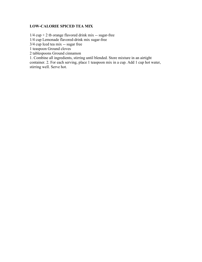# **LOW-CALORIE SPICED TEA MIX**

 $1/4$  cup  $+ 2$  tb orange flavored drink mix -- sugar-free 1/4 cup Lemonade flavored-drink mix sugar-free

3/4 cup Iced tea mix -- sugar free

1 teaspoon Ground cloves

2 tablespoons Ground cinnamon

1. Combine all ingredients, stirring until blended. Store mixture in an airtight

container. 2. For each serving, place 1 teaspoon mix in a cup. Add 1 cup hot water, stirring well. Serve hot.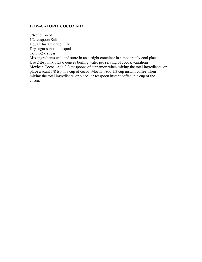## **LOW-CALORIE COCOA MIX**

3/4 cup Cocoa 1/2 teaspoon Salt 1 quart Instant dried milk Dry sugar substitute equal To  $1 \frac{1}{2}$  c sugar Mix ingredients well and store in an airtight container in a moderately cool place. Use 2 tbsp mix plus 6 ounces boiling water per serving of cocoa. variations: Mexican Cocoa: Add 2-3 teaspoons of cinnamon when mixing the total ingredients. or place a scant 1/8 tsp in a cup of cocoa. Mocha: Add 1/3 cup instant coffee when mixing the total ingredients; or place 1/2 teaspoon instant coffee in a cup of the cocoa.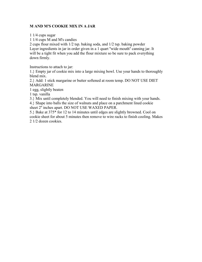## **M AND M'S COOKIE MIX IN A JAR**

1 1/4 cups sugar

1 1/4 cups M and M's candies

2 cups flour mixed with 1/2 tsp. baking soda, and 1/2 tsp. baking powder Layer ingredients in jar in order given in a 1 quart ''wide mouth'' canning jar. It will be a tight fit when you add the flour mixture so be sure to pack everything down firmly.

Instructions to attach to jar:

1.} Empty jar of cookie mix into a large mixing bowl. Use your hands to thoroughly blend mix.

2.} Add: 1 stick margarine or butter softened at room temp. DO NOT USE DIET MARGARINE

1 egg, slightly beaten

1 tsp. vanilla

3.} Mix until completely blended. You will need to finish mixing with your hands.

4.} Shape into balls the size of walnuts and place on a parchment lined cookie sheet 2'' inches apart. DO NOT USE WAXED PAPER.

5.} Bake at 375\* for 12 to 14 minutes until edges are slightly browned. Cool on cookie sheet for about 5 minutes then remove to wire racks to finish cooling. Makes 2 1/2 dozen cookies.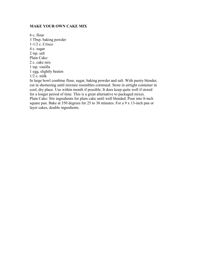#### **MAKE YOUR OWN CAKE MIX**

6 c. flour 3 Tbsp. baking powder 1-1/2 c. Crisco 4 c. sugar 2 tsp. salt Plain Cake: 2 c. cake mix 1 tsp. vanilla 1 egg, slightly beaten 1/2 c. milk

In large bowl combine flour, sugar, baking powder and salt. With pastry blender, cut in shortening until mixture resembles cornmeal. Store in airtight container in cool, dry place. Use within month if possible. It does keep quite well if stored for a longer period of time. This is a great alternative to packaged mixes. Plain Cake: Stir ingredients for plain cake until well blended. Pour into 8-inch square pan. Bake at 350 degrees for 25 to 30 minutes. For a 9 x 13-inch pan or layer cakes, double ingredients.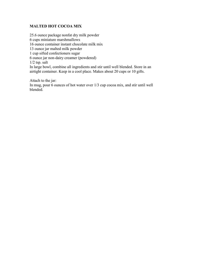# **MALTED HOT COCOA MIX**

25.6 ounce package nonfat dry milk powder 6 cups miniature marshmallows 16 ounce container instant chocolate milk mix 13 ounce jar malted milk powder 1 cup sifted confectioners sugar 6 ounce jar non-dairy creamer (powdered) 1/2 tsp. salt In large bowl, combine all ingredients and stir until well blended. Store in an airtight container. Keep in a cool place. Makes about 20 cups or 10 gifts.

Attach to the jar:

In mug, pour 6 ounces of hot water over 1/3 cup cocoa mix, and stir until well blended.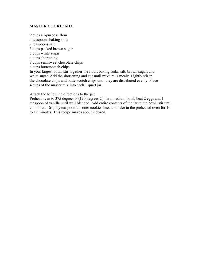### **MASTER COOKIE MIX**

9 cups all-purpose flour 4 teaspoons baking soda 2 teaspoons salt 3 cups packed brown sugar 3 cups white sugar 4 cups shortening 8 cups semisweet chocolate chips 4 cups butterscotch chips In your largest bowl, stir together the flour, baking soda, salt, brown sugar, and white sugar. Add the shortening and stir until mixture is mealy. Lightly stir in the chocolate chips and butterscotch chips until they are distributed evenly. Place 4 cups of the master mix into each 1 quart jar.

Attach the following directions to the jar:

Preheat oven to 375 degrees F (190 degrees C). In a medium bowl, beat 2 eggs and 1 teaspoon of vanilla until well blended. Add entire contents of the jar to the bowl, stir until combined. Drop by teaspoonfuls onto cookie sheet and bake in the preheated oven for 10 to 12 minutes. This recipe makes about 2 dozen.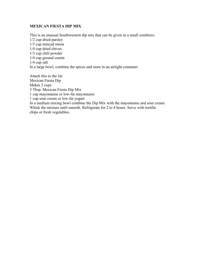## **MEXICAN FIESTA DIP MIX**

This is an unusual Southwestern dip mix that can be given in a small sombrero. 1/2 cup dried parsley 1/3 cup minced onion 1/4 cup dried chives 1/3 cup chili powder 1/4 cup ground cumin 1/4 cup salt In a large bowl, combine the spices and store in an airtight container.

Attach this to the Jar Mexican Fiesta Dip Makes 2 cups 3 Tbsp. Mexican Fiesta Dip Mix 1 cup mayonnaise or low-fat mayonnaise 1 cup sour cream or low-fat yogurt In a medium mixing bowl combine the Dip Mix with the mayonnaise and sour cream. Whisk the mixture until smooth. Refrigerate for 2 to 4 hours. Serve with tortilla chips or fresh vegetables.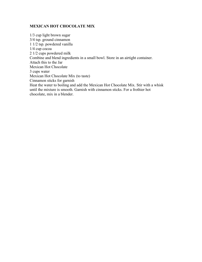### **MEXICAN HOT CHOCOLATE MIX**

1/3 cup light brown sugar 3/4 tsp. ground cinnamon 1 1/2 tsp. powdered vanilla 1/4 cup cocoa 2 1/2 cups powdered milk Combine and blend ingredients in a small bowl. Store in an airtight container. Attach this to the Jar Mexican Hot Chocolate 3 cups water Mexican Hot Chocolate Mix (to taste) Cinnamon sticks for garnish Heat the water to boiling and add the Mexican Hot Chocolate Mix. Stir with a whisk until the mixture is smooth. Garnish with cinnamon sticks. For a frothier hot chocolate, mix in a blender.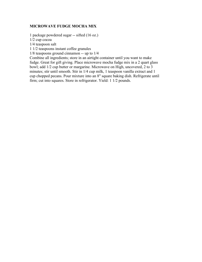#### **MICROWAVE FUDGE MOCHA MIX**

1 package powdered sugar -- sifted (16 oz.)

1/2 cup cocoa

1/4 teaspoon salt

1 1/2 teaspoons instant coffee granules

1/8 teaspoons ground cinnamon -- up to 1/4

Combine all ingredients; store in an airtight container until you want to make fudge. Great for gift giving. Place microwave mocha fudge mix in a 2 quart glass bowl; add 1/2 cup butter or margarine. Microwave on High, uncovered, 2 to 3 minutes; stir until smooth. Stir in 1/4 cup milk, 1 teaspoon vanilla extract and 1 cup chopped pecans. Pour mixture into an 8" square baking dish. Refrigerate until firm; cut into squares. Store in refrigerator. Yield: 1 1/2 pounds.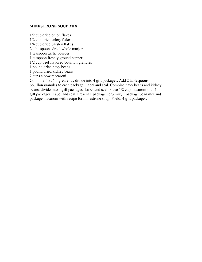#### **MINESTRONE SOUP MIX**

1/2 cup dried onion flakes 1/2 cup dried celery flakes 1/4 cup dried parsley flakes 2 tablespoons dried whole marjoram 1 teaspoon garlic powder 1 teaspoon freshly ground pepper 1/2 cup beef flavored bouillon granules 1 pound dried navy beans 1 pound dried kidney beans 2 cups elbow macaroni Combine first 6 ingredients; divide into 4 gift packages. Add 2 tablespoons bouillon granules to each package. Label and seal. Combine navy beans and kidney beans; divide into 4 gift packages. Label and seal. Place 1/2 cup macaroni into 4 gift packages. Label and seal. Present 1 package herb mix, 1 package bean mix and 1 package macaroni with recipe for minestrone soup. Yield: 4 gift packages.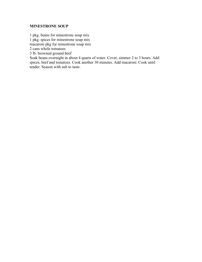## **MINESTRONE SOUP**

1 pkg. beans for minestrone soup mix 1 pkg. spices for minestrone soup mix

macaroni pkg for minestrone soup mix

2 cans whole tomatoes

3 lb. browned ground beef

Soak beans overnight in about 4 quarts of water. Cover, simmer 2 to 3 hours. Add spices, beef and tomatoes. Cook another 30 minutes. Add macaroni. Cook until tender. Season with salt to taste.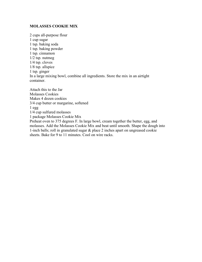#### **MOLASSES COOKIE MIX**

2 cups all-purpose flour 1 cup sugar 1 tsp. baking soda 1 tsp. baking powder 1 tsp. cinnamon 1/2 tsp. nutmeg 1/4 tsp. cloves 1/8 tsp. allspice 1 tsp. ginger In a large mixing bowl, combine all ingredients. Store the mix in an airtight container.

Attach this to the Jar Molasses Cookies Makes 4 dozen cookies 3/4 cup butter or margarine, softened 1 egg 1/4 cup sulfured molasses 1 package Molasses Cookie Mix Preheat oven to 375 degrees F. In large bowl, cream together the butter, egg, and molasses. Add the Molasses Cookie Mix and beat until smooth. Shape the dough into 1-inch balls; roll in granulated sugar & place 2 inches apart on ungreased cookie sheets. Bake for 9 to 11 minutes. Cool on wire racks.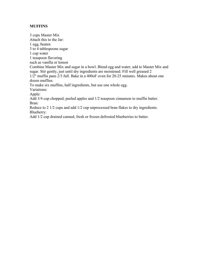## **MUFFINS**

3 cups Master Mix Attach this to the Jar: 1 egg, beaten 3 to 4 tablespoons sugar 1 cup water 1 teaspoon flavoring such as vanilla or lemon Combine Master Mix and sugar in a bowl. Blend egg and water; add to Master Mix and sugar. Stir gently, just until dry ingredients are moistened. Fill well greased 2 1/2" muffin pans 2/3 full. Bake in a 400oF oven for 20-25 minutes. Makes about one dozen muffins. To make six muffins, half ingredients, but use one whole egg. Variations: Apple: Add 3/4 cup chopped, peeled apples and 1/2 teaspoon cinnamon to muffin batter. Bran: Reduce to 2 1/2 cups and add 1/2 cup unprocessed bran flakes to dry ingredients. Blueberry:

Add 1/2 cup drained canned, fresh or frozen defrosted blueberries to batter.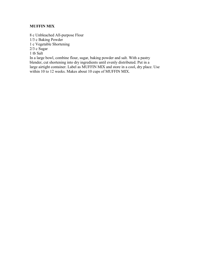# **MUFFIN MIX**

8 c Unbleached All-purpose Flour

1/3 c Baking Powder

1 c Vegetable Shortening

2/3 c Sugar

1 tb Salt

In a large bowl, combine flour, sugar, baking powder and salt. With a pastry blender, cut shortening into dry ingredients until evenly distributed. Put in a large airtight container. Label as MUFFIN MIX and store in a cool, dry place. Use within 10 to 12 weeks. Makes about 10 cups of MUFFIN MIX.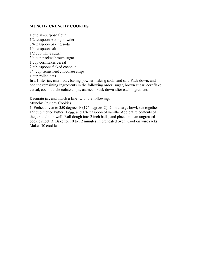#### **MUNCHY CRUNCHY COOKIES**

1 cup all-purpose flour 1/2 teaspoon baking powder 3/4 teaspoon baking soda 1/4 teaspoon salt 1/2 cup white sugar 3/4 cup packed brown sugar 1 cup cornflakes cereal 2 tablespoons flaked coconut 3/4 cup semisweet chocolate chips 1 cup rolled oats In a 1 liter jar, mix flour, baking powder, baking soda, and salt. Pack down, and add the remaining ingredients in the following order: sugar, brown sugar, cornflake cereal, coconut, chocolate chips, oatmeal. Pack down after each ingredient.

Decorate jar, and attach a label with the following:

Munchy Crunchy Cookies

1. Preheat oven to 350 degrees F (175 degrees C). 2. In a large bowl, stir together 1/2 cup melted butter, 1 egg, and 1/4 teaspoon of vanilla. Add entire contents of the jar, and mix well. Roll dough into 2 inch balls, and place onto an ungreased cookie sheet. 3. Bake for 10 to 12 minutes in preheated oven. Cool on wire racks. Makes 30 cookies.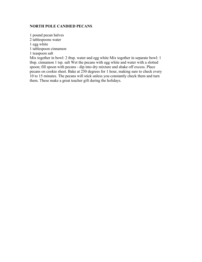#### **NORTH POLE CANDIED PECANS**

1 pound pecan halves 2 tablespoons water 1 egg white 1 tablespoon cinnamon 1 teaspoon salt Mix together in bowl: 2 tbsp. water and egg white Mix together in separate bowl: 1

tbsp. cinnamon 1 tsp. salt Wet the pecans with egg white and water with a slotted spoon; fill spoon with pecans - dip into dry mixture and shake off excess. Place pecans on cookie sheet. Bake at 250 degrees for 1 hour, making sure to check every 10 to 15 minutes. The pecans will stick unless you constantly check them and turn them. These make a great teacher gift during the holidays.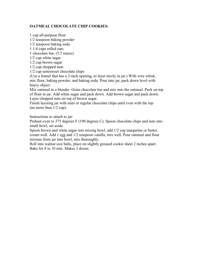# **OATMEAL CHOCOLATE CHIP COOKIES:**

1 cup all-purpose flour 1/2 teaspoon baking powder 1/2 teaspoon baking soda 1 1/4 cups rolled oats 1 chocolate bar, (5.5 ounce) 1/2 cup white sugar 1/2 cup brown sugar 1/2 cup chopped nuts 1/2 cup semisweet chocolate chips

(Use a funnel that has a 2-inch opening, to layer nicely in jar.) With wire whisk, mix flour, baking powder, and baking soda. Pour into jar, pack down level with heavy object.

Mix oatmeal in a blender. Grate chocolate bar and mix into the oatmeal. Pack on top of flour in jar. Add white sugar and pack down. Add brown sugar and pack down. Layer chopped nuts on top of brown sugar.

Finish layering jar with mini or regular chocolate chips until even with the top (no more than 1/2 cup).

Instructions to attach to jar:

Preheat oven to 375 degrees F (190 degrees C). Spoon chocolate chips and nuts into small bowl, set aside.

Spoon brown and white sugar into mixing bowl, add 1/2 cup margarine or butter, cream well. Add 1 egg and 1/2 teaspoon vanilla, mix well. Pour oatmeal and flour mixture from jar into bowl, mix thoroughly.

Roll into walnut size balls, place on slightly greased cookie sheet 2 inches apart. Bake for 8 to 10 min. Makes 3 dozen.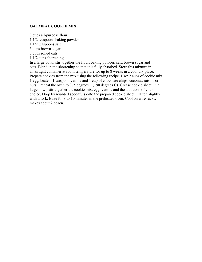#### **OATMEAL COOKIE MIX**

3 cups all-purpose flour 1 1/2 teaspoons baking powder 1 1/2 teaspoons salt 3 cups brown sugar 2 cups rolled oats 1 1/2 cups shortening

In a large bowl, stir together the flour, baking powder, salt, brown sugar and oats. Blend in the shortening so that it is fully absorbed. Store this mixture in an airtight container at room temperature for up to 8 weeks in a cool dry place. Prepare cookies from the mix using the following recipe. Use: 2 cups of cookie mix, 1 egg, beaten, 1 teaspoon vanilla and 1 cup of chocolate chips, coconut, raisins or nuts. Preheat the oven to 375 degrees F (190 degrees C). Grease cookie sheet. In a large bowl, stir together the cookie mix, egg, vanilla and the additions of your choice. Drop by rounded spoonfuls onto the prepared cookie sheet. Flatten slightly with a fork. Bake for 8 to 10 minutes in the preheated oven. Cool on wire racks. makes about 2 dozen.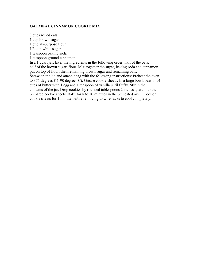#### **OATMEAL CINNAMON COOKIE MIX**

3 cups rolled oats 1 cup brown sugar 1 cup all-purpose flour 1/3 cup white sugar 1 teaspoon baking soda 1 teaspoon ground cinnamon In a 1 quart jar, layer the ingredients in the following order: half of the oats, half of the brown sugar, flour. Mix together the sugar, baking soda and cinnamon, put on top of flour, then remaining brown sugar and remaining oats. Screw on the lid and attach a tag with the following instructions: Preheat the oven to 375 degrees F (190 degrees C). Grease cookie sheets. In a large bowl, beat 1 1/4 cups of butter with 1 egg and 1 teaspoon of vanilla until fluffy. Stir in the contents of the jar. Drop cookies by rounded tablespoons 2 inches apart onto the prepared cookie sheets. Bake for 8 to 10 minutes in the preheated oven. Cool on cookie sheets for 1 minute before removing to wire racks to cool completely.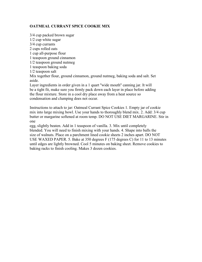# **OATMEAL CURRANT SPICE COOKIE MIX**

3/4 cup packed brown sugar 1/2 cup white sugar 3/4 cup currants 2 cups rolled oats 1 cup all-purpose flour 1 teaspoon ground cinnamon 1/2 teaspoon ground nutmeg 1 teaspoon baking soda 1/2 teaspoon salt Mix together flour, ground cinnamon, ground nutmeg, baking soda and salt. Set aside. Layer ingredients in order given in a 1 quart ''wide mouth'' canning jar. It will be a tight fit, make sure you firmly pack down each layer in place before adding the flour mixture. Store in a cool dry place away from a heat source so

condensation and clumping does not occur.

Instructions to attach to jar: Oatmeal Currant Spice Cookies 1. Empty jar of cookie mix into large mixing bowl. Use your hands to thoroughly blend mix. 2. Add: 3/4 cup butter or margarine softened at room temp. DO NOT USE DIET MARGARINE. Stir in one

egg, slightly beaten. Add in 1 teaspoon of vanilla. 3. Mix until completely blended. You will need to finish mixing with your hands. 4. Shape into balls the size of walnuts. Place on a parchment lined cookie sheets 2 inches apart. DO NOT USE WAXED PAPER. 5. Bake at 350 degrees F (175 degrees C) for 11 to 13 minutes until edges are lightly browned. Cool 5 minutes on baking sheet. Remove cookies to baking racks to finish cooling. Makes 3 dozen cookies.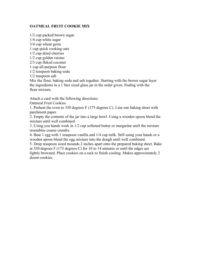# **OATMEAL FRUIT COOKIE MIX**

1/2 cup packed brown sugar

1/4 cup white sugar

3/4 cup wheat germ

1 cup quick cooking oats

1/2 cup dried cherries

1/2 cup golden raisins

2/3 cup flaked coconut

1 cup all-purpose flour

1/2 teaspoon baking soda

1/2 teaspoon salt

Mix the flour, baking soda and salt together. Starting with the brown sugar layer the ingredients in a 1 liter sized glass jar in the order given. Ending with the flour mixture.

Attach a card with the following directions:

Oatmeal Fruit Cookies

1. Preheat the oven to 350 degrees F (175 degrees C). Line one baking sheet with parchment paper.

2. Empty the contents of the jar into a large bowl. Using a wooden spoon blend the mixture until well combined.

3. Using you hands work in 1/2 cup softened butter or margarine until the mixture resembles coarse crumbs.

4. Beat 1 egg with 1 teaspoon vanilla and 1/4 cup milk. Still using your hands or a wooden spoon blend the egg mixture into the dough until well combined.

5. Drop teaspoon sized mounds 2 inches apart onto the prepared baking sheet. Bake at 350 degrees F (175 degrees C) for 10 to 14 minutes or until the edges are lightly browned. Place cookies on a rack to finish cooling. Makes approximately 2

dozen cookies.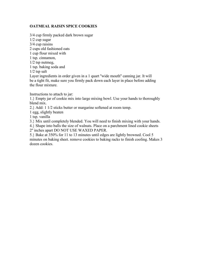# **OATMEAL RAISIN SPICE COOKIES**

3/4 cup firmly packed dark brown sugar 1/2 cup sugar 3/4 cup raisins 2 cups old fashioned oats 1 cup flour mixed with 1 tsp. cinnamon, 1/2 tsp nutmeg, 1 tsp. baking soda and 1/2 tsp salt Layer ingredients in order given in a 1 quart "wide mouth" canning jar. It will be a tight fit, make sure you firmly pack down each layer in place before adding the flour mixture.

Instructions to attach to jar:

1.} Empty jar of cookie mix into large mixing bowl. Use your hands to thoroughly blend mix.

2.} Add: 1 1/2 sticks butter or margarine softened at room temp.

1 egg, slightly beaten

1 tsp. vanilla

3.} Mix until completely blended. You will need to finish mixing with your hands.

4.} Shape into balls the size of walnuts. Place on a parchment lined cookie sheets

2'' inches apart DO NOT USE WAXED PAPER.

5.} Bake at 350% for 11 to 13 minutes until edges are lightly browned. Cool 5 minutes on baking sheet. remove cookies to baking racks to finish cooling. Makes 3 dozen cookies.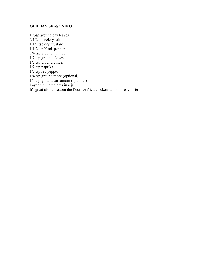#### **OLD BAY SEASONING**

1 tbsp ground bay leaves 2 1/2 tsp celery salt 1 1/2 tsp dry mustard 1 1/2 tsp black pepper 3/4 tsp ground nutmeg 1/2 tsp ground cloves 1/2 tsp ground ginger 1/2 tsp paprika 1/2 tsp red pepper 1/4 tsp ground mace (optional) 1/4 tsp ground cardamom (optional) Layer the ingredients in a jar. It's great also to season the flour for fried chicken, and on french fries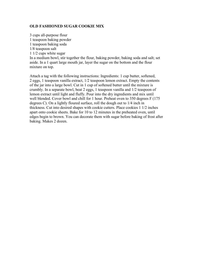#### **OLD FASHIONED SUGAR COOKIE MIX**

3 cups all-purpose flour 1 teaspoon baking powder 1 teaspoon baking soda 1/8 teaspoon salt 1 1/2 cups white sugar In a medium bowl, stir together the flour, baking powder, baking soda and salt; set aside. In a 1 quart large mouth jar, layer the sugar on the bottom and the flour mixture on top.

Attach a tag with the following instructions: Ingredients: 1 cup butter, softened, 2 eggs, 1 teaspoon vanilla extract, 1/2 teaspoon lemon extract. Empty the contents of the jar into a large bowl. Cut in 1 cup of softened butter until the mixture is crumbly. In a separate bowl, beat 2 eggs, 1 teaspoon vanilla and 1/2 teaspoon of lemon extract until light and fluffy. Pour into the dry ingredients and mix until well blended. Cover bowl and chill for 1 hour. Preheat oven to 350 degrees F (175) degrees C). On a lightly floured surface, roll the dough out to 1/4 inch in thickness. Cut into desired shapes with cookie cutters. Place cookies 1 1/2 inches apart onto cookie sheets. Bake for 10 to 12 minutes in the preheated oven, until edges begin to brown. You can decorate them with sugar before baking of frost after baking. Makes 2 dozen.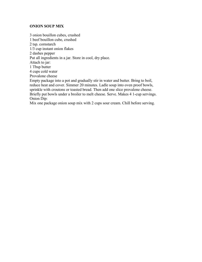#### **ONION SOUP MIX**

3 onion bouillon cubes, crushed 1 beef bouillon cube, crushed 2 tsp. cornstarch 1/3 cup instant onion flakes 2 dashes pepper Put all ingredients in a jar. Store in cool, dry place. Attach to jar: 1 Tbsp butter 4 cups cold water Provalone cheese Empty package into a pot and gradually stir in water and butter. Bring to boil, reduce heat and cover. Simmer 20 minutes. Ladle soup into oven proof bowls, sprinkle with croutons or toasted bread. Then add one slice provalone cheese. Briefly put bowls under a broiler to melt cheese. Serve. Makes 4 1-cup servings. Onion Dip:

Mix one package onion soup mix with 2 cups sour cream. Chill before serving.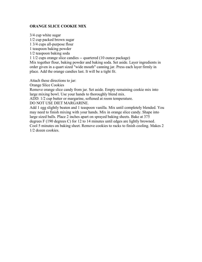#### **ORANGE SLICE COOKIE MIX**

3/4 cup white sugar 1/2 cup packed brown sugar

1 3/4 cups all-purpose flour

1 teaspoon baking powder

1/2 teaspoon baking soda

1 1/2 cups orange slice candies -- quartered (10 ounce package)

Mix together flour, baking powder and baking soda. Set aside. Layer ingredients in order given in a quart sized "wide mouth" canning jar. Press each layer firmly in place. Add the orange candies last. It will be a tight fit.

Attach these directions to jar:

Orange Slice Cookies

Remove orange slice candy from jar. Set aside. Empty remaining cookie mix into large mixing bowl. Use your hands to thoroughly blend mix.

ADD: 1/2 cup butter or margarine, softened at room temperature.

DO NOT USE DIET MARGARINE.

Add 1 egg slightly beaten and 1 teaspoon vanilla. Mix until completely blended. You may need to finish mixing with your hands. Mix in orange slice candy. Shape into large sized balls. Place 2 inches apart on sprayed baking sheets. Bake at 375 degrees F (190 degrees C) for 12 to 14 minutes until edges are lightly browned. Cool 5 minutes on baking sheet. Remove cookies to racks to finish cooling. Makes 2 1/2 dozen cookies.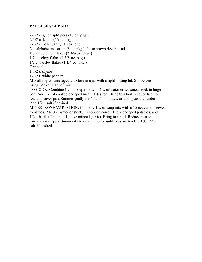#### **PALOUSE SOUP MIX**

 $2-1/2$  c. green split peas (16 oz. pkg.) 2-1/2 c. lentils (16 oz. pkg.)

 $2-1/2$  c. pearl barley  $(16 \text{ oz. } \text{pkg.})$ 

2 c. alphabet macaroni (8 oz. pkg.)--I use brown rice instead

1 c. dried onion flakes (2 3/8-oz. pkgs.)

1/2 c. celery flakes (1 3/8-oz. pkg.)

 $1/2$  c. parsley flakes  $(1 \frac{1}{4}$ -oz. pkg.)

Optional:

1-1/2 t. thyme

1-1/2 t. white pepper

Mix all ingredients together. Store in a jar with a tight- fitting lid. Stir before using. Makes 10 c. of mix.

TO COOK: Combine 1 c. of soup mix with 4 c. of water or seasoned stock in large pan. Add 1 c. of cooked chopped meat, if desired. Bring to a boil. Reduce heat to low and cover pan. Simmer gently for 45 to 60 minutes, or until peas are tender. Add 1/2 t. salt if desired.

MINESTRONE VARIATION: Combine 1 c. of soup mix with a 16-oz. can of stewed tomatoes, 2 to 3 c. water or stock, 1 chopped carrot, 1 to 2 chopped potatoes, and 1/2 t. basil. (Optional: 1 clove minced garlic). Bring to a boil. Reduce heat to low and cover pan. Simmer 45 to 60 minutes or until peas are tender. Add 1/2 t. salt, if desired.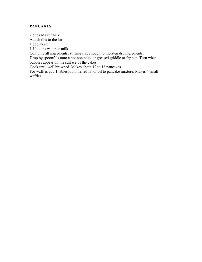# **PANCAKES**

2 cups Master Mix Attach this to the Jar: 1 egg, beaten 1 1/4 cups water or milk Combine all ingredients; stirring just enough to moisten dry ingredients. Drop by spoonfuls onto a hot non-stick or greased griddle or fry pan. Turn when bubbles appear on the surface of the cakes. Cook until well browned. Makes about 12 to 16 pancakes. For waffles add 1 tablespoon melted fat or oil to pancake mixture. Makes 4 small waffles.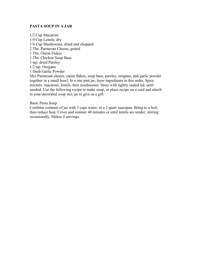#### **PASTA SOUP IN A JAR**

1/2 Cup Macaroni 1/4 Cup Lentils, dry 1/4 Cup Mushrooms, dried and chopped 2 Tbs. Parmesan Cheese, grated 1 Tbs. Onion Flakes 1 Tbs. Chicken Soup Base 1 tsp. dried Parsley 1/2 tsp. Oregano 1 Dash Garlic Powder Mix Parmesan cheese, onion flakes, soup base, parsley, oregano, and garlic powder

together in a small bowl. In a one pint jar, layer ingredients in this order, Spice mixture, macaroni, lentils, then mushrooms. Store with tightly sealed lid, until needed. Use the following recipe to make soup, or place recipe on a card and attach to your decorated soup mix jar to give as a gift:

#### Basic Pasta Soup

Combine contents of jar with 3 cups water, in a 2 quart saucepan. Bring to a boil, then reduce heat. Cover and simmer 40 minutes or until lentils are tender, stirring occasionally. Makes 4 servings.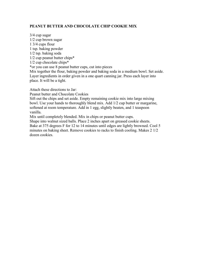# **PEANUT BUTTER AND CHOCOLATE CHIP COOKIE MIX**

3/4 cup sugar 1/2 cup brown sugar 1 3/4 cups flour 1 tsp. baking powder 1/2 tsp. baking soda 1/2 cup peanut butter chips\* 1/2 cup chocolate chips\* \*or you can use 8 peanut butter cups, cut into pieces Mix together the flour, baking powder and baking soda in a medium bowl. Set aside. Layer ingredients in order given in a one quart canning jar. Press each layer into place. It will be a tight. Attach these directions to Jar:

Peanut butter and Chocolate Cookies

Sift out the chips and set aside. Empty remaining cookie mix into large mixing bowl. Use your hands to thoroughly blend mix. Add 1/2 cup butter or margarine, softened at room temperature. Add in 1 egg, slightly beaten, and 1 teaspoon vanilla.

Mix until completely blended. Mix in chips or peanut butter cups.

Shape into walnut sized balls. Place 2 inches apart on greased cookie sheets. Bake at 375 degrees F for 12 to 14 minutes until edges are lightly browned. Cool 5 minutes on baking sheet. Remove cookies to racks to finish cooling. Makes 2 1/2 dozen cookies.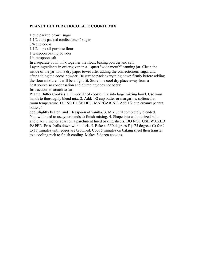# **PEANUT BUTTER CHOCOLATE COOKIE MIX**

1 cup packed brown sugar

1 1/2 cups packed confectioners' sugar

3/4 cup cocoa

1 1/2 cups all-purpose flour

1 teaspoon baking powder

1/4 teaspoon salt

In a separate bowl, mix together the flour, baking powder and salt.

Layer ingredients in order given in a 1 quart ''wide mouth'' canning jar. Clean the inside of the jar with a dry paper towel after adding the confectioners' sugar and after adding the cocoa powder. Be sure to pack everything down firmly before adding the flour mixture, it will be a tight fit. Store in a cool dry place away from a heat source so condensation and clumping does not occur.

Instructions to attach to Jar:

Peanut Butter Cookies 1. Empty jar of cookie mix into large mixing bowl. Use your hands to thoroughly blend mix. 2. Add:  $1/2$  cup butter or margarine, softened at room temperature. DO NOT USE DIET MARGARINE. Add 1/2 cup creamy peanut butter, 1

egg, slightly beaten, and 1 teaspoon of vanilla. 3. Mix until completely blended. You will need to use your hands to finish mixing. 4. Shape into walnut sized balls and place 2 inches apart on a parchment lined baking sheets. DO NOT USE WAXED PAPER. Press balls down with a fork. 5. Bake at 350 degrees F (175 degrees C) for 9 to 11 minutes until edges are browned. Cool 5 minutes on baking sheet then transfer to a cooling rack to finish cooling. Makes 3 dozen cookies.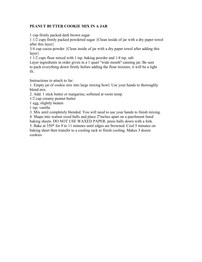# **PEANUT BUTTER COOKIE MIX IN A JAR**

1 cup firmly packed dark brown sugar

1 1/2 cups firmly packed powdered sugar {Clean inside of jar with a dry paper towel after this layer}

3/4 cup cocoa powder {Clean inside of jar with a dry paper towel after adding this layer}

1 1/2 cups flour mixed with 1 tsp. baking powder and 1/4 tsp. salt

Layer ingredients in order given in a 1 quart "wide mouth" canning jar. Be sure to pack everything down firmly before adding the flour mixture, it will be a tight fit.

Instructions to attach to Jar:

1. Empty jar of cookie mix into large mixing bowl. Use your hands to thoroughly blend mix.

2. Add: 1 stick butter or margarine, softened at room temp.

1/2 cup creamy peanut butter

1 egg, slightly beaten

1 tsp. vanilla

3. Mix until completely blended. You will need to use your hands to finish mixing.

4. Shape into walnut sized balls and place 2''inches apart on a parchment lined

baking sheets. DO NOT USE WAXED PAPER. press balls down with a fork.

5. Bake at 350\* for 9 to 11 minutes until edges are browned. Cool 5 minutes on baking sheet then transfer to a cooling rack to finish cooling. Makes 3 dozen cookies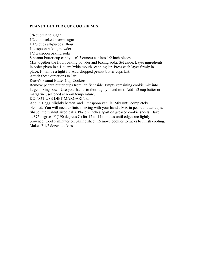# **PEANUT BUTTER CUP COOKIE MIX**

3/4 cup white sugar 1/2 cup packed brown sugar 1 1/3 cups all-purpose flour 1 teaspoon baking powder 1/2 teaspoon baking soda 8 peanut butter cup candy -- (0.7 ounce) cut into 1/2 inch pieces Mix together the flour, baking powder and baking soda. Set aside. Layer ingredients in order given in a 1 quart ''wide mouth'' canning jar. Press each layer firmly in place. It will be a tight fit. Add chopped peanut butter cups last.

Attach these directions to Jar:

Reese's Peanut Butter Cup Cookies

Remove peanut butter cups from jar. Set aside. Empty remaining cookie mix into large mixing bowl. Use your hands to thoroughly blend mix. Add 1/2 cup butter or margarine, softened at room temperature.

DO NOT USE DIET MARGARINE.

Add in 1 egg, slightly beaten, and 1 teaspoon vanilla. Mix until completely blended. You will need to finish mixing with your hands. Mix in peanut butter cups. Shape into walnut sized balls. Place 2 inches apart on greased cookie sheets. Bake at 375 degrees F (190 degrees C) for 12 to 14 minutes until edges are lightly browned. Cool 5 minutes on baking sheet. Remove cookies to racks to finish cooling. Makes 2 1/2 dozen cookies.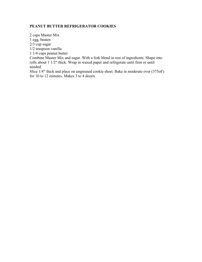# **PEANUT BUTTER REFRIGERATOR COOKIES**

2 cups Master Mix 1 egg, beaten 2/3 cup sugar 1/2 teaspoon vanilla 1 1/4 cups peanut butter Combine Master Mix and sugar. With a fork blend in rest of ingredients. Shape into rolls about 1 1/2" thick. Wrap in waxed paper and refrigerate until firm or until needed. Slice 1/4" thick and place on ungreased cookie sheet. Bake in moderate over (375oF) for 10 to 12 minutes. Makes 3 to 4 dozen.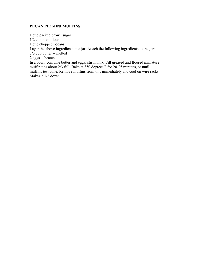# **PECAN PIE MINI MUFFINS**

1 cup packed brown sugar

1/2 cup plain flour

1 cup chopped pecans

Layer the above ingredients in a jar. Attach the following ingredients to the jar:

2/3 cup butter -- melted

2 eggs -- beaten

In a bowl, combine butter and eggs; stir in mix. Fill greased and floured miniature muffin tins about 2/3 full. Bake at 350 degrees F for 20-25 minutes, or until muffins test done. Remove muffins from tins immediately and cool on wire racks. Makes 2 1/2 dozen.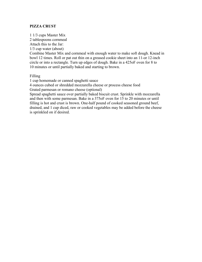# **PIZZA CRUST**

1 1/3 cups Master Mix 2 tablespoons cornmeal Attach this to the Jar: 1/3 cup water (about) Combine Master Mix and cornmeal with enough water to make soft dough. Knead in bowl 12 times. Roll or pat out thin on a greased cookie sheet into an 11-or 12-inch circle or into a rectangle. Turn up edges of dough. Bake in a 425oF oven for 8 to 10 minutes or until partially baked and starting to brown.

#### Filling

1 cup homemade or canned spaghetti sauce

4 ounces cubed or shredded mozzarella cheese or process cheese food Grated parmesan or romano cheese (optional)

Spread spaghetti sauce over partially baked biscuit crust. Sprinkle with mozzarella and then with some parmesan. Bake in a 375oF oven for 15 to 20 minutes or until filling is hot and crust is brown. One-half pound of cooked seasoned ground beef, drained, and 1 cup diced, raw or cooked vegetables may be added before the cheese is sprinkled on if desired.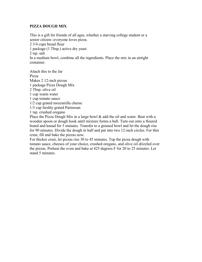# **PIZZA DOUGH MIX**

This is a gift for friends of all ages, whether a starving college student or a senior citizen--everyone loves pizza.

2 3/4 cups bread flour

1 package (1 Tbsp.) active dry yeast

2 tsp. salt

In a medium bowl, combine all the ingredients. Place the mix in an airtight container.

Attach this to the Jar Pizza Makes 2 12-inch pizzas 1 package Pizza Dough Mix 2 Tbsp. olive oil 1 cup warm water 1 cup tomato sauce 1/2 cup grated mozzarella cheese 1/3 cup freshly grated Parmesan 1 tsp. crushed oregano

Place the Pizza Dough Mix in a large bowl  $\&$  add the oil and water. Beat with a wooden spoon or dough hook until mixture forms a ball. Turn out onto a floured board and knead for 5 minutes. Transfer to a greased bowl and let the dough rise for 90 minutes. Divide the dough in half and pat into two 12-inch circles. For thin crust, fill and bake the pizzas now.

For thicker crust, let pizzas rise 30 to 45 minutes. Top the pizza dough with tomato sauce, cheeses of your choice, crushed oregano, and olive oil drizzled over the pizzas. Preheat the oven and bake at 425 degrees F for 20 to 25 minutes. Let stand 5 minutes.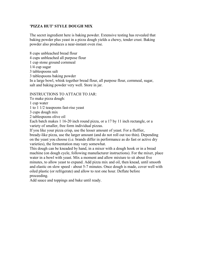# **'PIZZA HUT' STYLE DOUGH MIX**

The secret ingredient here is baking powder. Extensive testing has revealed that baking powder plus yeast in a pizza dough yields a chewy, tender crust. Baking powder also produces a near-instant oven rise.

8 cups unbleached bread flour 4 cups unbleached all purpose flour 1 cup stone ground cornmeal 1/4 cup sugar 3 tablespoons salt 3 tablespoons baking powder In a large bowl, whisk together bread flour, all purpose flour, cornmeal, sugar, salt and baking powder very well. Store in jar.

# INSTRUCTIONS TO ATTACH TO JAR:

To make pizza dough:

1 cup water

1 to 1 1/2 teaspoons fast-rise yeast

3 cups dough mix

2 tablespoons olive oil

Each batch makes 1 16-20 inch round pizza, or a 17 by 11 inch rectangle, or a variety of smaller, free form individual pizzas.

If you like your pizza crisp, use the lesser amount of yeast. For a fluffier, bready-like pizza, use the larger amount (and do not roll out too thin). Depending on the yeast you choose (i.e. brands differ in performance as do fast or active dry varieties), the fermentation may vary somewhat.

This dough can be kneaded by hand, in a mixer with a dough hook or in a bread machine (on dough cycle, following manufacturer instructions). For the mixer, place water in a bowl with yeast. Mix a moment and allow mixture to sit about five minutes, to allow yeast to expand. Add pizza mix and oil, then knead, until smooth and elastic on slow speed - about 5-7 minutes. Once dough is made, cover well with oiled plastic (or refrigerate) and allow to rest one hour. Deflate before proceeding.

Add sauce and toppings and bake until ready.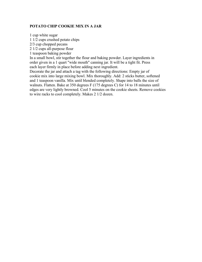### **POTATO CHIP COOKIE MIX IN A JAR**

1 cup white sugar

1 1/2 cups crushed potato chips

2/3 cup chopped pecans

2 1/2 cups all-purpose flour

1 teaspoon baking powder

In a small bowl, stir together the flour and baking powder. Layer ingredients in order given in a 1 quart "wide mouth" canning jar. It will be a tight fit. Press each layer firmly in place before adding next ingredient.

Decorate the jar and attach a tag with the following directions: Empty jar of cookie mix into large mixing bowl. Mix thoroughly. Add: 2 sticks butter, softened and 1 teaspoon vanilla. Mix until blended completely. Shape into balls the size of walnuts. Flatten. Bake at 350 degrees F (175 degrees C) for 14 to 18 minutes until edges are very lightly browned. Cool 5 minutes on the cookie sheets. Remove cookies to wire racks to cool completely. Makes 2 1/2 dozen.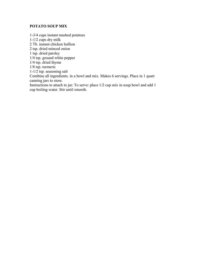# **POTATO SOUP MIX**

1-3/4 cups instant mashed potatoes 1-1/2 cups dry milk 2 Tb. instant chicken bullion 2 tsp. dried minced onion 1 tsp. dried parsley 1/4 tsp. ground white pepper 1/4 tsp. dried thyme 1/8 tsp. turmeric 1-1/2 tsp. seasoning salt Combine all ingredients. in a bowl and mix. Makes 6 servings. Place in 1 quart canning jars to store. Instructions to attach to jar: To serve: place 1/2 cup mix in soup bowl and add 1 cup boiling water. Stir until smooth.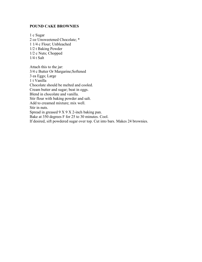#### **POUND CAKE BROWNIES**

1 c Sugar 2 oz Unsweetened Chocolate; \* 1 1/4 c Flour; Unbleached 1/2 t Baking Powder 1/2 c Nuts; Chopped 1/4 t Salt

Attach this to the jar: 3/4 c Butter Or Margarine;Softened 3 ea Eggs; Large 1 t Vanilla Chocolate should be melted and cooled. Cream butter and sugar; beat in eggs. Blend in chocolate and vanilla. Stir flour with baking powder and salt. Add to creamed mixture; mix well. Stir in nuts. Spread in greased 9 X 9 X 2-inch baking pan. Bake at 350 degrees F for 25 to 30 minutes. Cool. If desired, sift powdered sugar over top. Cut into bars. Makes 24 brownies.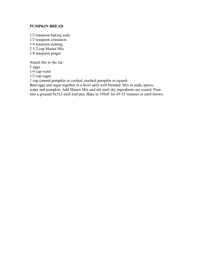# **PUMPKIN BREAD**

1/2 teaspoon baking soda 1/2 teaspoon cinnamon 1/4 teaspoon nutmeg 2 1/2 cup Master Mix 1/4 teaspoon ginger

Attach this to the Jar:

2 eggs

1/4 cup water

1/2 cup sugar

1 cup canned pumpkin or cooked, mashed pumpkin or squash

Beat eggs and sugar together in a bowl until well blended. Mix in soda, spices, water and pumpkin. Add Master Mix and stir until dry ingredients are coated. Pour into a greased 9x5x3-inch loaf pan. Bake in 350oF for 45-55 minutes or until brown.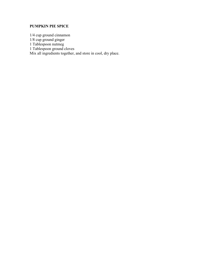# **PUMPKIN PIE SPICE**

1/4 cup ground cinnamon 1/8 cup ground ginger 1 Tablespoon nutmeg 1 Tablespoon ground cloves Mix all ingredients together, and store in cool, dry place.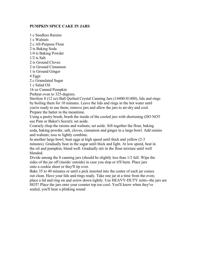#### **PUMPKIN SPICE CAKE IN JARS**

1 c Seedless Raisins 1 c Walnuts 2 c All-Purpose Flour 2 ts Baking Soda 1/4 ts Baking Powder 1/2 ts Salt 2 ts Ground Cloves 2 ts Ground Cinnamon 1 ts Ground Ginger 4 Eggs 2 c Granulated Sugar 1 c Salad Oil 16 oz Canned Pumpkin Preheat oven to 325-degrees.

Sterilize 8 (12 oz) Ball Quilted Crystal Canning Jars (14400-81400), lids and rings by boiling them for 10 minutes. Leave the lids and rings in the hot water until you're ready to use them; remove jars and allow the jars to air-dry and cool. Prepare the batter in the meantime.

Using a pastry brush, brush the inside of the cooled jars with shortening (DO NOT use Pam or Baker's Secret); set aside.

Coarsely chop the raisins and walnuts; set aside. Sift together the flour, baking soda, baking powder, salt, cloves, cinnamon and ginger in a large bowl. Add raisins and walnuts; toss to lightly combine.

In another large bowl, beat eggs at high speed until thick and yellow (2-3 minutes). Gradually beat in the sugar until thick and light. At low speed, beat in the oil and pumpkin; blend well. Gradually stir in the flour mixture until well blended.

Divide among the 8 canning jars (should be slightly less than 1/2 full. Wipe the sides of the jar off (inside/ outside) in case you slop or it'll burn. Place jars onto a cookie sheet or they'll tip over.

Bake 35 to 40 minutes or until a pick inserted into the center of each jar comes out clean. Have your lids and rings ready. Take one jar at a time from the oven; place a lid and ring on and screw down tightly. Use HEAVY-DUTY mitts--the jars are HOT! Place the jars onto your counter top too cool. You'll know when they've sealed, you'll hear a plinking sound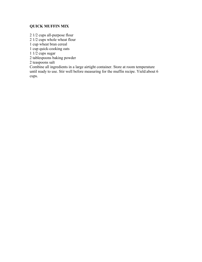# **QUICK MUFFIN MIX**

2 1/2 cups all-purpose flour

2 1/2 cups whole wheat flour

1 cup wheat bran cereal

1 cup quick-cooking oats

 $1/2$  cups sugar

2 tablespoons baking powder

2 teaspoons salt

Combine all ingredients in a large airtight container. Store at room temperature until ready to use. Stir well before measuring for the muffin recipe. Yield:about 6 cups.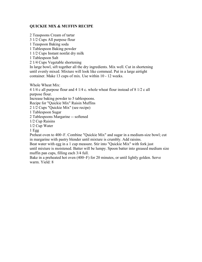# **QUICKIE MIX & MUFFIN RECIPE**

2 Teaspoons Cream of tartar

3 1/2 Cups All purpose flour

1 Teaspoon Baking soda

1 Tablespoon Baking powder

1 1/2 Cups Instant nonfat dry milk

1 Tablespoon Salt

2 1/4 Cups Vegetable shortening

In large bowl, sift together all the dry ingredients. Mix well. Cut in shortening until evenly mixed. Mixture will look like cornmeal. Put in a large airtight container. Make 13 cups of mix. Use within 10 - 12 weeks.

Whole Wheat Mix:

4 1/4 c all purpose flour and 4 1/4 c. whole wheat flour instead of 8 1/2 c all purpose flour.

Increase baking powder to 5 tablespoons.

Recipe for "Quickie Mix" Raisin Muffins

2 1/2 Cups "Quickie Mix" (see recipe)

1 Tablespoon Sugar

2 Tablespoons Margarine -- softened

1/2 Cup Raisins

1/2 Cup Water

1 Egg

Preheat oven to 400~F. Combine "Quickie Mix" and sugar in a medium-size bowl; cut in margarine with pastry blender until mixture is crumbly. Add raisins.

Beat water with egg in a 1 cup measure. Stir into "Quickie Mix" with fork just until mixture is moistened. Batter will be lumpy. Spoon batter into greased medium size muffin pan cups, filling each 3/4 full.

Bake in a preheated hot oven (400~F) for 20 minutes, or until lightly golden. Serve warm. Yield: 8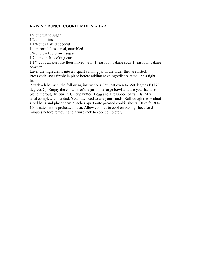# **RAISIN CRUNCH COOKIE MIX IN A JAR**

1/2 cup white sugar 1/2 cup raisins 1 1/4 cups flaked coconut 1 cup cornflakes cereal, crumbled 3/4 cup packed brown sugar 1/2 cup quick-cooking oats 1 1/4 cups all-purpose flour mixed with: 1 teaspoon baking soda 1 teaspoon baking powder Layer the ingredients into a 1 quart canning jar in the order they are listed. Press each layer firmly in place before adding next ingredients. it will be a tight fit. Attach a label with the following instructions: Preheat oven to 350 degrees F (175 degrees C). Empty the contents of the jar into a large bowl and use your hands to blend thoroughly. Stir in 1/2 cup butter, 1 egg and 1 teaspoon of vanilla. Mix until completely blended. You may need to use your hands. Roll dough into walnut

sized balls and place them 2 inches apart onto greased cookie sheets. Bake for 8 to 10 minutes in the preheated oven. Allow cookies to cool on baking sheet for 5 minutes before removing to a wire rack to cool completely.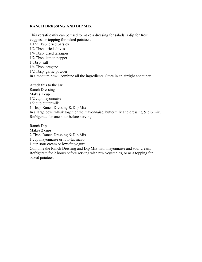#### **RANCH DRESSING AND DIP MIX**

This versatile mix can be used to make a dressing for salads, a dip for fresh veggies, or topping for baked potatoes. 1 1/2 Tbsp. dried parsley 1/2 Tbsp. dried chives 1/4 Tbsp. dried tarragon 1/2 Tbsp. lemon pepper 1 Tbsp. salt 1/4 Tbsp. oregano 1/2 Tbsp. garlic powder In a medium bowl, combine all the ingredients. Store in an airtight container

Attach this to the Jar Ranch Dressing Makes 1 cup 1/2 cup mayonnaise 1/2 cup buttermilk 1 Tbsp. Ranch Dressing & Dip Mix In a large bowl whisk together the mayonnaise, buttermilk and dressing & dip mix. Refrigerate for one hour before serving.

Ranch Dip Makes 2 cups 2 Tbsp. Ranch Dressing & Dip Mix 1 cup mayonnaise or low-fat mayo 1 cup sour cream or low-fat yogurt Combine the Ranch Dressing and Dip Mix with mayonnaise and sour cream. Refrigerate for 2 hours before serving with raw vegetables, or as a topping for baked potatoes.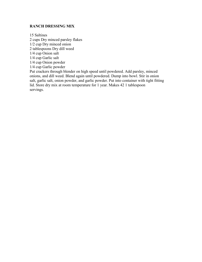#### **RANCH DRESSING MIX**

15 Saltines 2 cups Dry minced parsley flakes 1/2 cup Dry minced onion 2 tablespoons Dry dill weed 1/4 cup Onion salt 1/4 cup Garlic salt 1/4 cup Onion powder 1/4 cup Garlic powder Put crackers through blender on high speed until powdered. Add parsley, minced

onions, and dill weed. Blend again until powdered. Dump into bowl. Stir in onion salt, garlic salt, onion powder, and garlic powder. Put into container with tight fitting lid. Store dry mix at room temperature for 1 year. Makes 42 1 tablespoon servings.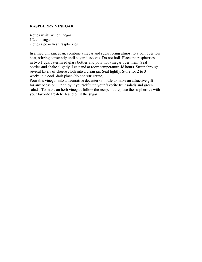#### **RASPBERRY VINEGAR**

4 cups white wine vinegar 1/2 cup sugar 2 cups ripe -- fresh raspberries

In a medium saucepan, combine vinegar and sugar; bring almost to a boil over low heat, stirring constantly until sugar dissolves. Do not boil. Place the raspberries in two 1 quart sterilized glass bottles and pour hot vinegar over them. Seal bottles and shake slightly. Let stand at room temperature 48 hours. Strain through several layers of cheese cloth into a clean jar. Seal tightly. Store for 2 to 3 weeks in a cool, dark place (do not refrigerate).

Pour this vinegar into a decorative decanter or bottle to make an attractive gift for any occasion. Or enjoy it yourself with your favorite fruit salads and green salads. To make an herb vinegar, follow the recipe but replace the raspberries with your favorite fresh herb and omit the sugar.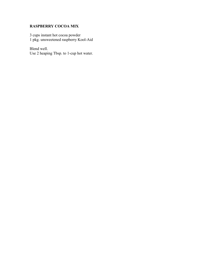# **RASPBERRY COCOA MIX**

3 cups instant hot cocoa powder 1 pkg. unsweetened raspberry Kool-Aid

Blend well. Use 2 heaping Tbsp. to 1-cup hot water.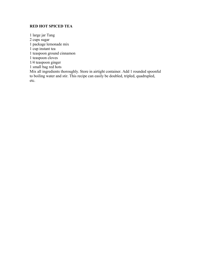# **RED HOT SPICED TEA**

1 large jar Tang 2 cups sugar 1 package lemonade mix 1 cup instant tea 1 teaspoon ground cinnamon 1 teaspoon cloves 1/4 teaspoon ginger 1 small bag red hots Mix all ingredients thoroughly. Store in airtight container. Add 1 rounded spoonful to boiling water and stir. This recipe can easily be doubled, tripled, quadrupled, etc.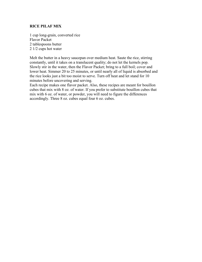#### **RICE PILAF MIX**

1 cup long-grain, converted rice Flavor Packet 2 tablespoons butter 2 1/2 cups hot water

Melt the butter in a heavy saucepan over medium heat. Saute the rice, stirring constantly, until it takes on a translucent quality; do not let the kernels pop. Slowly stir in the water, then the Flavor Packet; bring to a full boil; cover and lower heat. Simmer 20 to 25 minutes, or until nearly all of liquid is absorbed and the rice looks just a bit too moist to serve. Turn off heat and let stand for 10 minutes before uncovering and serving.

Each recipe makes one flavor packet. Also, these recipes are meant for bouillon cubes that mix with 8 oz. of water. If you prefer to substitute bouillon cubes that mix with 6 oz. of water, or powder, you will need to figure the differences accordingly. Three 8 oz. cubes equal four 6 oz. cubes.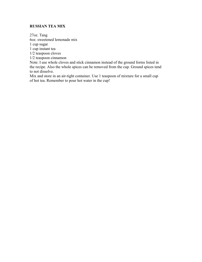# **RUSSIAN TEA MIX**

27oz. Tang 6oz. sweetened lemonade mix 1 cup sugar 1 cup instant tea 1/2 teaspoon cloves 1/2 teaspoon cinnamon

Note: I use whole cloves and stick cinnamon instead of the ground forms listed in the recipe. Also the whole spices can be removed from the cup. Ground spices tend to not dissolve.

Mix and store in an air-tight container. Use 1 teaspoon of mixture for a small cup of hot tea. Remember to pour hot water in the cup!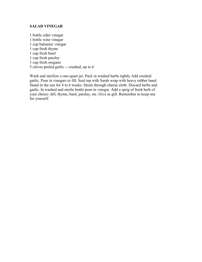#### **SALAD VINEGAR**

1 bottle cider vinegar 1 bottle wine vinegar 1 cup balsamic vinegar 1 cup fresh thyme 1 cup fresh basil 1 cup fresh parsley 1 cup fresh oregano 5 cloves peeled garlic -- crushed, up to 6

Wash and sterilize a one-quart jar. Pack in washed herbs tightly Add crushed garlic. Pour in vinegars to fill. Seal top with Sarah wrap with heavy rubber band. Stand in the sun for 4 to 6 weeks. Strain through cheese cloth. Discard herbs and garlic. In washed and sterile bottle pour in vinegar. Add a sprig of fresh herb of your choice: dill, thyme, basil, parsley, etc. Give as gift. Remember to keep one for yourself.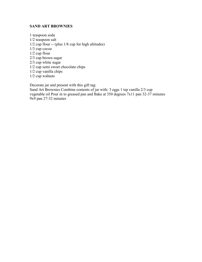# **SAND ART BROWNIES**

1 teaspoon soda 1/2 teaspoon salt  $1/2$  cup flour -- (plus  $1/8$  cup for high altitudes) 1/3 cup cocoa 1/2 cup flour 2/3 cup brown sugar 2/3 cup white sugar 1/2 cup semi sweet chocolate chips 1/2 cup vanilla chips 1/2 cup walnuts

Decorate jar and present with this gift tag: Sand Art Brownies Combine contents of jar with: 3 eggs 1 tsp vanilla 2/3 cup vegetable oil Pour in to greased pan and Bake at 350 degrees 7x11 pan 32-37 minutes 9x9 pan 27-32 minutes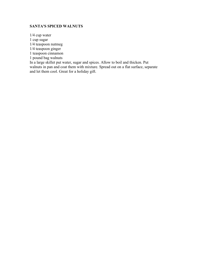# **SANTA'S SPICED WALNUTS**

1/4 cup water 1 cup sugar 1/4 teaspoon nutmeg 1/4 teaspoon ginger 1 teaspoon cinnamon 1 pound bag walnuts In a large skillet put water, sugar and spices. Allow to boil and thicken. Put walnuts in pan and coat them with mixture. Spread out on a flat surface, separate and let them cool. Great for a holiday gift.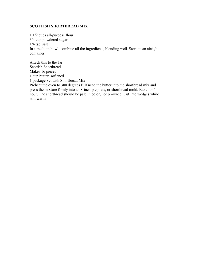## **SCOTTISH SHORTBREAD MIX**

1 1/2 cups all-purpose flour 3/4 cup powdered sugar 1/4 tsp. salt In a medium bowl, combine all the ingredients, blending well. Store in an airtight container.

Attach this to the Jar Scottish Shortbread Makes 16 pieces 1 cup butter, softened 1 package Scottish Shortbread Mix Preheat the oven to 300 degrees F. Knead the butter into the shortbread mix and press the mixture firmly into an 8-inch pie plate, or shortbread mold. Bake for 1 hour. The shortbread should be pale in color, not browned. Cut into wedges while still warm.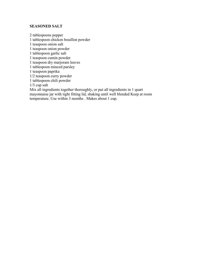#### **SEASONED SALT**

2 tablespoons pepper 1 tablespoon chicken bouillon powder 1 teaspoon onion salt 1 teaspoon onion powder 1 tablespoon garlic salt 1 teaspoon cumin powder 1 teaspoon dry marjoram leaves 1 tablespoon minced parsley 1 teaspoon paprika 1/2 teaspoon curry powder 1 tablespoon chili powder 1/3 cup salt Mix all ingredients together thoroughly, or put all ingredients in 1 quart mayonnaise jar with tight fitting lid, shaking until well blended Keep at room temperature. Use within 3 months . Makes about 1 cup.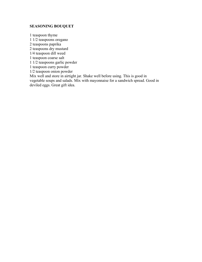# **SEASONING BOUQUET**

1 teaspoon thyme 1 1/2 teaspoons oregano 2 teaspoons paprika 2 teaspoons dry mustard 1/4 teaspoon dill weed 1 teaspoon coarse salt 1 1/2 teaspoons garlic powder 1 teaspoon curry powder 1/2 teaspoon onion powder Mix well and store in airtight jar. Shake well before using. This is good in vegetable soups and salads. Mix with mayonnaise for a sandwich spread. Good in deviled eggs. Great gift idea.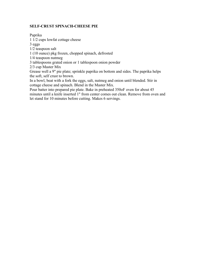### **SELF-CRUST SPINACH-CHEESE PIE**

Paprika

1 1/2 cups lowfat cottage cheese

3 eggs

1/2 teaspoon salt

1 (10 ounce) pkg frozen, chopped spinach, defrosted

1/4 teaspoon nutmeg

3 tablespoons grated onion or 1 tablespoon onion powder

2/3 cup Master Mix

Grease well a 9" pie plate; sprinkle paprika on bottom and sides. The paprika helps the soft, self crust to brown.

In a bowl, beat with a fork the eggs, salt, nutmeg and onion until blended. Stir in cottage cheese and spinach. Blend in the Master Mix.

Pour batter into prepared pie plate. Bake in preheated 350oF oven for about 45 minutes until a knife inserted 1" from center comes out clean. Remove from oven and let stand for 10 minutes before cutting. Makes 6 servings.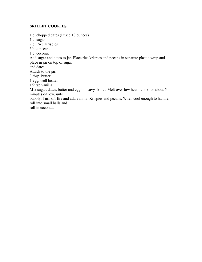# **SKILLET COOKIES**

1 c. chopped dates (I used 10 ounces) 1 c. sugar 2 c. Rice Krispies 3/4 c. pecans 1 c. coconut Add sugar and dates to jar. Place rice krispies and pecans in separate plastic wrap and place in jar on top of sugar and dates. Attach to the jar: 3 tbsp. butter 1 egg, well beaten 1/2 tsp vanilla Mix sugar, dates, butter and egg in heavy skillet. Melt over low heat - cook for about 5 minutes on low, until bubbly. Turn off fire and add vanilla, Krispies and pecans. When cool enough to handle, roll into small balls and roll in coconut.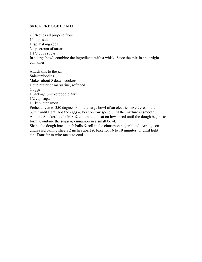### **SNICKERDOODLE MIX**

2 3/4 cups all purpose flour 1/4 tsp. salt 1 tsp. baking soda 2 tsp. cream of tartar 1 1/2 cups sugar In a large bowl, combine the ingredients with a whisk. Store the mix in an airtight container.

Attach this to the jar Snickerdoodles Makes about 5 dozen cookies 1 cup butter or margarine, softened 2 eggs 1 package Snickerdoodle Mix 1/2 cup sugar 1 Tbsp. cinnamon Preheat oven to 350 degrees F. In the large bowl of an electric mixer, cream the

butter until light; add the eggs  $\&$  beat on low speed until the mixture is smooth. Add the Snickerdoodle Mix & continue to beat on low speed until the dough begins to form. Combine the sugar & cinnamon in a small bowl.

Shape the dough into 1-inch balls  $\&$  roll in the cinnamon-sugar blend. Arrange on ungreased baking sheets 2 inches apart & bake for 16 to 19 minutes, or until light tan. Transfer to wire racks to cool.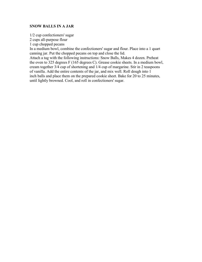#### **SNOW BALLS IN A JAR**

1/2 cup confectioners' sugar

2 cups all-purpose flour

1 cup chopped pecans

In a medium bowl, combine the confectioners' sugar and flour. Place into a 1 quart canning jar. Put the chopped pecans on top and close the lid.

Attach a tag with the following instructions: Snow Balls, Makes 4 dozen. Preheat the oven to 325 degrees F (165 degrees C). Grease cookie sheets. In a medium bowl, cream together 3/4 cup of shortening and 1/4 cup of margarine. Stir in 2 teaspoons of vanilla. Add the entire contents of the jar, and mix well. Roll dough into 1 inch balls and place them on the prepared cookie sheet. Bake for 20 to 25 minutes, until lightly browned. Cool, and roll in confectioners' sugar.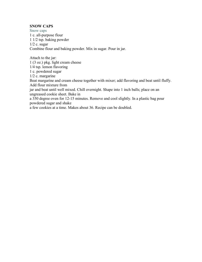#### **SNOW CAPS**

Snow caps 1 c. all-purpose flour 1 1/2 tsp. baking powder  $1/2$  c. sugar Combine flour and baking powder. Mix in sugar. Pour in jar.

Attach to the jar: 1 (3 oz.) pkg. light cream cheese 1/4 tsp. lemon flavoring 1 c. powdered sugar 1/2 c. margarine Beat margarine and cream cheese together with mixer; add flavoring and beat until fluffy. Add flour mixture from jar and beat until well mixed. Chill overnight. Shape into 1 inch balls; place on an ungreased cookie sheet. Bake in a 350 degree oven for 12-15 minutes. Remove and cool slightly. In a plastic bag pour powdered sugar and shake

a few cookies at a time. Makes about 36. Recipe can be doubled.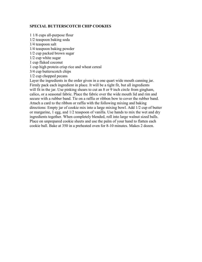### **SPECIAL BUTTERSCOTCH CHIP COOKIES**

1 1/8 cups all-purpose flour 1/2 teaspoon baking soda 1/4 teaspoon salt 1/4 teaspoon baking powder 1/2 cup packed brown sugar 1/2 cup white sugar 1 cup flaked coconut 1 cup high protein crisp rice and wheat cereal 3/4 cup butterscotch chips 1/2 cup chopped pecans Layer the ingredients in the order given in a one quart wide mouth canning jar. Firmly pack each ingredient in place. It will be a tight fit, but all ingredients will fit in the jar. Use pinking shears to cut an 8 or 9 inch circle from gingham, calico, or a seasonal fabric. Place the fabric over the wide mouth lid and rim and secure with a rubber band. Tie on a raffia or ribbon bow to cover the rubber band. Attach a card to the ribbon or raffia with the following mixing and baking directions: Empty jar of cookie mix into a large mixing bowl. Add 1/2 cup of butter or margarine, 1 egg, and 1/2 teaspoon of vanilla. Use hands to mix the wet and dry ingredients together. When completely blended, roll into large walnut sized balls. Place on unprepared cookie sheets and use the palm of your hand to flatten each cookie ball. Bake at 350 in a preheated oven for 8-10 minutes. Makes 2 dozen.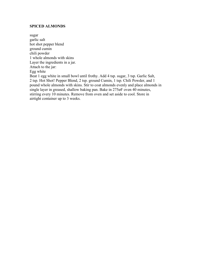#### **SPICED ALMONDS**

sugar garlic salt hot shot pepper blend ground cumin chili powder 1 whole almonds with skins Layer the ingredients in a jar. Attach to the jar: Egg white Beat 1 egg white in small bowl until frothy. Add 4 tsp. sugar, 3 tsp. Garlic Salt, 2 tsp. Hot Shot! Pepper Blend, 2 tsp. ground Cumin, 1 tsp. Chili Powder, and 1 pound whole almonds with skins. Stir to coat almonds evenly and place almonds in single layer in greased, shallow baking pan. Bake in 275øF oven 40 minutes, stirring every 10 minutes. Remove from oven and set aside to cool. Store in airtight container up to 3 weeks.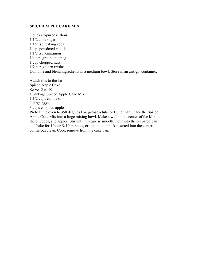#### **SPICED APPLE CAKE MIX**

3 cups all-purpose flour 1 1/2 cups sugar 1 1/2 tsp. baking soda 1 tsp. powdered vanilla 1 1/2 tsp. cinnamon 1/4 tsp. ground nutmeg 1 cup chopped nuts 1/2 cup golden raisins Combine and blend ingredients in a medium bowl. Store in an airtight container.

Attach this to the Jar Spiced Apple Cake Serves 8 to 10 1 package Spiced Apple Cake Mix 1 1/2 cups canola oil 3 large eggs 3 cups chopped apples Preheat the oven to 350 degrees F & grease a tube or Bundt pan. Place the Spiced Apple Cake Mix into a large mixing bowl. Make a well in the center of the Mix; add the oil, eggs, and apples. Stir until mixture is smooth. Pour into the prepared pan and bake for 1 hour & 10 minutes, or until a toothpick inserted into the center comes out clean. Cool; remove from the cake pan.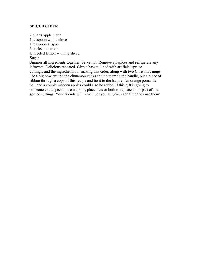#### **SPICED CIDER**

2 quarts apple cider 1 teaspoon whole cloves 1 teaspoon allspice 3 sticks cinnamon Unpeeled lemon -- thinly sliced Sugar

Simmer all ingredients together. Serve hot. Remove all spices and refrigerate any leftovers. Delicious reheated. Give a basket, lined with artificial spruce cuttings, and the ingredients for making this cider, along with two Christmas mugs. Tie a big bow around the cinnamon sticks and tie them to the handle, put a piece of ribbon through a copy of this recipe and tie it to the handle. An orange pomander ball and a couple wooden apples could also be added. If this gift is going to someone extra special, use napkins, placemats or both to replace all or part of the spruce cuttings. Your friends will remember you all year, each time they use them!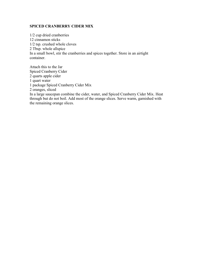#### **SPICED CRANBERRY CIDER MIX**

1/2 cup dried cranberries 12 cinnamon sticks 1/2 tsp. crushed whole cloves 2 Tbsp. whole allspice In a small bowl, stir the cranberries and spices together. Store in an airtight container.

Attach this to the Jar Spiced Cranberry Cider 2 quarts apple cider 1 quart water 1 package Spiced Cranberry Cider Mix 2 oranges, sliced In a large saucepan combine the cider, water, and Spiced Cranberry Cider Mix. Heat through but do not boil. Add most of the orange slices. Serve warm, garnished with the remaining orange slices.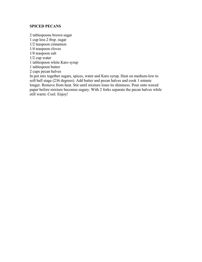#### **SPICED PECANS**

2 tablespoons brown sugar 1 cup less 2 tbsp. sugar 1/2 teaspoon cinnamon 1/4 teaspoon cloves 1/8 teaspoon salt 1/2 cup water 1 tablespoon white Karo syrup 1 tablespoon butter 2 cups pecan halves In pot mix together sugars, spices, water and Karo syrup. Heat on medium-low to soft ball stage (236 degrees). Add butter and pecan halves and cook 1 minute longer. Remove from heat. Stir until mixture loses its shininess. Pour onto waxed paper before mixture becomes sugary. With 2 forks separate the pecan halves while still warm. Cool. Enjoy!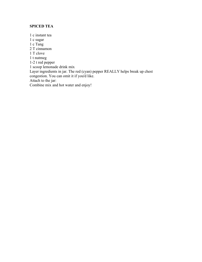# **SPICED TEA**

1 c instant tea 1 c sugar 1 c Tang 2 T cinnamon 1 T clove 1 t nutmeg 1-2 t red pepper 1 scoop lemonade drink mix Layer ingredients in jar. The red (cyan) pepper REALLY helps break up chest congestion. You can omit it if you'd like. Attach to the jar: Combine mix and hot water and enjoy!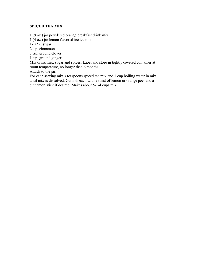# **SPICED TEA MIX**

1 (9 oz.) jar powdered orange breakfast drink mix

1 (4 oz.) jar lemon flavored ice tea mix

1-1/2 c. sugar

2 tsp. cinnamon

2 tsp. ground cloves

1 tsp. ground ginger

Mix drink mix, sugar and spices. Label and store in tightly covered container at room temperature, no longer than 6 months.

Attach to the jar:

For each serving mix 3 teaspoons spiced tea mix and 1 cup boiling water in mix until mix is dissolved. Garnish each with a twist of lemon or orange peel and a cinnamon stick if desired. Makes about 5-1/4 cups mix.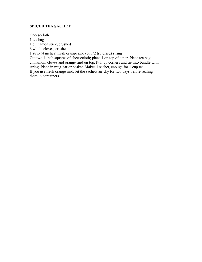# **SPICED TEA SACHET**

Cheesecloth 1 tea bag 1 cinnamon stick, crushed 6 whole cloves, crushed 1 strip (4 inches) fresh orange rind (or 1/2 tsp dried) string Cut two 4-inch squares of cheesecloth; place 1 on top of other. Place tea bag, cinnamon, cloves and orange rind on top. Pull up corners and tie into bundle with string. Place in mug, jar or basket. Makes 1 sachet, enough for 1 cup tea. If you use fresh orange rind, let the sachets air-dry for two days before sealing them in containers.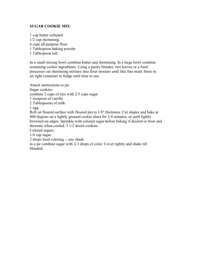### **SUGAR COOKIE MIX**

1 cup butter softened 1/2 cup shortening 6 cups all-purpose flour 1 Tablespoon baking powder 1 Tablespoon salt

In a small mixing bowl combine butter and shortening. In a large bowl combine remaining cookie ingredients. Using a pastry blender, two knives or a food processor cut shortening mixture into flour mixture until like fine meal. Store in air tight container in fridge until time to use.

Attach instructions to jar: Sugar cookies: combine 2 cups of mix with 2/3 cups sugar 1 teaspoon of vanilla 2 Tablespoons of milk  $1$  egg. Roll on floured surface with floured pin to 1/8" thickness. Cut shapes and bake at 400 degrees on a lightly greased cookie sheet for 5-8 minutes, or until lightly browned on edges. Sprinkle with colored sugar before baking if desired or frost and decorate when cooled. 3 1/2 dozen cookies. Colored sugars: 1/4 cup sugar 2 drops food coloring -- any shade

in a jar combine sugar with 2-3 drops of color. Cover tightly and shake till blended**.**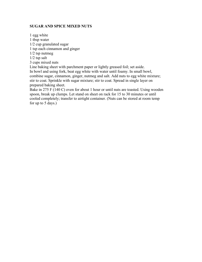## **SUGAR AND SPICE MIXED NUTS**

1 egg white 1 tbsp water 1/2 cup granulated sugar 1 tsp each cinnamon and ginger 1/2 tsp nutmeg 1/2 tsp salt 3 cups mixed nuts Line baking sheet with parchment paper or lightly greased foil; set aside. In bowl and using fork, beat egg white with water until foamy. In small bowl, combine sugar, cinnamon, ginger, nutmeg and salt. Add nuts to egg white mixture; stir to coat. Sprinkle with sugar mixture; stir to coat. Spread in single layer on prepared baking sheet. Bake in 275 F (140 C) oven for about 1 hour or until nuts are toasted. Using wooden

spoon, break up clumps. Let stand on sheet on rack for 15 to 30 minutes or until cooled completely; transfer to airtight container. (Nuts can be stored at room temp for up to 5 days.)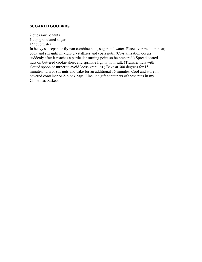#### **SUGARED GOOBERS**

2 cups raw peanuts 1 cup granulated sugar 1/2 cup water

In heavy saucepan or fry pan combine nuts, sugar and water. Place over medium heat; cook and stir until mixture crystallizes and coats nuts. (Crystallization occurs suddenly after it reaches a particular turning point so be prepared.) Spread coated nuts on buttered cookie sheet and sprinkle lightly with salt. (Transfer nuts with slotted spoon or turner to avoid loose granules.) Bake at 300 degrees for 15 minutes; turn or stir nuts and bake for an additional 15 minutes. Cool and store in covered container or Ziplock bags. I include gift containers of these nuts in my Christmas baskets.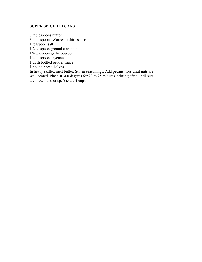# **SUPER SPICED PECANS**

3 tablespoons butter 3 tablespoons Worcestershire sauce 1 teaspoon salt 1/2 teaspoon ground cinnamon 1/4 teaspoon garlic powder 1/4 teaspoon cayenne 1 dash bottled pepper sauce 1 pound pecan halves In heavy skillet, melt butter. Stir in seasonings. Add pecans; toss until nuts are well coated. Place at 300 degrees for 20 to 25 minutes, stirring often until nuts are brown and crisp. Yields: 4 cups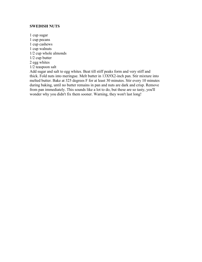#### **SWEDISH NUTS**

1 cup sugar 1 cup pecans 1 cup cashews 1 cup walnuts 1/2 cup whole almonds 1/2 cup butter 2 egg whites 1/2 teaspoon salt Add sugar and salt to egg whites. Beat till stiff peaks form and very stiff and thick. Fold nuts into meringue. Melt butter in 13X9X2-inch pan. Stir mixture into melted butter. Bake at 325 degrees F for at least 30 minutes. Stir every 10 minutes during baking, until no butter remains in pan and nuts are dark and crisp. Remove from pan immediately. This sounds like a lot to do, but these are so tasty, you'll wonder why you didn't fix them sooner. Warning, they won't last long!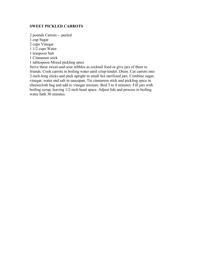#### **SWEET PICKLED CARROTS**

2 pounds Carrots -- peeled

1 cup Sugar

2 cups Vinegar

1 1/2 cups Water

1 teaspoon Salt

1 Cinnamon stick

1 tablespoon Mixed pickling spice

Serve these sweet-and-sour nibbles as cocktail food or give jars of them to friends. Cook carrots in boiling water until crisp-tender. Drain. Cut carrots into 3-inch-long sticks and pack upright in small hot sterilized jars. Combine sugar, vinegar, water and salt in saucepan. Tie cinnamon stick and pickling spice in cheesecloth bag and add to vinegar mixture. Boil 5 to 8 minutes. Fill jars with boiling syrup, leaving 1/2-inch head space. Adjust lids and process in boiling water bath 30 minutes.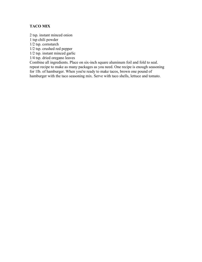# **TACO MIX**

2 tsp. instant minced onion

1 tsp chili powder

1/2 tsp. cornstarch

1/2 tsp. crushed red pepper

1/2 tsp. instant minced garlic

1/4 tsp. dried oregano leaves

Combine all ingredients. Place on six-inch square aluminum foil and fold to seal. repeat recipe to make as many packages as you need. One recipe is enough seasoning for 1lb. of hamburger. When you're ready to make tacos, brown one pound of hamburger with the taco seasoning mix. Serve with taco shells, lettuce and tomato.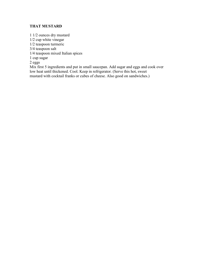# **THAT MUSTARD**

1 1/2 ounces dry mustard 1/2 cup white vinegar 1/2 teaspoon turmeric 3/4 teaspoon salt 1/4 teaspoon mixed Italian spices 1 cup sugar 2 eggs Mix first 5 ingredients and put in small saucepan. Add sugar and eggs and cook over low heat until thickened. Cool. Keep in refrigerator. (Serve this hot, sweet

mustard with cocktail franks or cubes of cheese. Also good on sandwiches.)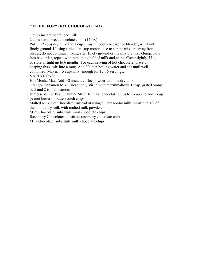# **"TO DIE FOR" HOT CHOCOLATE MIX**

3 cups instant nonfat dry milk

2 cups semi-sweet chocolate chips (12 oz.)

Put 1 1/2 cups dry milk and 1 cup chips in food processor or blender, whirl until finely ground. If using a blender, stop motor once to scrape mixture away from blades; do not continue mixing after finely ground or the mixture may clump. Pour into bag or jar, repeat with remaining half of milk and chips. Cover tightly. Use, or store airtight up to 6 months. For each serving of hot chocolate, place 3 heaping tbsp. mix into a mug. Add 3/4 cup boiling water and stir until well combined. Makes 4-5 cups mix, enough for 12-15 servings. VARIATIONS:

Hot Mocha Mix: Add 1/2 instant coffee powder with the dry milk.

Orange-Cinnamon Mix: Thoroughly stir in with marshmallows 1 tbsp. grated orange peel and 2 tsp. cinnamon.

Butterscotch or Peanut Butter Mix: Decrease chocolate chips to 1 cup and add 1 cup peanut butter or butterscotch chips.

Malted Milk Hot Chocolate: Instead of using all dry nonfat milk, substitute 1/2 of the nonfat dry milk with malted milk powder.

Mint Chocolate: substitute mint chocolate chips

Raspberry Chocolate: substitute raspberry chocolate chips

Milk chocolate: substitute milk chocolate chips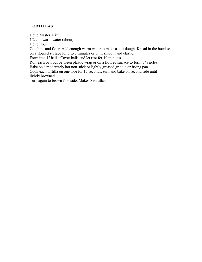# **TORTILLAS**

1 cup Master Mix 1/2 cup warm water (about)

1 cup flour

Combine and flour. Add enough warm water to make a soft dough. Knead in the bowl or on a floured surface for 2 to 3 minutes or until smooth and elastic.

Form into 1" balls. Cover balls and let rest for 10 minutes.

Roll each ball out between plastic wrap or on a floured surface to form 5" circles.

Bake on a moderately hot non-stick or lightly greased griddle or frying pan.

Cook each tortilla on one side for 15 seconds; turn and bake on second side until lightly browned.

Turn again to brown first side. Makes 8 tortillas.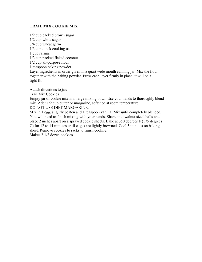## **TRAIL MIX COOKIE MIX**

1/2 cup packed brown sugar 1/2 cup white sugar 3/4 cup wheat germ 1/3 cup quick cooking oats 1 cup raisins 1/3 cup packed flaked coconut 1/2 cup all-purpose flour 1 teaspoon baking powder Layer ingredients in order given in a quart wide mouth canning jar. Mix the flour together with the baking powder. Press each layer firmly in place, it will be a tight fit.

Attach directions to jar:

Trail Mix Cookies

Empty jar of cookie mix into large mixing bowl. Use your hands to thoroughly blend mix. Add: 1/2 cup butter or margarine, softened at room temperature.

DO NOT USE DIET MARGARINE.

Mix in 1 egg, slightly beaten and 1 teaspoon vanilla. Mix until completely blended. You will need to finish mixing with your hands. Shape into walnut sized balls and place 2 inches apart on a sprayed cookie sheets. Bake at 350 degrees F (175 degrees C) for 12 to 14 minutes until edges are lightly browned. Cool 5 minutes on baking sheet. Remove cookies to racks to finish cooling.

Makes 2 1/2 dozen cookies.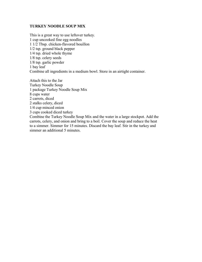#### **TURKEY NOODLE SOUP MIX**

This is a great way to use leftover turkey. 1 cup uncooked fine egg noodles 1 1/2 Tbsp. chicken-flavored bouillon 1/2 tsp. ground black pepper 1/4 tsp. dried whole thyme 1/8 tsp. celery seeds 1/8 tsp. garlic powder 1 bay leaf Combine all ingredients in a medium bowl. Store in an airtight container.

Attach this to the Jar Turkey Noodle Soup 1 package Turkey Noodle Soup Mix 8 cups water 2 carrots, diced 2 stalks celery, diced 1/4 cup minced onion 3 cups cooked diced turkey Combine the Turkey Noodle Soup Mix and the water in a large stockpot. Add the carrots, celery, and onion and bring to a boil. Cover the soup and reduce the heat to a simmer. Simmer for 15 minutes. Discard the bay leaf. Stir in the turkey and

simmer an additional 5 minutes.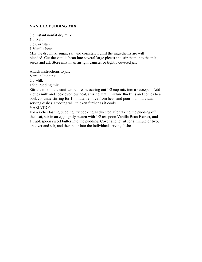# **VANILLA PUDDING MIX**

3 c Instant nonfat dry milk

1 ts Salt

3 c Cornstarch

1 Vanilla bean

Mix the dry milk, sugar, salt and cornstarch until the ingredients are will blended. Cut the vanilla bean into several large pieces and stir them into the mix, seeds and all. Store mix in an airtight canister or tightly covered jar.

Attach instructions to jar: Vanilla Pudding

2 c Milk

1/2 c Pudding mix

Stir the mix in the canister before measuring out 1/2 cup mix into a saucepan. Add 2 cups milk and cook over low heat, stirring, until mixture thickens and comes to a boil. continue stirring for 1 minute, remove from heat, and pour into individual serving dishes. Pudding will thicken further as it cools.

VARIATION:

For a richer tasting pudding, try cooking as directed after taking the pudding off the heat, stir in an egg lightly beaten with 1/2 teaspoon Vanilla Bean Extract, and 1 Tablespoon sweet butter into the pudding. Cover and let sit for a minute or two, uncover and stir, and then pour into the individual serving dishes.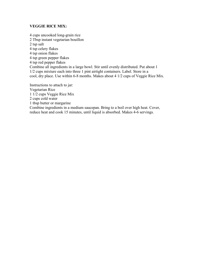#### **VEGGIE RICE MIX:**

4 cups uncooked long-grain rice 2 Tbsp instant vegetarian bouillon 2 tsp salt 4 tsp celery flakes 4 tsp onion flakes 4 tsp green pepper flakes 4 tsp red pepper flakes Combine all ingredients in a large bowl. Stir until evenly distributed. Put about 1 1/2 cups mixture each into three 1 pint airtight containers. Label. Store in a cool, dry place. Use within 6-8 months. Makes about 4 1/2 cups of Veggie Rice Mix. Instructions to attach to jar:

Vegetarian Rice 1 1/2 cups Veggie Rice Mix 2 cups cold water 1 tbsp butter or margarine Combine ingredients in a medium saucepan. Bring to a boil over high heat. Cover, reduce heat and cook 15 minutes, until liquid is absorbed. Makes 4-6 servings.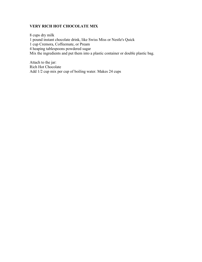# **VERY RICH HOT CHOCOLATE MIX**

8 cups dry milk 1 pound instant chocolate drink, like Swiss Miss or Nestle's Quick 1 cup Cremora, Coffeemate, or Pream 4 heaping tablespoons powdered sugar Mix the ingredients and put them into a plastic container or double plastic bag.

Attach to the jar: Rich Hot Chocolate Add 1/2 cup mix per cup of boiling water. Makes 24 cups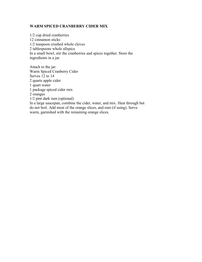#### **WARM SPICED CRANBERRY CIDER MIX**

1/2 cup dried cranberries 12 cinnamon sticks 1/2 teaspoon crushed whole cloves 2 tablespoons whole allspice In a small bowl, stir the cranberries and spices together. Store the ingredients in a jar.

Attach to the jar: Warm Spiced Cranberry Cider Serves 12 to 14 2 quarts apple cider 1 quart water 1 package spiced cider mix 2 oranges 1/2 pint dark rum (optional) In a large saucepan, combine the cider, water, and mix. Heat through but do not boil. Add most of the orange slices, and rum (if using). Serve warm, garnished with the remaining orange slices.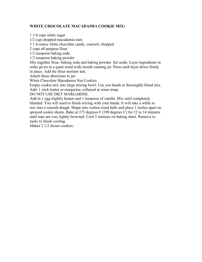# **WHITE CHOCOLATE MACADAMIA COOKIE MIX:**

1 1/4 cups white sugar

1/2 cup chopped macadamia nuts

3 1.4-ounce white chocolate candy, coarsely chopped

2 cups all-purpose flour

1/2 teaspoon baking soda

1/2 teaspoon baking powder

Mix together flour, baking soda and baking powder. Set aside. Layer ingredients in order given in a quart sized wide mouth canning jar. Press each layer down firmly in place. Add the flour mixture last.

Attach these directions to jar:

White Chocolate Macadamia Nut Cookies

Empty cookie mix into large mixing bowl. Use you hands to thoroughly blend mix. Add: 1 stick butter or margarine, softened at room temp.

DO NOT USE DIET MARGARINE.

Add in 1 egg slightly beaten and 1 teaspoon of vanilla. Mix until completely blended. You will need to finish mixing with your hands. It will take a while to mix into a smooth dough. Shape into walnut sized balls and place 2 inches apart on sprayed cookie sheets. Bake at 375 degrees F (190 degrees C) for 12 to 14 minutes until tops are very lightly browned. Cool 5 minutes on baking sheet. Remove to racks to finish cooling.

Makes 2 1/2 dozen cookies.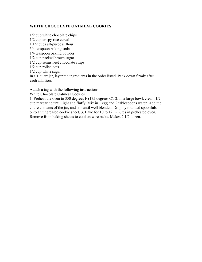## **WHITE CHOCOLATE OATMEAL COOKIES**

1/2 cup white chocolate chips 1/2 cup crispy rice cereal 1 1/2 cups all-purpose flour 3/4 teaspoon baking soda 1/4 teaspoon baking powder 1/2 cup packed brown sugar 1/2 cup semisweet chocolate chips 1/2 cup rolled oats 1/2 cup white sugar In a 1 quart jar, layer the ingredients in the order listed. Pack down firmly after each addition.

Attach a tag with the following instructions:

White Chocolate Oatmeal Cookies

1. Preheat the oven to 350 degrees F (175 degrees C). 2. In a large bowl, cream 1/2 cup margarine until light and fluffy. Mix in 1 egg and 2 tablespoons water. Add the entire contents of the jar, and stir until well blended. Drop by rounded spoonfuls onto an ungreased cookie sheet. 3. Bake for 10 to 12 minutes in preheated oven. Remove from baking sheets to cool on wire racks. Makes 2 1/2 dozen.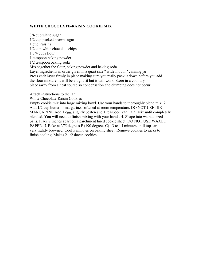### **WHITE CHOCOLATE-RAISIN COOKIE MIX**

3/4 cup white sugar 1/2 cup packed brown sugar 1 cup Raisins 1/2 cup white chocolate chips 1 3/4 cups flour 1 teaspoon baking powder 1/2 teaspoon baking soda Mix together the flour, baking powder and baking soda. Layer ingredients in order given in a quart size '' wide mouth '' canning jar. Press each layer firmly in place making sure you really pack it down before you add the flour mixture, it will be a tight fit but it will work. Store in a cool dry

place away from a heat source so condensation and clumping does not occur.

- Attach instructions to the jar:
- White Chocolate-Raisin Cookies

Empty cookie mix into large mixing bowl. Use your hands to thoroughly blend mix. 2. Add 1/2 cup butter or margarine, softened at room temperature. DO NOT USE DIET MARGARINE Add 1 egg, slightly beaten and 1 teaspoon vanilla 3. Mix until completely blended. You will need to finish mixing with your hands. 4. Shape into walnut sized balls. Place 2 inches apart on a parchment lined cookie sheet. DO NOT USE WAXED PAPER. 5. Bake at 375 degrees F (190 degrees C) 13 to 15 minutes until tops are very lightly browned. Cool 5 minutes on baking sheet. Remove cookies to racks to finish cooling. Makes 2 1/2 dozen cookies.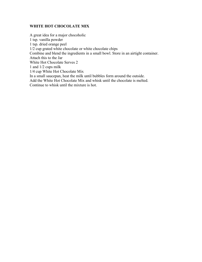# **WHITE HOT CHOCOLATE MIX**

A great idea for a major chocoholic 1 tsp. vanilla powder 1 tsp. dried orange peel 1/2 cup grated white chocolate or white chocolate chips Combine and blend the ingredients in a small bowl. Store in an airtight container. Attach this to the Jar White Hot Chocolate Serves 2 1 and 1/2 cups milk 1/4 cup White Hot Chocolate Mix In a small saucepan, heat the milk until bubbles form around the outside. Add the White Hot Chocolate Mix and whisk until the chocolate is melted. Continue to whisk until the mixture is hot.